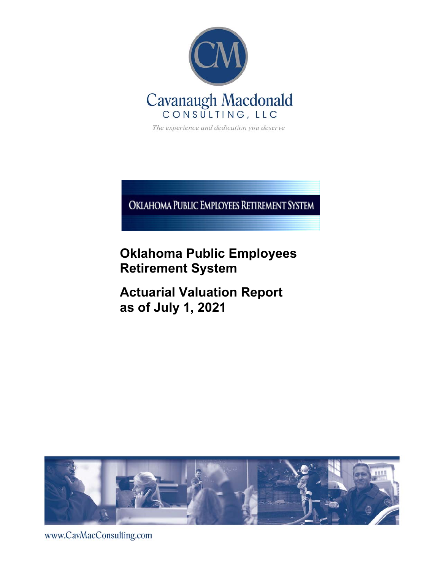

The experience and dedication you deserve

OKIAHOMA PUBLIC EMPLOYEES RETIREMENT SYSTEM

# **Oklahoma Public Employees Retirement System**

**Actuarial Valuation Report as of July 1, 2021** 



www.CavMacConsulting.com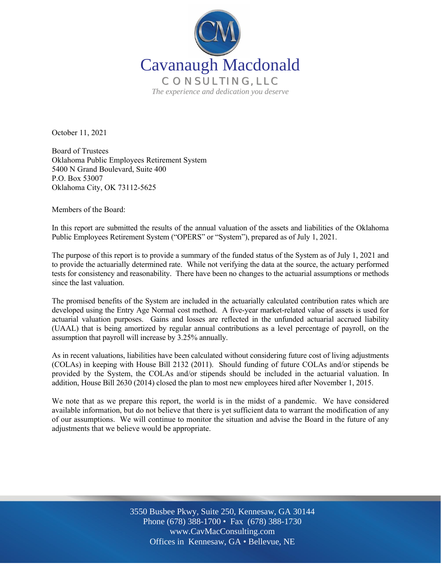

October 11, 2021

Board of Trustees Oklahoma Public Employees Retirement System 5400 N Grand Boulevard, Suite 400 P.O. Box 53007 Oklahoma City, OK 73112-5625

Members of the Board:

In this report are submitted the results of the annual valuation of the assets and liabilities of the Oklahoma Public Employees Retirement System ("OPERS" or "System"), prepared as of July 1, 2021.

The purpose of this report is to provide a summary of the funded status of the System as of July 1, 2021 and to provide the actuarially determined rate. While not verifying the data at the source, the actuary performed tests for consistency and reasonability. There have been no changes to the actuarial assumptions or methods since the last valuation.

The promised benefits of the System are included in the actuarially calculated contribution rates which are developed using the Entry Age Normal cost method. A five-year market-related value of assets is used for actuarial valuation purposes. Gains and losses are reflected in the unfunded actuarial accrued liability (UAAL) that is being amortized by regular annual contributions as a level percentage of payroll, on the assumption that payroll will increase by 3.25% annually.

As in recent valuations, liabilities have been calculated without considering future cost of living adjustments (COLAs) in keeping with House Bill 2132 (2011). Should funding of future COLAs and/or stipends be provided by the System, the COLAs and/or stipends should be included in the actuarial valuation. In addition, House Bill 2630 (2014) closed the plan to most new employees hired after November 1, 2015.

We note that as we prepare this report, the world is in the midst of a pandemic. We have considered available information, but do not believe that there is yet sufficient data to warrant the modification of any of our assumptions. We will continue to monitor the situation and advise the Board in the future of any adjustments that we believe would be appropriate.

> Off Offices in Kennesaw, GA • Bellevue, NE 3550 Busbee Pkwy, Suite 250, Kennesaw, GA 30144 Phone (678) 388-1700 • Fax (678) 388-1730 www.CavMacConsulting.com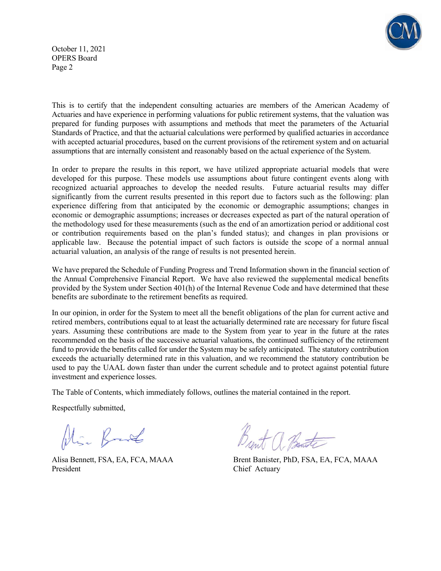

October 11, 2021 OPERS Board Page 2

This is to certify that the independent consulting actuaries are members of the American Academy of Actuaries and have experience in performing valuations for public retirement systems, that the valuation was prepared for funding purposes with assumptions and methods that meet the parameters of the Actuarial Standards of Practice, and that the actuarial calculations were performed by qualified actuaries in accordance with accepted actuarial procedures, based on the current provisions of the retirement system and on actuarial assumptions that are internally consistent and reasonably based on the actual experience of the System.

In order to prepare the results in this report, we have utilized appropriate actuarial models that were developed for this purpose. These models use assumptions about future contingent events along with recognized actuarial approaches to develop the needed results. Future actuarial results may differ significantly from the current results presented in this report due to factors such as the following: plan experience differing from that anticipated by the economic or demographic assumptions; changes in economic or demographic assumptions; increases or decreases expected as part of the natural operation of the methodology used for these measurements (such as the end of an amortization period or additional cost or contribution requirements based on the plan's funded status); and changes in plan provisions or applicable law. Because the potential impact of such factors is outside the scope of a normal annual actuarial valuation, an analysis of the range of results is not presented herein.

We have prepared the Schedule of Funding Progress and Trend Information shown in the financial section of the Annual Comprehensive Financial Report. We have also reviewed the supplemental medical benefits provided by the System under Section 401(h) of the Internal Revenue Code and have determined that these benefits are subordinate to the retirement benefits as required.

In our opinion, in order for the System to meet all the benefit obligations of the plan for current active and retired members, contributions equal to at least the actuarially determined rate are necessary for future fiscal years. Assuming these contributions are made to the System from year to year in the future at the rates recommended on the basis of the successive actuarial valuations, the continued sufficiency of the retirement fund to provide the benefits called for under the System may be safely anticipated. The statutory contribution exceeds the actuarially determined rate in this valuation, and we recommend the statutory contribution be used to pay the UAAL down faster than under the current schedule and to protect against potential future investment and experience losses.

The Table of Contents, which immediately follows, outlines the material contained in the report.

Respectfully submitted,

Alia Bank

President Chief Actuary

Alisa Bennett, FSA, EA, FCA, MAAA Brent Banister, PhD, FSA, EA, FCA, MAAA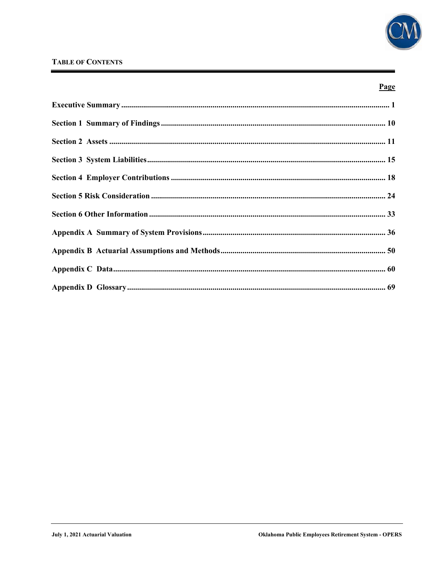

### **TABLE OF CONTENTS**

### Page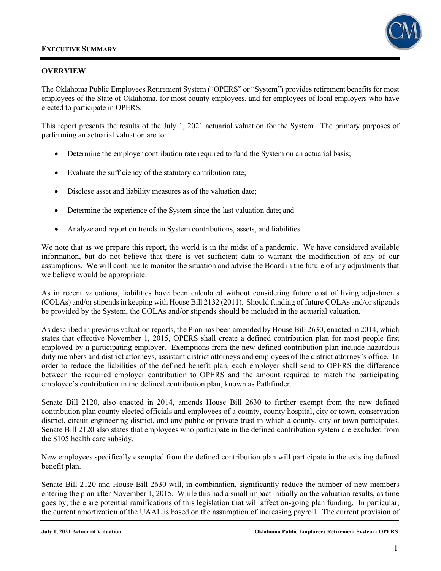

### **OVERVIEW**

The Oklahoma Public Employees Retirement System ("OPERS" or "System") provides retirement benefits for most employees of the State of Oklahoma, for most county employees, and for employees of local employers who have elected to participate in OPERS.

This report presents the results of the July 1, 2021 actuarial valuation for the System. The primary purposes of performing an actuarial valuation are to:

- Determine the employer contribution rate required to fund the System on an actuarial basis;
- Evaluate the sufficiency of the statutory contribution rate;
- Disclose asset and liability measures as of the valuation date;
- Determine the experience of the System since the last valuation date; and
- Analyze and report on trends in System contributions, assets, and liabilities.

We note that as we prepare this report, the world is in the midst of a pandemic. We have considered available information, but do not believe that there is yet sufficient data to warrant the modification of any of our assumptions. We will continue to monitor the situation and advise the Board in the future of any adjustments that we believe would be appropriate.

As in recent valuations, liabilities have been calculated without considering future cost of living adjustments (COLAs) and/or stipends in keeping with House Bill 2132 (2011). Should funding of future COLAs and/or stipends be provided by the System, the COLAs and/or stipends should be included in the actuarial valuation.

As described in previous valuation reports, the Plan has been amended by House Bill 2630, enacted in 2014, which states that effective November 1, 2015, OPERS shall create a defined contribution plan for most people first employed by a participating employer. Exemptions from the new defined contribution plan include hazardous duty members and district attorneys, assistant district attorneys and employees of the district attorney's office. In order to reduce the liabilities of the defined benefit plan, each employer shall send to OPERS the difference between the required employer contribution to OPERS and the amount required to match the participating employee's contribution in the defined contribution plan, known as Pathfinder.

Senate Bill 2120, also enacted in 2014, amends House Bill 2630 to further exempt from the new defined contribution plan county elected officials and employees of a county, county hospital, city or town, conservation district, circuit engineering district, and any public or private trust in which a county, city or town participates. Senate Bill 2120 also states that employees who participate in the defined contribution system are excluded from the \$105 health care subsidy.

New employees specifically exempted from the defined contribution plan will participate in the existing defined benefit plan.

Senate Bill 2120 and House Bill 2630 will, in combination, significantly reduce the number of new members entering the plan after November 1, 2015. While this had a small impact initially on the valuation results, as time goes by, there are potential ramifications of this legislation that will affect on-going plan funding. In particular, the current amortization of the UAAL is based on the assumption of increasing payroll. The current provision of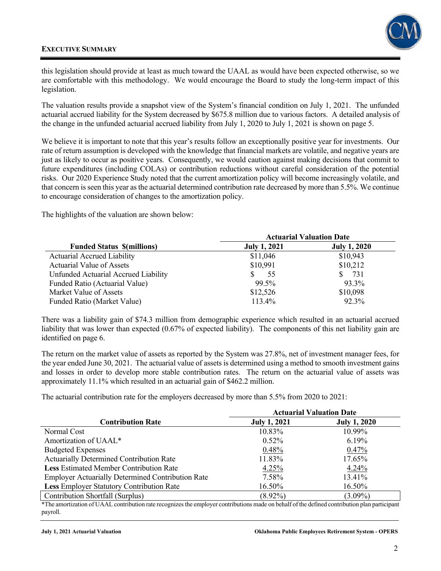

this legislation should provide at least as much toward the UAAL as would have been expected otherwise, so we are comfortable with this methodology. We would encourage the Board to study the long-term impact of this legislation.

The valuation results provide a snapshot view of the System's financial condition on July 1, 2021. The unfunded actuarial accrued liability for the System decreased by \$675.8 million due to various factors. A detailed analysis of the change in the unfunded actuarial accrued liability from July 1, 2020 to July 1, 2021 is shown on page 5.

We believe it is important to note that this year's results follow an exceptionally positive year for investments. Our rate of return assumption is developed with the knowledge that financial markets are volatile, and negative years are just as likely to occur as positive years. Consequently, we would caution against making decisions that commit to future expenditures (including COLAs) or contribution reductions without careful consideration of the potential risks. Our 2020 Experience Study noted that the current amortization policy will become increasingly volatile, and that concern is seen this year as the actuarial determined contribution rate decreased by more than 5.5%. We continue to encourage consideration of changes to the amortization policy.

The highlights of the valuation are shown below:

|                                      | <b>Actuarial Valuation Date</b> |                     |  |  |  |
|--------------------------------------|---------------------------------|---------------------|--|--|--|
| <b>Funded Status S(millions)</b>     | <b>July 1, 2021</b>             | <b>July 1, 2020</b> |  |  |  |
| <b>Actuarial Accrued Liability</b>   | \$11,046                        | \$10,943            |  |  |  |
| Actuarial Value of Assets            | \$10,991                        | \$10,212            |  |  |  |
| Unfunded Actuarial Accrued Liability | 55                              | 731                 |  |  |  |
| Funded Ratio (Actuarial Value)       | 99.5%                           | 93.3%               |  |  |  |
| Market Value of Assets               | \$12,526                        | \$10,098            |  |  |  |
| Funded Ratio (Market Value)          | 113.4%                          | 92.3%               |  |  |  |

There was a liability gain of \$74.3 million from demographic experience which resulted in an actuarial accrued liability that was lower than expected (0.67% of expected liability). The components of this net liability gain are identified on page 6.

The return on the market value of assets as reported by the System was 27.8%, net of investment manager fees, for the year ended June 30, 2021. The actuarial value of assets is determined using a method to smooth investment gains and losses in order to develop more stable contribution rates. The return on the actuarial value of assets was approximately 11.1% which resulted in an actuarial gain of \$462.2 million.

The actuarial contribution rate for the employers decreased by more than 5.5% from 2020 to 2021:

|                                                          | <b>Actuarial Valuation Date</b> |                     |  |  |  |
|----------------------------------------------------------|---------------------------------|---------------------|--|--|--|
| <b>Contribution Rate</b>                                 | <b>July 1, 2021</b>             | <b>July 1, 2020</b> |  |  |  |
| Normal Cost                                              | 10.83%                          | 10.99%              |  |  |  |
| Amortization of UAAL*                                    | $0.52\%$                        | 6.19%               |  |  |  |
| <b>Budgeted Expenses</b>                                 | 0.48%                           | 0.47%               |  |  |  |
| Actuarially Determined Contribution Rate                 | 11.83%                          | 17.65%              |  |  |  |
| <b>Less Estimated Member Contribution Rate</b>           | 4.25%                           | 4.24%               |  |  |  |
| <b>Employer Actuarially Determined Contribution Rate</b> | 7.58%                           | 13.41%              |  |  |  |
| Less Employer Statutory Contribution Rate                | 16.50%                          | 16.50%              |  |  |  |
| Contribution Shortfall (Surplus)                         | $(8.92\%)$                      | $(3.09\%)$          |  |  |  |
|                                                          |                                 |                     |  |  |  |

\*The amortization of UAAL contribution rate recognizes the employer contributions made on behalf of the defined contribution plan participant payroll.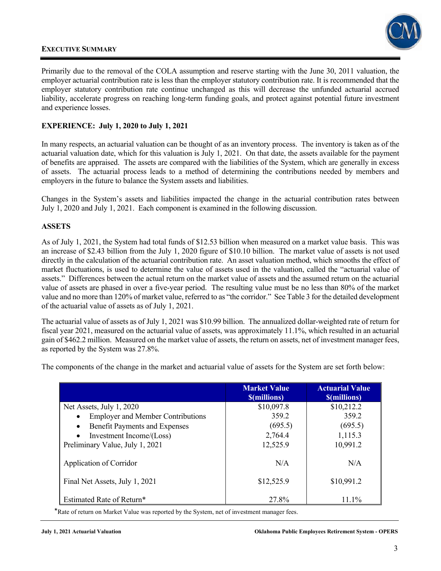

Primarily due to the removal of the COLA assumption and reserve starting with the June 30, 2011 valuation, the employer actuarial contribution rate is less than the employer statutory contribution rate. It is recommended that the employer statutory contribution rate continue unchanged as this will decrease the unfunded actuarial accrued liability, accelerate progress on reaching long-term funding goals, and protect against potential future investment and experience losses.

#### **EXPERIENCE: July 1, 2020 to July 1, 2021**

In many respects, an actuarial valuation can be thought of as an inventory process. The inventory is taken as of the actuarial valuation date, which for this valuation is July 1, 2021. On that date, the assets available for the payment of benefits are appraised. The assets are compared with the liabilities of the System, which are generally in excess of assets. The actuarial process leads to a method of determining the contributions needed by members and employers in the future to balance the System assets and liabilities.

Changes in the System's assets and liabilities impacted the change in the actuarial contribution rates between July 1, 2020 and July 1, 2021. Each component is examined in the following discussion.

#### **ASSETS**

As of July 1, 2021, the System had total funds of \$12.53 billion when measured on a market value basis. This was an increase of \$2.43 billion from the July 1, 2020 figure of \$10.10 billion. The market value of assets is not used directly in the calculation of the actuarial contribution rate. An asset valuation method, which smooths the effect of market fluctuations, is used to determine the value of assets used in the valuation, called the "actuarial value of assets." Differences between the actual return on the market value of assets and the assumed return on the actuarial value of assets are phased in over a five-year period. The resulting value must be no less than 80% of the market value and no more than 120% of market value, referred to as "the corridor." See Table 3 for the detailed development of the actuarial value of assets as of July 1, 2021.

The actuarial value of assets as of July 1, 2021 was \$10.99 billion. The annualized dollar-weighted rate of return for fiscal year 2021, measured on the actuarial value of assets, was approximately 11.1%, which resulted in an actuarial gain of \$462.2 million. Measured on the market value of assets, the return on assets, net of investment manager fees, as reported by the System was 27.8%.

The components of the change in the market and actuarial value of assets for the System are set forth below:

|                                                   | <b>Market Value</b><br><b><i><u>S(millions)</u></i></b> | <b>Actuarial Value</b><br><b><i><u>S(millions)</u></i></b> |
|---------------------------------------------------|---------------------------------------------------------|------------------------------------------------------------|
| Net Assets, July 1, 2020                          | \$10,097.8                                              | \$10,212.2                                                 |
| <b>Employer and Member Contributions</b>          | 359.2                                                   | 359.2                                                      |
| <b>Benefit Payments and Expenses</b><br>$\bullet$ | (695.5)                                                 | (695.5)                                                    |
| Investment Income/(Loss)                          | 2,764.4                                                 | 1,115.3                                                    |
| Preliminary Value, July 1, 2021                   | 12,525.9                                                | 10,991.2                                                   |
| Application of Corridor                           | N/A                                                     | N/A                                                        |
| Final Net Assets, July 1, 2021                    | \$12,525.9                                              | \$10,991.2                                                 |
| Estimated Rate of Return*                         | 27.8%                                                   | $11.1\%$                                                   |

\*Rate of return on Market Value was reported by the System, net of investment manager fees.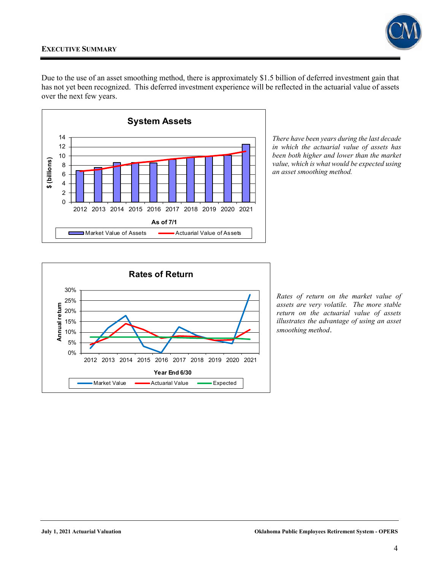

Due to the use of an asset smoothing method, there is approximately \$1.5 billion of deferred investment gain that has not yet been recognized. This deferred investment experience will be reflected in the actuarial value of assets over the next few years.



*There have been years during the last decade in which the actuarial value of assets has been both higher and lower than the market value, which is what would be expected using an asset smoothing method.* 



*Rates of return on the market value of assets are very volatile. The more stable return on the actuarial value of assets illustrates the advantage of using an asset smoothing method*.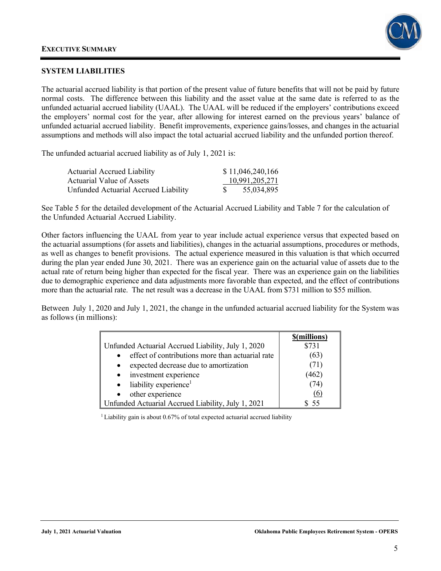

#### **SYSTEM LIABILITIES**

The actuarial accrued liability is that portion of the present value of future benefits that will not be paid by future normal costs. The difference between this liability and the asset value at the same date is referred to as the unfunded actuarial accrued liability (UAAL). The UAAL will be reduced if the employers' contributions exceed the employers' normal cost for the year, after allowing for interest earned on the previous years' balance of unfunded actuarial accrued liability. Benefit improvements, experience gains/losses, and changes in the actuarial assumptions and methods will also impact the total actuarial accrued liability and the unfunded portion thereof.

The unfunded actuarial accrued liability as of July 1, 2021 is:

| <b>Actuarial Accrued Liability</b>   | \$11,046,240,166 |
|--------------------------------------|------------------|
| Actuarial Value of Assets            | 10,991,205,271   |
| Unfunded Actuarial Accrued Liability | 55,034,895       |

See Table 5 for the detailed development of the Actuarial Accrued Liability and Table 7 for the calculation of the Unfunded Actuarial Accrued Liability.

Other factors influencing the UAAL from year to year include actual experience versus that expected based on the actuarial assumptions (for assets and liabilities), changes in the actuarial assumptions, procedures or methods, as well as changes to benefit provisions. The actual experience measured in this valuation is that which occurred during the plan year ended June 30, 2021. There was an experience gain on the actuarial value of assets due to the actual rate of return being higher than expected for the fiscal year. There was an experience gain on the liabilities due to demographic experience and data adjustments more favorable than expected, and the effect of contributions more than the actuarial rate. The net result was a decrease in the UAAL from \$731 million to \$55 million.

Between July 1, 2020 and July 1, 2021, the change in the unfunded actuarial accrued liability for the System was as follows (in millions):

|                                                               | \$(millions) |
|---------------------------------------------------------------|--------------|
| Unfunded Actuarial Accrued Liability, July 1, 2020            | \$731        |
| effect of contributions more than actuarial rate<br>$\bullet$ | (63)         |
| expected decrease due to amortization<br>$\bullet$            |              |
| • investment experience                                       | (462)        |
| liability experience <sup>1</sup><br>$\bullet$                | 74           |
| other experience<br>$\bullet$                                 | (6)          |
| Unfunded Actuarial Accrued Liability, July 1, 2021            |              |

<sup>1</sup> Liability gain is about 0.67% of total expected actuarial accrued liability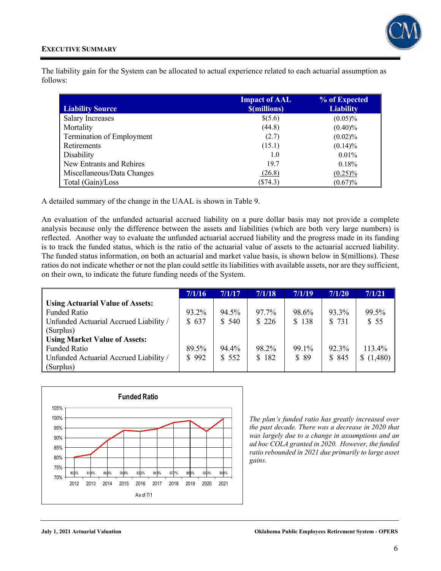The liability gain for the System can be allocated to actual experience related to each actuarial assumption as follows:

| <b>Liability Source</b>    | <b>Impact of AAL</b><br><b><i><u>S(millions)</u></i></b> | % of Expected<br><b>Liability</b> |
|----------------------------|----------------------------------------------------------|-----------------------------------|
| <b>Salary Increases</b>    | \$(5.6)                                                  | $(0.05)\%$                        |
| Mortality                  | (44.8)                                                   | $(0.40)\%$                        |
| Termination of Employment  | (2.7)                                                    | $(0.02)\%$                        |
| Retirements                | (15.1)                                                   | $(0.14)\%$                        |
| Disability                 | 1.0                                                      | $0.01\%$                          |
| New Entrants and Rehires   | 19.7                                                     | 0.18%                             |
| Miscellaneous/Data Changes | (26.8)                                                   | $(0.25)\%$                        |
| Total (Gain)/Loss          | $(\$74.3)$                                               | $(0.67)\%$                        |

A detailed summary of the change in the UAAL is shown in Table 9.

An evaluation of the unfunded actuarial accrued liability on a pure dollar basis may not provide a complete analysis because only the difference between the assets and liabilities (which are both very large numbers) is reflected. Another way to evaluate the unfunded actuarial accrued liability and the progress made in its funding is to track the funded status, which is the ratio of the actuarial value of assets to the actuarial accrued liability. The funded status information, on both an actuarial and market value basis, is shown below in \$(millions). These ratios do not indicate whether or not the plan could settle its liabilities with available assets, nor are they sufficient, on their own, to indicate the future funding needs of the System.

|                                         | 7/1/16 | 7/1/17 | 7/1/18 | 7/1/19 | 7/1/20 | 7/1/21        |
|-----------------------------------------|--------|--------|--------|--------|--------|---------------|
| <b>Using Actuarial Value of Assets:</b> |        |        |        |        |        |               |
| Funded Ratio                            | 93.2%  | 94.5%  | 97.7%  | 98.6%  | 93.3%  | 99.5%         |
| Unfunded Actuarial Accrued Liability /  | \$637  | \$540  | \$226  | \$138  | \$731  | \$55          |
| (Surplus)                               |        |        |        |        |        |               |
| <b>Using Market Value of Assets:</b>    |        |        |        |        |        |               |
| <b>Funded Ratio</b>                     | 89.5%  | 94.4%  | 98.2%  | 99.1%  | 92.3%  | 113.4%        |
| Unfunded Actuarial Accrued Liability /  | \$992  | \$552  | \$182  | \$89   | \$ 845 | (1,480)<br>S. |
| (Surplus)                               |        |        |        |        |        |               |



*The plan's funded ratio has greatly increased over the past decade. There was a decrease in 2020 that was largely due to a change in assumptions and an ad hoc COLA granted in 2020. However, the funded ratio rebounded in 2021 due primarily to large asset gains.*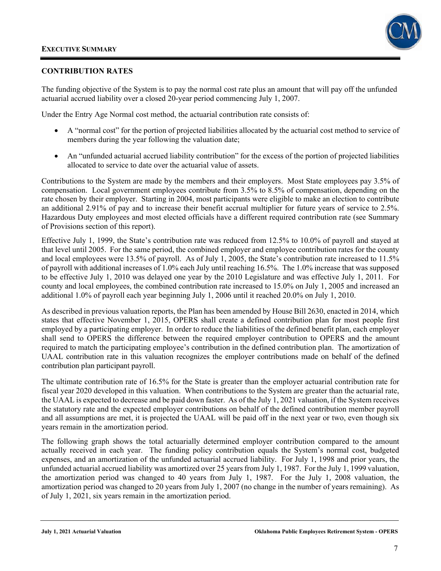

#### **CONTRIBUTION RATES**

The funding objective of the System is to pay the normal cost rate plus an amount that will pay off the unfunded actuarial accrued liability over a closed 20-year period commencing July 1, 2007.

Under the Entry Age Normal cost method, the actuarial contribution rate consists of:

- A "normal cost" for the portion of projected liabilities allocated by the actuarial cost method to service of members during the year following the valuation date;
- An "unfunded actuarial accrued liability contribution" for the excess of the portion of projected liabilities allocated to service to date over the actuarial value of assets.

Contributions to the System are made by the members and their employers. Most State employees pay 3.5% of compensation. Local government employees contribute from 3.5% to 8.5% of compensation, depending on the rate chosen by their employer. Starting in 2004, most participants were eligible to make an election to contribute an additional 2.91% of pay and to increase their benefit accrual multiplier for future years of service to 2.5%. Hazardous Duty employees and most elected officials have a different required contribution rate (see Summary of Provisions section of this report).

Effective July 1, 1999, the State's contribution rate was reduced from 12.5% to 10.0% of payroll and stayed at that level until 2005. For the same period, the combined employer and employee contribution rates for the county and local employees were 13.5% of payroll. As of July 1, 2005, the State's contribution rate increased to 11.5% of payroll with additional increases of 1.0% each July until reaching 16.5%. The 1.0% increase that was supposed to be effective July 1, 2010 was delayed one year by the 2010 Legislature and was effective July 1, 2011. For county and local employees, the combined contribution rate increased to 15.0% on July 1, 2005 and increased an additional 1.0% of payroll each year beginning July 1, 2006 until it reached 20.0% on July 1, 2010.

As described in previous valuation reports, the Plan has been amended by House Bill 2630, enacted in 2014, which states that effective November 1, 2015, OPERS shall create a defined contribution plan for most people first employed by a participating employer. In order to reduce the liabilities of the defined benefit plan, each employer shall send to OPERS the difference between the required employer contribution to OPERS and the amount required to match the participating employee's contribution in the defined contribution plan. The amortization of UAAL contribution rate in this valuation recognizes the employer contributions made on behalf of the defined contribution plan participant payroll.

The ultimate contribution rate of 16.5% for the State is greater than the employer actuarial contribution rate for fiscal year 2020 developed in this valuation. When contributions to the System are greater than the actuarial rate, the UAAL is expected to decrease and be paid down faster. As of the July 1, 2021 valuation, if the System receives the statutory rate and the expected employer contributions on behalf of the defined contribution member payroll and all assumptions are met, it is projected the UAAL will be paid off in the next year or two, even though six years remain in the amortization period.

The following graph shows the total actuarially determined employer contribution compared to the amount actually received in each year. The funding policy contribution equals the System's normal cost, budgeted expenses, and an amortization of the unfunded actuarial accrued liability. For July 1, 1998 and prior years, the unfunded actuarial accrued liability was amortized over 25 years from July 1, 1987. For the July 1, 1999 valuation, the amortization period was changed to 40 years from July 1, 1987. For the July 1, 2008 valuation, the amortization period was changed to 20 years from July 1, 2007 (no change in the number of years remaining). As of July 1, 2021, six years remain in the amortization period.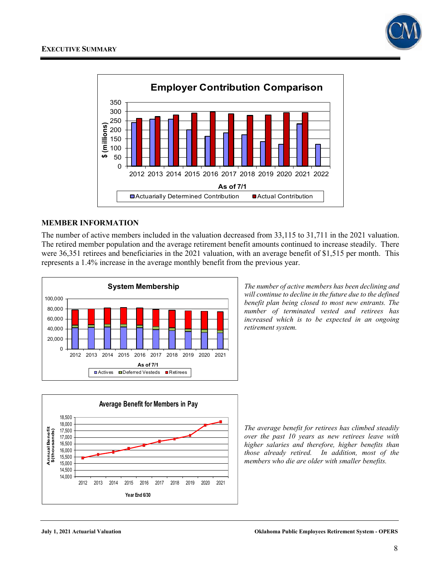



#### **MEMBER INFORMATION**

The number of active members included in the valuation decreased from 33,115 to 31,711 in the 2021 valuation. The retired member population and the average retirement benefit amounts continued to increase steadily. There were 36,351 retirees and beneficiaries in the 2021 valuation, with an average benefit of \$1,515 per month. This represents a 1.4% increase in the average monthly benefit from the previous year.



**Average Benefit for Members in Pay**18,500 18,000 Annual Benefit<br>\$(thousands) **Annual Benefit \$(thousands)**  17,500 17,000 16,500 16,000 15,500 15,000 14,500 14,000 2012 2013 2014 2015 2016 2017 2018 2019 2020 2021 **Year End 6/30**

*The number of active members has been declining and will continue to decline in the future due to the defined benefit plan being closed to most new entrants. The number of terminated vested and retirees has increased which is to be expected in an ongoing retirement system.* 

*The average benefit for retirees has climbed steadily over the past 10 years as new retirees leave with higher salaries and therefore, higher benefits than those already retired. In addition, most of the members who die are older with smaller benefits.*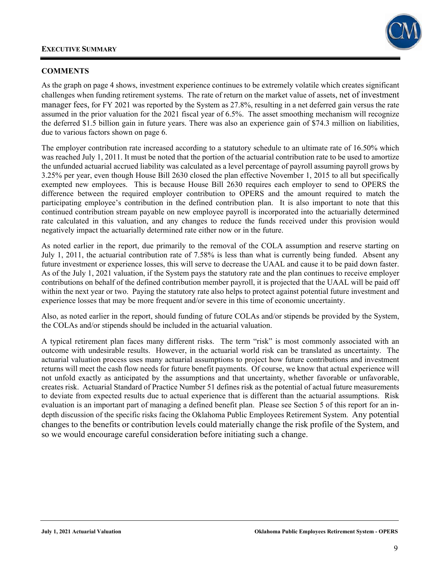

#### **COMMENTS**

As the graph on page 4 shows, investment experience continues to be extremely volatile which creates significant challenges when funding retirement systems. The rate of return on the market value of assets, net of investment manager fees, for FY 2021 was reported by the System as 27.8%, resulting in a net deferred gain versus the rate assumed in the prior valuation for the 2021 fiscal year of 6.5%. The asset smoothing mechanism will recognize the deferred \$1.5 billion gain in future years. There was also an experience gain of \$74.3 million on liabilities, due to various factors shown on page 6.

The employer contribution rate increased according to a statutory schedule to an ultimate rate of 16.50% which was reached July 1, 2011. It must be noted that the portion of the actuarial contribution rate to be used to amortize the unfunded actuarial accrued liability was calculated as a level percentage of payroll assuming payroll grows by 3.25% per year, even though House Bill 2630 closed the plan effective November 1, 2015 to all but specifically exempted new employees. This is because House Bill 2630 requires each employer to send to OPERS the difference between the required employer contribution to OPERS and the amount required to match the participating employee's contribution in the defined contribution plan. It is also important to note that this continued contribution stream payable on new employee payroll is incorporated into the actuarially determined rate calculated in this valuation, and any changes to reduce the funds received under this provision would negatively impact the actuarially determined rate either now or in the future.

As noted earlier in the report, due primarily to the removal of the COLA assumption and reserve starting on July 1, 2011, the actuarial contribution rate of 7.58% is less than what is currently being funded. Absent any future investment or experience losses, this will serve to decrease the UAAL and cause it to be paid down faster. As of the July 1, 2021 valuation, if the System pays the statutory rate and the plan continues to receive employer contributions on behalf of the defined contribution member payroll, it is projected that the UAAL will be paid off within the next year or two. Paying the statutory rate also helps to protect against potential future investment and experience losses that may be more frequent and/or severe in this time of economic uncertainty.

Also, as noted earlier in the report, should funding of future COLAs and/or stipends be provided by the System, the COLAs and/or stipends should be included in the actuarial valuation.

A typical retirement plan faces many different risks. The term "risk" is most commonly associated with an outcome with undesirable results. However, in the actuarial world risk can be translated as uncertainty. The actuarial valuation process uses many actuarial assumptions to project how future contributions and investment returns will meet the cash flow needs for future benefit payments. Of course, we know that actual experience will not unfold exactly as anticipated by the assumptions and that uncertainty, whether favorable or unfavorable, creates risk. Actuarial Standard of Practice Number 51 defines risk as the potential of actual future measurements to deviate from expected results due to actual experience that is different than the actuarial assumptions. Risk evaluation is an important part of managing a defined benefit plan. Please see Section 5 of this report for an indepth discussion of the specific risks facing the Oklahoma Public Employees Retirement System. Any potential changes to the benefits or contribution levels could materially change the risk profile of the System, and so we would encourage careful consideration before initiating such a change.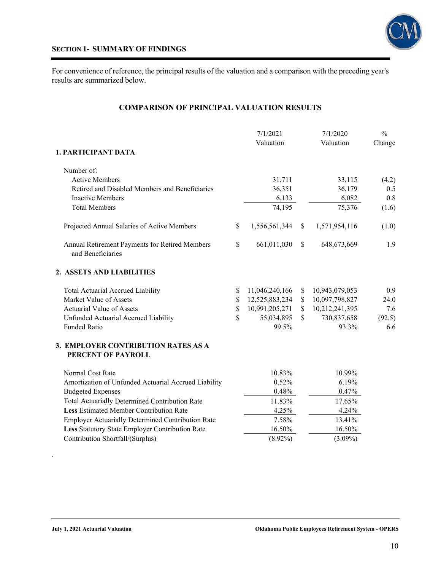

#### **SECTION 1- SUMMARY OF FINDINGS**

For convenience of reference, the principal results of the valuation and a comparison with the preceding year's results are summarized below.

### **COMPARISON OF PRINCIPAL VALUATION RESULTS**

|                                                                     |              | 7/1/2021         |              | 7/1/2020         | $\frac{0}{0}$ |
|---------------------------------------------------------------------|--------------|------------------|--------------|------------------|---------------|
| 1. PARTICIPANT DATA                                                 |              | Valuation        |              | Valuation        | Change        |
|                                                                     |              |                  |              |                  |               |
| Number of:<br><b>Active Members</b>                                 |              |                  |              |                  |               |
| Retired and Disabled Members and Beneficiaries                      |              | 31,711<br>36,351 |              | 33,115<br>36,179 | (4.2)<br>0.5  |
| <b>Inactive Members</b>                                             |              | 6,133            |              | 6,082            | 0.8           |
| <b>Total Members</b>                                                |              | 74,195           |              | 75,376           | (1.6)         |
| Projected Annual Salaries of Active Members                         | $\mathbb{S}$ | 1,556,561,344    | $\$$         | 1,571,954,116    | (1.0)         |
| Annual Retirement Payments for Retired Members<br>and Beneficiaries | $\mathbb{S}$ | 661,011,030      | $\mathbb{S}$ | 648, 673, 669    | 1.9           |
| 2. ASSETS AND LIABILITIES                                           |              |                  |              |                  |               |
| Total Actuarial Accrued Liability                                   | \$           | 11,046,240,166   | \$           | 10,943,079,053   | 0.9           |
| Market Value of Assets                                              | \$           | 12,525,883,234   | \$           | 10,097,798,827   | 24.0          |
| Actuarial Value of Assets                                           | $\mathbb S$  | 10,991,205,271   | $\mathbb S$  | 10,212,241,395   | 7.6           |
| Unfunded Actuarial Accrued Liability                                | \$           | 55,034,895       | \$           | 730,837,658      | (92.5)        |
| <b>Funded Ratio</b>                                                 |              | 99.5%            |              | 93.3%            | 6.6           |
| 3. EMPLOYER CONTRIBUTION RATES AS A<br>PERCENT OF PAYROLL           |              |                  |              |                  |               |
| Normal Cost Rate                                                    |              | 10.83%           |              | 10.99%           |               |
| Amortization of Unfunded Actuarial Accrued Liability                |              | 0.52%            |              | 6.19%            |               |
| <b>Budgeted Expenses</b>                                            |              | 0.48%            |              | 0.47%            |               |
| <b>Total Actuarially Determined Contribution Rate</b>               |              | 11.83%           |              | 17.65%           |               |
| Less Estimated Member Contribution Rate                             |              | 4.25%            |              | 4.24%            |               |
| <b>Employer Actuarially Determined Contribution Rate</b>            |              | 7.58%            |              | 13.41%           |               |
| Less Statutory State Employer Contribution Rate                     |              | 16.50%           |              | 16.50%           |               |
| Contribution Shortfall/(Surplus)                                    |              | $(8.92\%)$       |              | $(3.09\%)$       |               |

.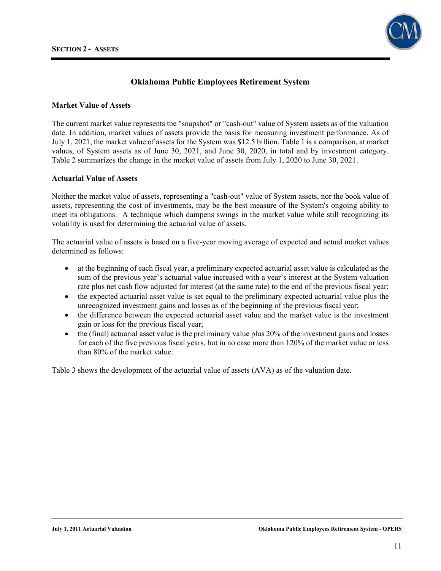

#### **Market Value of Assets**

The current market value represents the "snapshot" or "cash-out" value of System assets as of the valuation date. In addition, market values of assets provide the basis for measuring investment performance. As of July 1, 2021, the market value of assets for the System was \$12.5 billion. Table 1 is a comparison, at market values, of System assets as of June 30, 2021, and June 30, 2020, in total and by investment category. Table 2 summarizes the change in the market value of assets from July 1, 2020 to June 30, 2021.

#### **Actuarial Value of Assets**

Neither the market value of assets, representing a "cash-out" value of System assets, nor the book value of assets, representing the cost of investments, may be the best measure of the System's ongoing ability to meet its obligations. A technique which dampens swings in the market value while still recognizing its volatility is used for determining the actuarial value of assets.

The actuarial value of assets is based on a five-year moving average of expected and actual market values determined as follows:

- at the beginning of each fiscal year, a preliminary expected actuarial asset value is calculated as the sum of the previous year's actuarial value increased with a year's interest at the System valuation rate plus net cash flow adjusted for interest (at the same rate) to the end of the previous fiscal year;
- the expected actuarial asset value is set equal to the preliminary expected actuarial value plus the unrecognized investment gains and losses as of the beginning of the previous fiscal year;
- the difference between the expected actuarial asset value and the market value is the investment gain or loss for the previous fiscal year;
- the (final) actuarial asset value is the preliminary value plus 20% of the investment gains and losses for each of the five previous fiscal years, but in no case more than 120% of the market value or less than 80% of the market value.

Table 3 shows the development of the actuarial value of assets (AVA) as of the valuation date.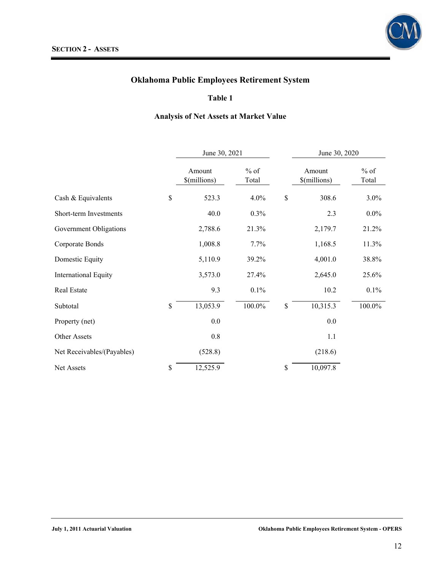

### **Table 1**

### **Analysis of Net Assets at Market Value**

|                             | June 30, 2021          |                 |              | June 30, 2020          |                 |
|-----------------------------|------------------------|-----------------|--------------|------------------------|-----------------|
|                             | Amount<br>\$(millions) | $%$ of<br>Total |              | Amount<br>\$(millions) | $%$ of<br>Total |
| Cash & Equivalents          | \$<br>523.3            | 4.0%            | \$           | 308.6                  | $3.0\%$         |
| Short-term Investments      | 40.0                   | 0.3%            |              | 2.3                    | $0.0\%$         |
| Government Obligations      | 2,788.6                | 21.3%           |              | 2,179.7                | 21.2%           |
| Corporate Bonds             | 1,008.8                | 7.7%            |              | 1,168.5                | 11.3%           |
| Domestic Equity             | 5,110.9                | 39.2%           |              | 4,001.0                | 38.8%           |
| <b>International Equity</b> | 3,573.0                | 27.4%           |              | 2,645.0                | 25.6%           |
| Real Estate                 | 9.3                    | 0.1%            |              | 10.2                   | 0.1%            |
| Subtotal                    | \$<br>13,053.9         | 100.0%          | $\mathbb{S}$ | 10,315.3               | 100.0%          |
| Property (net)              | $0.0\,$                |                 |              | 0.0                    |                 |
| Other Assets                | 0.8                    |                 |              | 1.1                    |                 |
| Net Receivables/(Payables)  | (528.8)                |                 |              | (218.6)                |                 |
| Net Assets                  | \$<br>12,525.9         |                 | \$           | 10,097.8               |                 |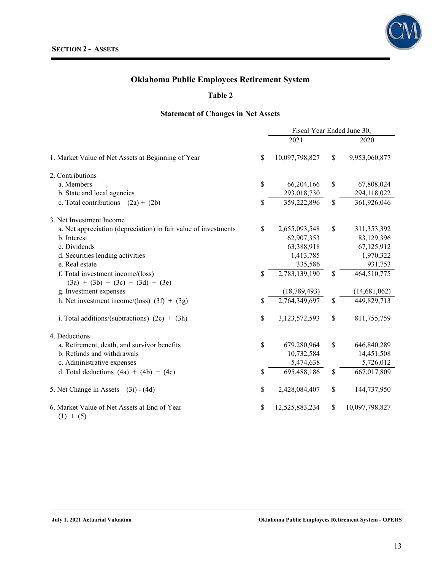

#### **Table 2**

### **Statement of Changes in Net Assets**

|                                                                 | Fiscal Year Ended June 30, |                |               |                |  |
|-----------------------------------------------------------------|----------------------------|----------------|---------------|----------------|--|
|                                                                 |                            | 2021           |               | 2020           |  |
| 1. Market Value of Net Assets at Beginning of Year              | \$                         | 10,097,798,827 | $\mathcal{S}$ | 9,953,060,877  |  |
| 2. Contributions                                                |                            |                |               |                |  |
| a. Members                                                      | \$                         | 66,204,166     | \$            | 67,808,024     |  |
| b. State and local agencies                                     |                            | 293,018,730    |               | 294,118,022    |  |
| c. Total contributions $(2a) + (2b)$                            | \$                         | 359,222,896    | \$            | 361,926,046    |  |
| 3. Net Investment Income                                        |                            |                |               |                |  |
| a. Net appreciation (depreciation) in fair value of investments | \$                         | 2,655,093,548  | \$            | 311,353,392    |  |
| b. Interest                                                     |                            | 62,907,353     |               | 83,129,396     |  |
| c. Dividends                                                    |                            | 63,388,918     |               | 67,125,912     |  |
| d. Securities lending activities                                |                            | 1,413,785      |               | 1,970,322      |  |
| e. Real estate                                                  |                            | 335,586        |               | 931,753        |  |
| f. Total investment income/(loss)                               | \$                         | 2,783,139,190  | \$            | 464,510,775    |  |
| $(3a) + (3b) + (3c) + (3d) + (3e)$                              |                            |                |               |                |  |
| g. Investment expenses                                          |                            | (18, 789, 493) |               | (14,681,062)   |  |
| h. Net investment income/(loss) $(3f) + (3g)$                   | \$                         | 2,764,349,697  | $\mathcal{S}$ | 449,829,713    |  |
| i. Total additions/(subtractions) $(2c) + (3h)$                 | \$                         | 3,123,572,593  | \$            | 811,755,759    |  |
| 4. Deductions                                                   |                            |                |               |                |  |
| a. Retirement, death, and survivor benefits                     | \$                         | 679,280,964    | \$            | 646,840,289    |  |
| b. Refunds and withdrawals                                      |                            | 10,732,584     |               | 14,451,508     |  |
| c. Administrative expenses                                      |                            | 5,474,638      |               | 5,726,012      |  |
| d. Total deductions $(4a) + (4b) + (4c)$                        | \$                         | 695,488,186    | \$            | 667,017,809    |  |
| 5. Net Change in Assets<br>$(3i) - (4d)$                        | \$                         | 2,428,084,407  | \$            | 144,737,950    |  |
| 6. Market Value of Net Assets at End of Year<br>$(1) + (5)$     | \$                         | 12,525,883,234 | \$            | 10,097,798,827 |  |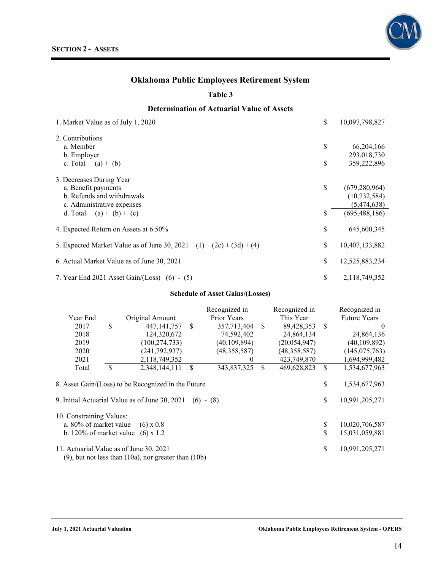#### **Table 3**

### **Determination of Actuarial Value of Assets**

| 1. Market Value as of July 1, 2020                                     | \$<br>10,097,798,827  |
|------------------------------------------------------------------------|-----------------------|
| 2. Contributions                                                       |                       |
| a. Member                                                              | \$<br>66, 204, 166    |
| b. Employer                                                            | 293,018,730           |
| c. Total $(a) + (b)$                                                   | \$<br>359,222,896     |
| 3. Decreases During Year                                               |                       |
| a. Benefit payments                                                    | \$<br>(679, 280, 964) |
| b. Refunds and withdrawals                                             | (10, 732, 584)        |
| c. Administrative expenses                                             | (5,474,638)           |
| $(a) + (b) + (c)$<br>d. Total                                          | \$<br>(695, 488, 186) |
| 4. Expected Return on Assets at 6.50%                                  | \$<br>645,600,345     |
| 5. Expected Market Value as of June 30, 2021 $(1) + (2c) + (3d) + (4)$ | \$<br>10,407,133,882  |
| 6. Actual Market Value as of June 30, 2021                             | \$<br>12,525,883,234  |
| 7. Year End 2021 Asset Gain/(Loss) $(6) - (5)$                         | \$<br>2,118,749,352   |

#### **Schedule of Asset Gains/(Losses)**

|                          |                                                              |                                                     |               | Recognized in  |               | Recognized in  |               | Recognized in       |  |
|--------------------------|--------------------------------------------------------------|-----------------------------------------------------|---------------|----------------|---------------|----------------|---------------|---------------------|--|
| Year End                 |                                                              | Original Amount                                     |               | Prior Years    |               | This Year      |               | <b>Future Years</b> |  |
| 2017                     | \$                                                           | 447, 141, 757                                       | -S            | 357,713,404    | <sup>\$</sup> | 89,428,353     | <sup>\$</sup> | $\theta$            |  |
| 2018                     |                                                              | 124,320,672                                         |               | 74,592,402     |               | 24,864,134     |               | 24,864,136          |  |
| 2019                     |                                                              | (100, 274, 733)                                     |               | (40, 109, 894) |               | (20, 054, 947) |               | (40, 109, 892)      |  |
| 2020                     |                                                              | (241, 792, 937)                                     |               | (48, 358, 587) |               | (48, 358, 587) |               | (145, 075, 763)     |  |
| 2021                     |                                                              | 2,118,749,352                                       |               | $\bf{0}$       |               | 423,749,870    |               | 1,694,999,482       |  |
| Total                    | \$                                                           | 2,348,144,111                                       | <sup>\$</sup> | 343,837,325    | <sup>\$</sup> | 469,628,823    | $\mathbb{S}$  | 1,534,677,963       |  |
|                          |                                                              |                                                     |               |                |               |                |               |                     |  |
|                          |                                                              | 8. Asset Gain/(Loss) to be Recognized in the Future |               |                |               |                | \$            | 1,534,677,963       |  |
|                          |                                                              |                                                     |               |                |               |                |               |                     |  |
|                          |                                                              | 9. Initial Actuarial Value as of June 30, 2021      |               | $(6) - (8)$    |               |                | \$            | 10,991,205,271      |  |
|                          |                                                              |                                                     |               |                |               |                |               |                     |  |
| 10. Constraining Values: |                                                              |                                                     |               |                |               |                |               |                     |  |
| a. 80% of market value   |                                                              | $(6) \times 0.8$                                    |               |                |               |                | \$            | 10,020,706,587      |  |
| b. 120% of market value  |                                                              | $(6) \times 1.2$                                    |               |                |               |                | \$            | 15,031,059,881      |  |
|                          |                                                              |                                                     |               |                |               |                |               |                     |  |
|                          |                                                              | 11. Actuarial Value as of June 30, 2021             |               |                |               |                | \$            | 10,991,205,271      |  |
|                          | $(9)$ , but not less than $(10a)$ , nor greater than $(10b)$ |                                                     |               |                |               |                |               |                     |  |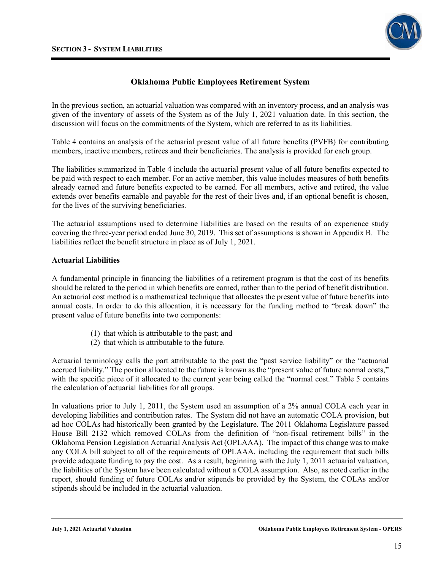

In the previous section, an actuarial valuation was compared with an inventory process, and an analysis was given of the inventory of assets of the System as of the July 1, 2021 valuation date. In this section, the discussion will focus on the commitments of the System, which are referred to as its liabilities.

Table 4 contains an analysis of the actuarial present value of all future benefits (PVFB) for contributing members, inactive members, retirees and their beneficiaries. The analysis is provided for each group.

The liabilities summarized in Table 4 include the actuarial present value of all future benefits expected to be paid with respect to each member. For an active member, this value includes measures of both benefits already earned and future benefits expected to be earned. For all members, active and retired, the value extends over benefits earnable and payable for the rest of their lives and, if an optional benefit is chosen, for the lives of the surviving beneficiaries.

The actuarial assumptions used to determine liabilities are based on the results of an experience study covering the three-year period ended June 30, 2019. This set of assumptions is shown in Appendix B. The liabilities reflect the benefit structure in place as of July 1, 2021.

#### **Actuarial Liabilities**

A fundamental principle in financing the liabilities of a retirement program is that the cost of its benefits should be related to the period in which benefits are earned, rather than to the period of benefit distribution. An actuarial cost method is a mathematical technique that allocates the present value of future benefits into annual costs. In order to do this allocation, it is necessary for the funding method to "break down" the present value of future benefits into two components:

- (1) that which is attributable to the past; and
- (2) that which is attributable to the future.

Actuarial terminology calls the part attributable to the past the "past service liability" or the "actuarial accrued liability." The portion allocated to the future is known as the "present value of future normal costs," with the specific piece of it allocated to the current year being called the "normal cost." Table 5 contains the calculation of actuarial liabilities for all groups.

In valuations prior to July 1, 2011, the System used an assumption of a 2% annual COLA each year in developing liabilities and contribution rates. The System did not have an automatic COLA provision, but ad hoc COLAs had historically been granted by the Legislature. The 2011 Oklahoma Legislature passed House Bill 2132 which removed COLAs from the definition of "non-fiscal retirement bills" in the Oklahoma Pension Legislation Actuarial Analysis Act (OPLAAA). The impact of this change was to make any COLA bill subject to all of the requirements of OPLAAA, including the requirement that such bills provide adequate funding to pay the cost. As a result, beginning with the July 1, 2011 actuarial valuation, the liabilities of the System have been calculated without a COLA assumption. Also, as noted earlier in the report, should funding of future COLAs and/or stipends be provided by the System, the COLAs and/or stipends should be included in the actuarial valuation.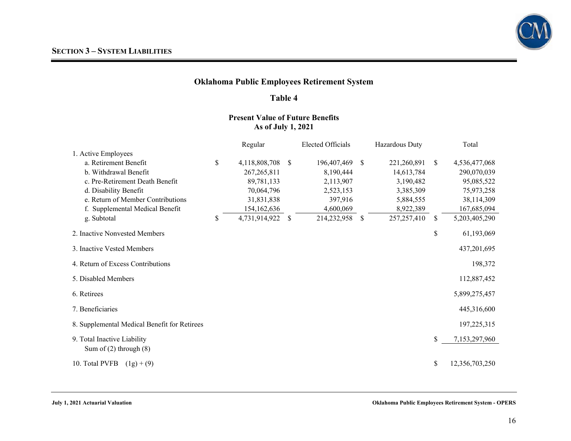

#### **Table 4**

### **Present Value of Future Benefits As of July 1, 2021**

|                                                           | Regular             |              | <b>Elected Officials</b> |               | Hazardous Duty |               | Total          |
|-----------------------------------------------------------|---------------------|--------------|--------------------------|---------------|----------------|---------------|----------------|
| 1. Active Employees                                       |                     |              |                          |               |                |               |                |
| a. Retirement Benefit                                     | \$<br>4,118,808,708 | -S           | 196,407,469              | <sup>\$</sup> | 221,260,891    | <sup>S</sup>  | 4,536,477,068  |
| b. Withdrawal Benefit                                     | 267, 265, 811       |              | 8,190,444                |               | 14,613,784     |               | 290,070,039    |
| c. Pre-Retirement Death Benefit                           | 89,781,133          |              | 2,113,907                |               | 3,190,482      |               | 95,085,522     |
| d. Disability Benefit                                     | 70,064,796          |              | 2,523,153                |               | 3,385,309      |               | 75,973,258     |
| e. Return of Member Contributions                         | 31,831,838          |              | 397,916                  |               | 5,884,555      |               | 38,114,309     |
| f. Supplemental Medical Benefit                           | 154,162,636         |              | 4,600,069                |               | 8,922,389      |               | 167,685,094    |
| g. Subtotal                                               | \$<br>4,731,914,922 | <sup>S</sup> | 214,232,958              | \$            | 257, 257, 410  | <sup>\$</sup> | 5,203,405,290  |
| 2. Inactive Nonvested Members                             |                     |              |                          |               |                | \$            | 61,193,069     |
| 3. Inactive Vested Members                                |                     |              |                          |               |                |               | 437,201,695    |
| 4. Return of Excess Contributions                         |                     |              |                          |               |                |               | 198,372        |
| 5. Disabled Members                                       |                     |              |                          |               |                |               | 112,887,452    |
| 6. Retirees                                               |                     |              |                          |               |                |               | 5,899,275,457  |
| 7. Beneficiaries                                          |                     |              |                          |               |                |               | 445,316,600    |
| 8. Supplemental Medical Benefit for Retirees              |                     |              |                          |               |                |               | 197,225,315    |
| 9. Total Inactive Liability<br>Sum of $(2)$ through $(8)$ |                     |              |                          |               |                | \$            | 7,153,297,960  |
|                                                           |                     |              |                          |               |                |               |                |
| 10. Total PVFB<br>$(1g) + (9)$                            |                     |              |                          |               |                | \$            | 12,356,703,250 |

**July 1, 2021 Actuarial Valuation Oklahoma Public Employees Retirement System - OPERS**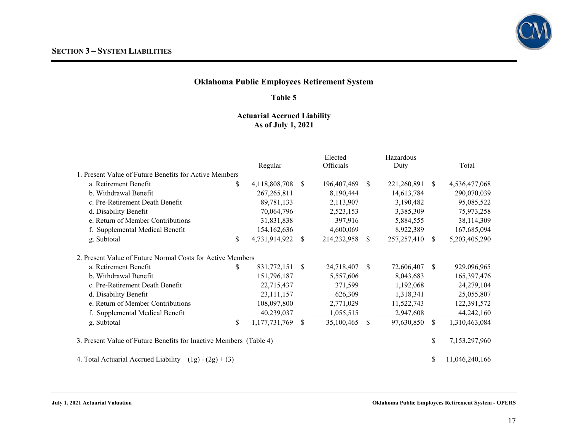

#### **Table 5**

### **Actuarial Accrued Liability As of July 1, 2021**

|                                                                    |    | Regular       |               | Elected<br>Officials |              | Hazardous<br>Duty |     | Total          |
|--------------------------------------------------------------------|----|---------------|---------------|----------------------|--------------|-------------------|-----|----------------|
| 1. Present Value of Future Benefits for Active Members             |    |               |               |                      |              |                   |     |                |
| a. Retirement Benefit                                              | \$ | 4,118,808,708 | -S            | 196,407,469          | \$.          | 221,260,891       | \$. | 4,536,477,068  |
| b. Withdrawal Benefit                                              |    | 267, 265, 811 |               | 8,190,444            |              | 14,613,784        |     | 290,070,039    |
| c. Pre-Retirement Death Benefit                                    |    | 89,781,133    |               | 2,113,907            |              | 3,190,482         |     | 95,085,522     |
| d. Disability Benefit                                              |    | 70,064,796    |               | 2,523,153            |              | 3,385,309         |     | 75,973,258     |
| e. Return of Member Contributions                                  |    | 31,831,838    |               | 397,916              |              | 5,884,555         |     | 38,114,309     |
| f. Supplemental Medical Benefit                                    |    | 154,162,636   |               | 4,600,069            |              | 8,922,389         |     | 167,685,094    |
| g. Subtotal                                                        | \$ | 4,731,914,922 | <sup>\$</sup> | 214,232,958          | <sup>S</sup> | 257, 257, 410     | S.  | 5,203,405,290  |
| 2. Present Value of Future Normal Costs for Active Members         |    |               |               |                      |              |                   |     |                |
| a. Retirement Benefit                                              | \$ | 831,772,151   | <sup>S</sup>  | 24,718,407           | \$           | 72,606,407        | S.  | 929,096,965    |
| b. Withdrawal Benefit                                              |    | 151,796,187   |               | 5,557,606            |              | 8,043,683         |     | 165,397,476    |
| c. Pre-Retirement Death Benefit                                    |    | 22,715,437    |               | 371,599              |              | 1,192,068         |     | 24,279,104     |
| d. Disability Benefit                                              |    | 23,111,157    |               | 626,309              |              | 1,318,341         |     | 25,055,807     |
| e. Return of Member Contributions                                  |    | 108,097,800   |               | 2,771,029            |              | 11,522,743        |     | 122,391,572    |
| f. Supplemental Medical Benefit                                    |    | 40,239,037    |               | 1,055,515            |              | 2,947,608         |     | 44,242,160     |
| g. Subtotal                                                        | \$ | 1,177,731,769 | <sup>S</sup>  | 35,100,465           | \$           | 97,630,850        | \$  | 1,310,463,084  |
| 3. Present Value of Future Benefits for Inactive Members (Table 4) |    |               |               |                      |              |                   | \$  | 7,153,297,960  |
| 4. Total Actuarial Accrued Liability<br>\$.<br>$(1g) - (2g) + (3)$ |    |               |               |                      |              |                   |     | 11,046,240,166 |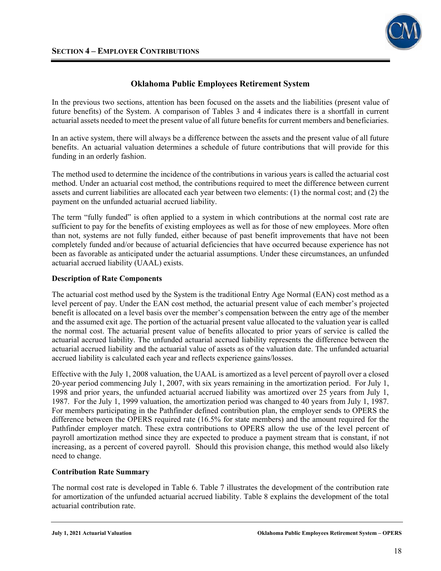

In the previous two sections, attention has been focused on the assets and the liabilities (present value of future benefits) of the System. A comparison of Tables 3 and 4 indicates there is a shortfall in current actuarial assets needed to meet the present value of all future benefits for current members and beneficiaries.

In an active system, there will always be a difference between the assets and the present value of all future benefits. An actuarial valuation determines a schedule of future contributions that will provide for this funding in an orderly fashion.

The method used to determine the incidence of the contributions in various years is called the actuarial cost method. Under an actuarial cost method, the contributions required to meet the difference between current assets and current liabilities are allocated each year between two elements: (1) the normal cost; and (2) the payment on the unfunded actuarial accrued liability.

The term "fully funded" is often applied to a system in which contributions at the normal cost rate are sufficient to pay for the benefits of existing employees as well as for those of new employees. More often than not, systems are not fully funded, either because of past benefit improvements that have not been completely funded and/or because of actuarial deficiencies that have occurred because experience has not been as favorable as anticipated under the actuarial assumptions. Under these circumstances, an unfunded actuarial accrued liability (UAAL) exists.

#### **Description of Rate Components**

The actuarial cost method used by the System is the traditional Entry Age Normal (EAN) cost method as a level percent of pay. Under the EAN cost method, the actuarial present value of each member's projected benefit is allocated on a level basis over the member's compensation between the entry age of the member and the assumed exit age. The portion of the actuarial present value allocated to the valuation year is called the normal cost. The actuarial present value of benefits allocated to prior years of service is called the actuarial accrued liability. The unfunded actuarial accrued liability represents the difference between the actuarial accrued liability and the actuarial value of assets as of the valuation date. The unfunded actuarial accrued liability is calculated each year and reflects experience gains/losses.

Effective with the July 1, 2008 valuation, the UAAL is amortized as a level percent of payroll over a closed 20-year period commencing July 1, 2007, with six years remaining in the amortization period. For July 1, 1998 and prior years, the unfunded actuarial accrued liability was amortized over 25 years from July 1, 1987. For the July 1, 1999 valuation, the amortization period was changed to 40 years from July 1, 1987. For members participating in the Pathfinder defined contribution plan, the employer sends to OPERS the difference between the OPERS required rate (16.5% for state members) and the amount required for the Pathfinder employer match. These extra contributions to OPERS allow the use of the level percent of payroll amortization method since they are expected to produce a payment stream that is constant, if not increasing, as a percent of covered payroll. Should this provision change, this method would also likely need to change.

#### **Contribution Rate Summary**

The normal cost rate is developed in Table 6. Table 7 illustrates the development of the contribution rate for amortization of the unfunded actuarial accrued liability. Table 8 explains the development of the total actuarial contribution rate.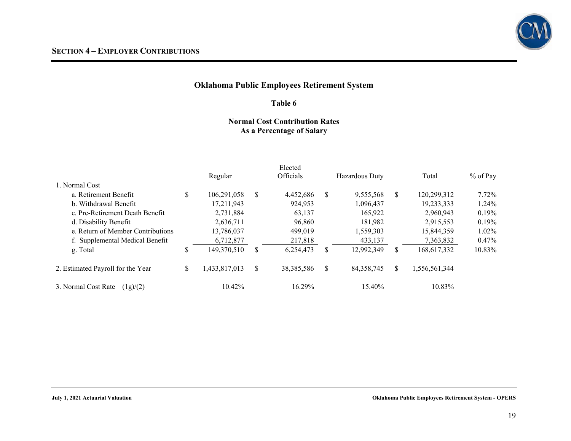

#### **Table 6**

#### **Normal Cost Contribution Rates As a Percentage of Salary**

|                                   | Regular             |    | Elected<br>Officials |    | Hazardous Duty |              | Total         | $%$ of Pay |
|-----------------------------------|---------------------|----|----------------------|----|----------------|--------------|---------------|------------|
| 1. Normal Cost                    |                     |    |                      |    |                |              |               |            |
| a. Retirement Benefit             | \$<br>106,291,058   | S. | 4,452,686            | S. | 9,555,568      | <sup>S</sup> | 120,299,312   | $7.72\%$   |
| b. Withdrawal Benefit             | 17,211,943          |    | 924,953              |    | 1.096.437      |              | 19,233,333    | 1.24%      |
| c. Pre-Retirement Death Benefit   | 2,731,884           |    | 63,137               |    | 165,922        |              | 2,960,943     | 0.19%      |
| d. Disability Benefit             | 2,636,711           |    | 96,860               |    | 181,982        |              | 2,915,553     | 0.19%      |
| e. Return of Member Contributions | 13,786,037          |    | 499,019              |    | 1,559,303      |              | 15,844,359    | $1.02\%$   |
| f. Supplemental Medical Benefit   | 6,712,877           |    | 217,818              |    | 433,137        |              | 7,363,832     | $0.47\%$   |
| g. Total                          | \$<br>149,370,510   | S  | 6,254,473            | S. | 12,992,349     | \$           | 168,617,332   | 10.83%     |
| 2. Estimated Payroll for the Year | \$<br>1,433,817,013 | \$ | 38, 385, 586         | \$ | 84, 358, 745   | \$           | 1,556,561,344 |            |
| 3. Normal Cost Rate<br>(1g)/(2)   | 10.42%              |    | 16.29%               |    | 15.40%         |              | 10.83%        |            |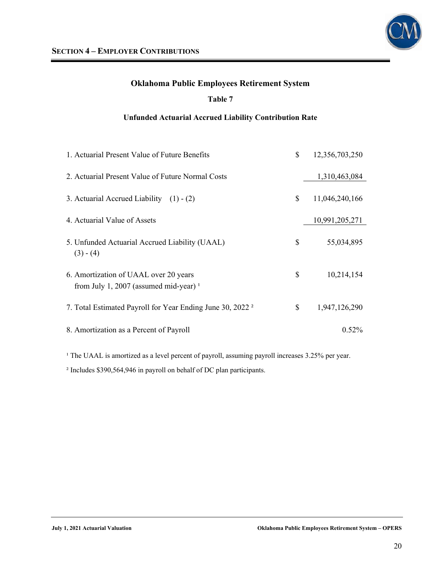

### **Table 7**

### **Unfunded Actuarial Accrued Liability Contribution Rate**

| 1. Actuarial Present Value of Future Benefits                                              | \$<br>12,356,703,250 |
|--------------------------------------------------------------------------------------------|----------------------|
| 2. Actuarial Present Value of Future Normal Costs                                          | 1,310,463,084        |
| 3. Actuarial Accrued Liability $(1) - (2)$                                                 | \$<br>11,046,240,166 |
| 4. Actuarial Value of Assets                                                               | 10,991,205,271       |
| 5. Unfunded Actuarial Accrued Liability (UAAL)<br>$(3) - (4)$                              | \$<br>55,034,895     |
| 6. Amortization of UAAL over 20 years<br>from July 1, 2007 (assumed mid-year) <sup>1</sup> | \$<br>10,214,154     |
| 7. Total Estimated Payroll for Year Ending June 30, 2022 <sup>2</sup>                      | \$<br>1,947,126,290  |
| 8. Amortization as a Percent of Payroll                                                    | $0.52\%$             |

<sup>1</sup> The UAAL is amortized as a level percent of payroll, assuming payroll increases 3.25% per year.

² Includes \$390,564,946 in payroll on behalf of DC plan participants.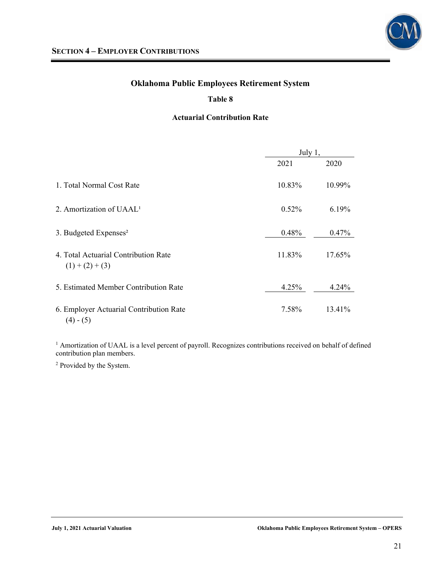

### **Table 8**

### **Actuarial Contribution Rate**

|                                                        | July $1,$ |          |  |
|--------------------------------------------------------|-----------|----------|--|
|                                                        | 2021      | 2020     |  |
| 1. Total Normal Cost Rate                              | 10.83%    | 10.99%   |  |
| 2. Amortization of UAAL <sup>1</sup>                   | 0.52%     | 6.19%    |  |
| 3. Budgeted Expenses <sup>2</sup>                      | 0.48%     | $0.47\%$ |  |
| 4. Total Actuarial Contribution Rate<br>$(1)+(2)+(3)$  | 11.83%    | 17.65%   |  |
| 5. Estimated Member Contribution Rate                  | 4.25%     | 4.24%    |  |
| 6. Employer Actuarial Contribution Rate<br>$(4) - (5)$ | 7.58%     | 13.41%   |  |

<sup>1</sup> Amortization of UAAL is a level percent of payroll. Recognizes contributions received on behalf of defined contribution plan members.

2 Provided by the System.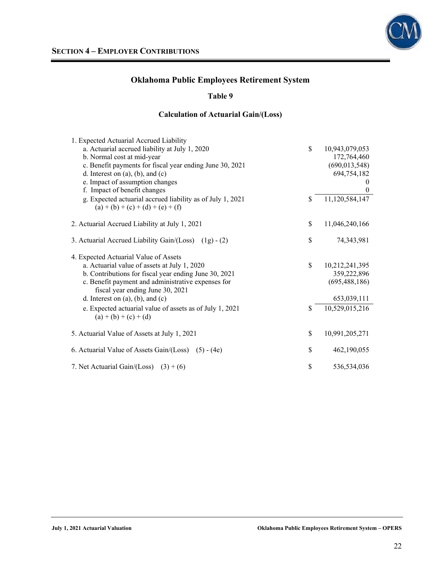

### **Table 9**

### **Calculation of Actuarial Gain/(Loss)**

| 1. Expected Actuarial Accrued Liability                    |                      |
|------------------------------------------------------------|----------------------|
| a. Actuarial accrued liability at July 1, 2020             | \$<br>10,943,079,053 |
| b. Normal cost at mid-year                                 | 172,764,460          |
| c. Benefit payments for fiscal year ending June 30, 2021   | (690, 013, 548)      |
| d. Interest on $(a)$ , $(b)$ , and $(c)$                   | 694,754,182          |
| e. Impact of assumption changes                            | $\theta$             |
| f. Impact of benefit changes                               | $\theta$             |
| g. Expected actuarial accrued liability as of July 1, 2021 | \$<br>11,120,584,147 |
| $(a) + (b) + (c) + (d) + (e) + (f)$                        |                      |
|                                                            |                      |
| 2. Actuarial Accrued Liability at July 1, 2021             | \$<br>11,046,240,166 |
| 3. Actuarial Accrued Liability Gain/(Loss) (1g) - (2)      | \$<br>74,343,981     |
|                                                            |                      |
| 4. Expected Actuarial Value of Assets                      |                      |
| a. Actuarial value of assets at July 1, 2020               | \$<br>10,212,241,395 |
| b. Contributions for fiscal year ending June 30, 2021      | 359,222,896          |
| c. Benefit payment and administrative expenses for         | (695, 488, 186)      |
| fiscal year ending June 30, 2021                           |                      |
| d. Interest on $(a)$ , $(b)$ , and $(c)$                   | 653,039,111          |
| e. Expected actuarial value of assets as of July 1, 2021   | \$<br>10,529,015,216 |
| $(a) + (b) + (c) + (d)$                                    |                      |
|                                                            | \$<br>10,991,205,271 |
| 5. Actuarial Value of Assets at July 1, 2021               |                      |
| 6. Actuarial Value of Assets Gain/(Loss) (5) - (4e)        | \$<br>462,190,055    |
|                                                            |                      |
| 7. Net Actuarial Gain/(Loss) $(3) + (6)$                   | \$<br>536,534,036    |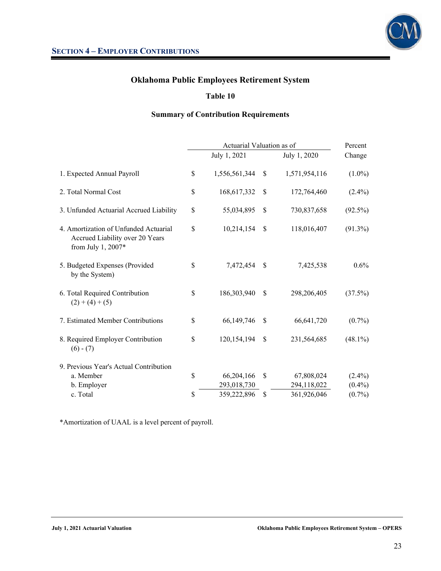

### **Table 10**

### **Summary of Contribution Requirements**

|                                                                                                | Actuarial Valuation as of |               |               |            |  |
|------------------------------------------------------------------------------------------------|---------------------------|---------------|---------------|------------|--|
|                                                                                                | July 1, 2021              |               | July 1, 2020  | Change     |  |
| 1. Expected Annual Payroll                                                                     | \$<br>1,556,561,344       | \$            | 1,571,954,116 | $(1.0\%)$  |  |
| 2. Total Normal Cost                                                                           | \$<br>168,617,332         | S             | 172,764,460   | $(2.4\%)$  |  |
| 3. Unfunded Actuarial Accrued Liability                                                        | \$<br>55,034,895          | $\mathbb{S}$  | 730,837,658   | $(92.5\%)$ |  |
| 4. Amortization of Unfunded Actuarial<br>Accrued Liability over 20 Years<br>from July 1, 2007* | \$<br>10,214,154          | <sup>\$</sup> | 118,016,407   | $(91.3\%)$ |  |
| 5. Budgeted Expenses (Provided<br>by the System)                                               | \$<br>7,472,454           | \$            | 7,425,538     | $0.6\%$    |  |
| 6. Total Required Contribution<br>$(2) + (4) + (5)$                                            | \$<br>186,303,940         | \$            | 298,206,405   | $(37.5\%)$ |  |
| 7. Estimated Member Contributions                                                              | \$<br>66,149,746          | \$            | 66,641,720    | $(0.7\%)$  |  |
| 8. Required Employer Contribution<br>$(6) - (7)$                                               | \$<br>120,154,194         | \$            | 231,564,685   | $(48.1\%)$ |  |
| 9. Previous Year's Actual Contribution                                                         |                           |               |               |            |  |
| a. Member                                                                                      | \$<br>66,204,166          | \$            | 67,808,024    | $(2.4\%)$  |  |
| b. Employer                                                                                    | 293,018,730               |               | 294,118,022   | $(0.4\%)$  |  |
| c. Total                                                                                       | \$<br>359,222,896         | \$            | 361,926,046   | $(0.7\%)$  |  |

\*Amortization of UAAL is a level percent of payroll.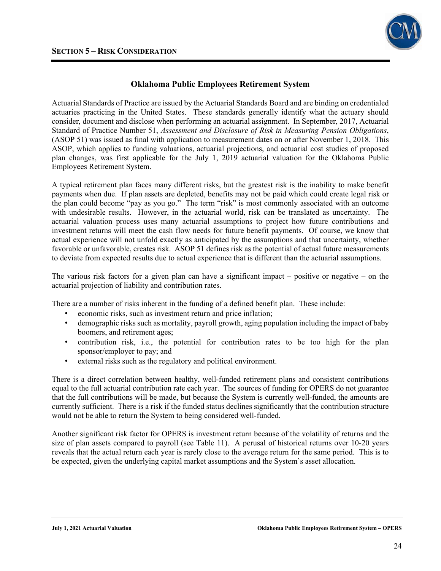

Actuarial Standards of Practice are issued by the Actuarial Standards Board and are binding on credentialed actuaries practicing in the United States. These standards generally identify what the actuary should consider, document and disclose when performing an actuarial assignment. In September, 2017, Actuarial Standard of Practice Number 51, *Assessment and Disclosure of Risk in Measuring Pension Obligations*, (ASOP 51) was issued as final with application to measurement dates on or after November 1, 2018. This ASOP, which applies to funding valuations, actuarial projections, and actuarial cost studies of proposed plan changes, was first applicable for the July 1, 2019 actuarial valuation for the Oklahoma Public Employees Retirement System.

A typical retirement plan faces many different risks, but the greatest risk is the inability to make benefit payments when due. If plan assets are depleted, benefits may not be paid which could create legal risk or the plan could become "pay as you go." The term "risk" is most commonly associated with an outcome with undesirable results. However, in the actuarial world, risk can be translated as uncertainty. The actuarial valuation process uses many actuarial assumptions to project how future contributions and investment returns will meet the cash flow needs for future benefit payments. Of course, we know that actual experience will not unfold exactly as anticipated by the assumptions and that uncertainty, whether favorable or unfavorable, creates risk. ASOP 51 defines risk as the potential of actual future measurements to deviate from expected results due to actual experience that is different than the actuarial assumptions.

The various risk factors for a given plan can have a significant impact – positive or negative – on the actuarial projection of liability and contribution rates.

There are a number of risks inherent in the funding of a defined benefit plan. These include:

- economic risks, such as investment return and price inflation;
- demographic risks such as mortality, payroll growth, aging population including the impact of baby boomers, and retirement ages;
- contribution risk, i.e., the potential for contribution rates to be too high for the plan sponsor/employer to pay; and
- external risks such as the regulatory and political environment.

There is a direct correlation between healthy, well-funded retirement plans and consistent contributions equal to the full actuarial contribution rate each year. The sources of funding for OPERS do not guarantee that the full contributions will be made, but because the System is currently well-funded, the amounts are currently sufficient. There is a risk if the funded status declines significantly that the contribution structure would not be able to return the System to being considered well-funded.

Another significant risk factor for OPERS is investment return because of the volatility of returns and the size of plan assets compared to payroll (see Table 11). A perusal of historical returns over 10-20 years reveals that the actual return each year is rarely close to the average return for the same period. This is to be expected, given the underlying capital market assumptions and the System's asset allocation.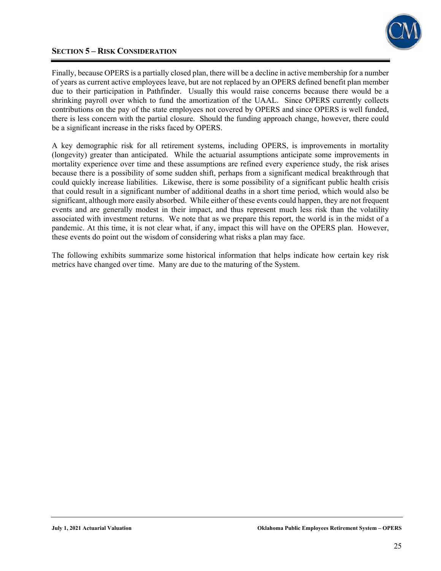### **SECTION 5 – RISK CONSIDERATION**



Finally, because OPERS is a partially closed plan, there will be a decline in active membership for a number of years as current active employees leave, but are not replaced by an OPERS defined benefit plan member due to their participation in Pathfinder. Usually this would raise concerns because there would be a shrinking payroll over which to fund the amortization of the UAAL. Since OPERS currently collects contributions on the pay of the state employees not covered by OPERS and since OPERS is well funded, there is less concern with the partial closure. Should the funding approach change, however, there could be a significant increase in the risks faced by OPERS.

A key demographic risk for all retirement systems, including OPERS, is improvements in mortality (longevity) greater than anticipated. While the actuarial assumptions anticipate some improvements in mortality experience over time and these assumptions are refined every experience study, the risk arises because there is a possibility of some sudden shift, perhaps from a significant medical breakthrough that could quickly increase liabilities. Likewise, there is some possibility of a significant public health crisis that could result in a significant number of additional deaths in a short time period, which would also be significant, although more easily absorbed. While either of these events could happen, they are not frequent events and are generally modest in their impact, and thus represent much less risk than the volatility associated with investment returns. We note that as we prepare this report, the world is in the midst of a pandemic. At this time, it is not clear what, if any, impact this will have on the OPERS plan. However, these events do point out the wisdom of considering what risks a plan may face.

The following exhibits summarize some historical information that helps indicate how certain key risk metrics have changed over time. Many are due to the maturing of the System.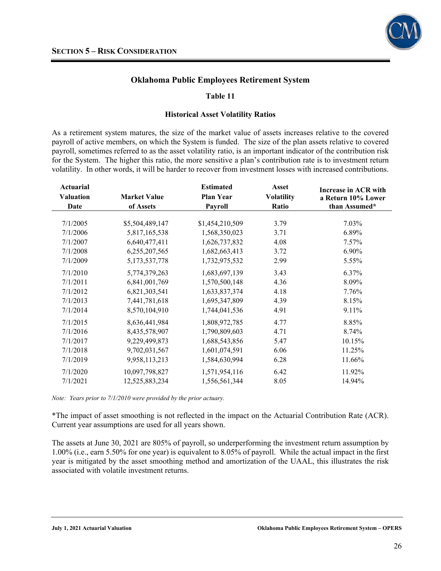

#### **Table 11**

#### **Historical Asset Volatility Ratios**

As a retirement system matures, the size of the market value of assets increases relative to the covered payroll of active members, on which the System is funded. The size of the plan assets relative to covered payroll, sometimes referred to as the asset volatility ratio, is an important indicator of the contribution risk for the System. The higher this ratio, the more sensitive a plan's contribution rate is to investment return volatility. In other words, it will be harder to recover from investment losses with increased contributions.

| Actuarial<br><b>Valuation</b><br>Date | <b>Market Value</b><br>of Assets | <b>Estimated</b><br><b>Plan Year</b><br><b>Payroll</b> | Asset<br><b>Volatility</b><br>Ratio | Increase in ACR with<br>a Return 10% Lower<br>than Assumed* |
|---------------------------------------|----------------------------------|--------------------------------------------------------|-------------------------------------|-------------------------------------------------------------|
| 7/1/2005                              | \$5,504,489,147                  | \$1,454,210,509                                        | 3.79                                | 7.03%                                                       |
| 7/1/2006                              | 5,817,165,538                    | 1,568,350,023                                          | 3.71                                | 6.89%                                                       |
| 7/1/2007                              | 6,640,477,411                    | 1,626,737,832                                          | 4.08                                | 7.57%                                                       |
| 7/1/2008                              | 6,255,207,565                    | 1,682,663,413                                          | 3.72                                | 6.90%                                                       |
| 7/1/2009                              | 5, 173, 537, 778                 | 1,732,975,532                                          | 2.99                                | 5.55%                                                       |
| 7/1/2010                              | 5,774,379,263                    | 1,683,697,139                                          | 3.43                                | 6.37%                                                       |
| 7/1/2011                              | 6,841,001,769                    | 1,570,500,148                                          | 4.36                                | 8.09%                                                       |
| 7/1/2012                              | 6,821,303,541                    | 1,633,837,374                                          | 4.18                                | 7.76%                                                       |
| 7/1/2013                              | 7,441,781,618                    | 1,695,347,809                                          | 4.39                                | 8.15%                                                       |
| 7/1/2014                              | 8,570,104,910                    | 1,744,041,536                                          | 4.91                                | 9.11%                                                       |
| 7/1/2015                              | 8,636,441,984                    | 1,808,972,785                                          | 4.77                                | 8.85%                                                       |
| 7/1/2016                              | 8,435,578,907                    | 1,790,809,603                                          | 4.71                                | 8.74%                                                       |
| 7/1/2017                              | 9,229,499,873                    | 1,688,543,856                                          | 5.47                                | 10.15%                                                      |
| 7/1/2018                              | 9,702,031,567                    | 1,601,074,591                                          | 6.06                                | 11.25%                                                      |
| 7/1/2019                              | 9,958,113,213                    | 1,584,630,994                                          | 6.28                                | 11.66%                                                      |
| 7/1/2020                              | 10,097,798,827                   | 1,571,954,116                                          | 6.42                                | 11.92%                                                      |
| 7/1/2021                              | 12,525,883,234                   | 1,556,561,344                                          | 8.05                                | 14.94%                                                      |

*Note: Years prior to 7/1/2010 were provided by the prior actuary.* 

\*The impact of asset smoothing is not reflected in the impact on the Actuarial Contribution Rate (ACR). Current year assumptions are used for all years shown.

The assets at June 30, 2021 are 805% of payroll, so underperforming the investment return assumption by 1.00% (i.e., earn 5.50% for one year) is equivalent to 8.05% of payroll. While the actual impact in the first year is mitigated by the asset smoothing method and amortization of the UAAL, this illustrates the risk associated with volatile investment returns.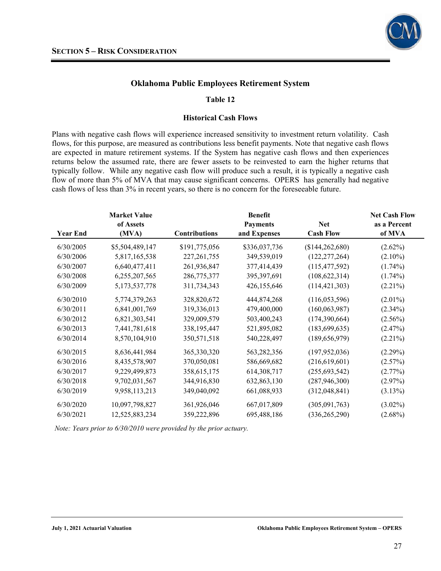

#### **Table 12**

#### **Historical Cash Flows**

Plans with negative cash flows will experience increased sensitivity to investment return volatility. Cash flows, for this purpose, are measured as contributions less benefit payments. Note that negative cash flows are expected in mature retirement systems. If the System has negative cash flows and then experiences returns below the assumed rate, there are fewer assets to be reinvested to earn the higher returns that typically follow. While any negative cash flow will produce such a result, it is typically a negative cash flow of more than 5% of MVA that may cause significant concerns. OPERS has generally had negative cash flows of less than 3% in recent years, so there is no concern for the foreseeable future.

|                 | <b>Market Value</b> |                      | <b>Benefit</b>  |                   | <b>Net Cash Flow</b> |
|-----------------|---------------------|----------------------|-----------------|-------------------|----------------------|
|                 | of Assets           |                      | <b>Payments</b> | <b>Net</b>        | as a Percent         |
| <b>Year End</b> | (MVA)               | <b>Contributions</b> | and Expenses    | <b>Cash Flow</b>  | of MVA               |
| 6/30/2005       | \$5,504,489,147     | \$191,775,056        | \$336,037,736   | (\$144, 262, 680) | $(2.62\%)$           |
| 6/30/2006       | 5,817,165,538       | 227, 261, 755        | 349,539,019     | (122, 277, 264)   | $(2.10\%)$           |
| 6/30/2007       | 6,640,477,411       | 261,936,847          | 377,414,439     | (115, 477, 592)   | $(1.74\%)$           |
| 6/30/2008       | 6,255,207,565       | 286,775,377          | 395,397,691     | (108, 622, 314)   | $(1.74\%)$           |
| 6/30/2009       | 5, 173, 537, 778    | 311,734,343          | 426,155,646     | (114, 421, 303)   | $(2.21\%)$           |
| 6/30/2010       | 5,774,379,263       | 328,820,672          | 444,874,268     | (116, 053, 596)   | $(2.01\%)$           |
| 6/30/2011       | 6,841,001,769       | 319,336,013          | 479,400,000     | (160, 063, 987)   | $(2.34\%)$           |
| 6/30/2012       | 6,821,303,541       | 329,009,579          | 503,400,243     | (174, 390, 664)   | $(2.56\%)$           |
| 6/30/2013       | 7,441,781,618       | 338, 195, 447        | 521,895,082     | (183, 699, 635)   | (2.47%)              |
| 6/30/2014       | 8,570,104,910       | 350,571,518          | 540,228,497     | (189, 656, 979)   | $(2.21\%)$           |
| 6/30/2015       | 8,636,441,984       | 365,330,320          | 563,282,356     | (197, 952, 036)   | $(2.29\%)$           |
| 6/30/2016       | 8,435,578,907       | 370,050,081          | 586,669,682     | (216,619,601)     | (2.57%)              |
| 6/30/2017       | 9,229,499,873       | 358,615,175          | 614, 308, 717   | (255, 693, 542)   | $(2.77\%)$           |
| 6/30/2018       | 9,702,031,567       | 344,916,830          | 632,863,130     | (287, 946, 300)   | (2.97%)              |
| 6/30/2019       | 9,958,113,213       | 349,040,092          | 661,088,933     | (312,048,841)     | $(3.13\%)$           |
| 6/30/2020       | 10,097,798,827      | 361,926,046          | 667,017,809     | (305,091,763)     | $(3.02\%)$           |
| 6/30/2021       | 12,525,883,234      | 359,222,896          | 695,488,186     | (336, 265, 290)   | $(2.68\%)$           |

*Note: Years prior to 6/30/2010 were provided by the prior actuary.*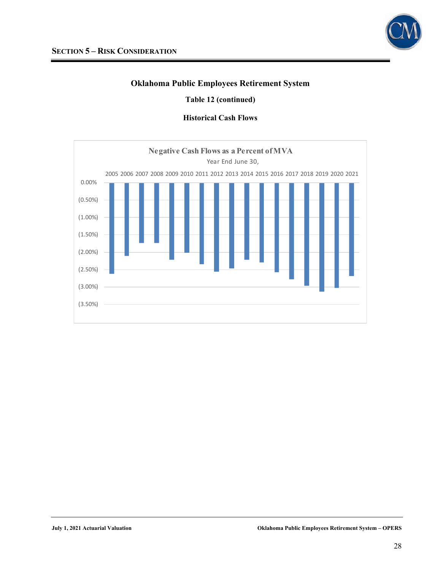

### **Table 12 (continued)**

### **Historical Cash Flows**

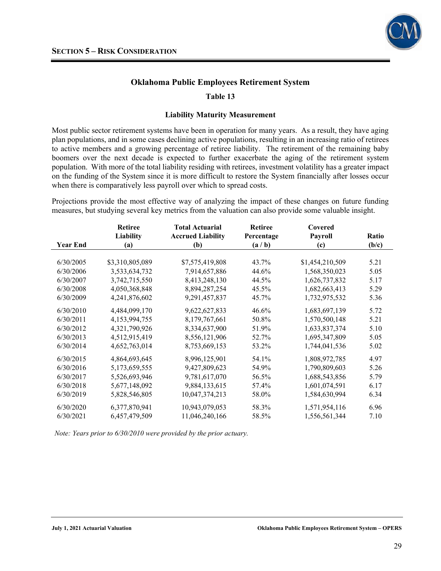

### **Table 13**

#### **Liability Maturity Measurement**

Most public sector retirement systems have been in operation for many years. As a result, they have aging plan populations, and in some cases declining active populations, resulting in an increasing ratio of retirees to active members and a growing percentage of retiree liability. The retirement of the remaining baby boomers over the next decade is expected to further exacerbate the aging of the retirement system population. With more of the total liability residing with retirees, investment volatility has a greater impact on the funding of the System since it is more difficult to restore the System financially after losses occur when there is comparatively less payroll over which to spread costs.

Projections provide the most effective way of analyzing the impact of these changes on future funding measures, but studying several key metrics from the valuation can also provide some valuable insight.

|                 | <b>Retiree</b>  | <b>Total Actuarial</b>   |            | Covered         |              |
|-----------------|-----------------|--------------------------|------------|-----------------|--------------|
|                 | Liability       | <b>Accrued Liability</b> | Percentage | Payroll         | <b>Ratio</b> |
| <b>Year End</b> | (a)             | (b)                      | (a/b)      | (c)             | (b/c)        |
|                 |                 |                          |            |                 |              |
| 6/30/2005       | \$3,310,805,089 | \$7,575,419,808          | 43.7%      | \$1,454,210,509 | 5.21         |
| 6/30/2006       | 3,533,634,732   | 7,914,657,886            | 44.6%      | 1,568,350,023   | 5.05         |
| 6/30/2007       | 3,742,715,550   | 8,413,248,130            | 44.5%      | 1,626,737,832   | 5.17         |
| 6/30/2008       | 4,050,368,848   | 8,894,287,254            | 45.5%      | 1,682,663,413   | 5.29         |
| 6/30/2009       | 4,241,876,602   | 9, 291, 457, 837         | 45.7%      | 1,732,975,532   | 5.36         |
| 6/30/2010       | 4,484,099,170   | 9,622,627,833            | 46.6%      | 1,683,697,139   | 5.72         |
| 6/30/2011       | 4,153,994,755   | 8,179,767,661            | 50.8%      | 1,570,500,148   | 5.21         |
| 6/30/2012       | 4,321,790,926   | 8,334,637,900            | 51.9%      | 1,633,837,374   | 5.10         |
| 6/30/2013       | 4,512,915,419   | 8,556,121,906            | 52.7%      | 1,695,347,809   | 5.05         |
| 6/30/2014       | 4,652,763,014   | 8,753,669,153            | 53.2%      | 1,744,041,536   | 5.02         |
| 6/30/2015       | 4,864,693,645   | 8,996,125,901            | 54.1%      | 1,808,972,785   | 4.97         |
| 6/30/2016       | 5,173,659,555   | 9,427,809,623            | 54.9%      | 1,790,809,603   | 5.26         |
| 6/30/2017       | 5,526,693,946   | 9,781,617,070            | 56.5%      | 1,688,543,856   | 5.79         |
| 6/30/2018       | 5,677,148,092   | 9,884,133,615            | 57.4%      | 1,601,074,591   | 6.17         |
| 6/30/2019       | 5,828,546,805   | 10,047,374,213           | 58.0%      | 1,584,630,994   | 6.34         |
| 6/30/2020       | 6,377,870,941   | 10,943,079,053           | 58.3%      | 1,571,954,116   | 6.96         |
| 6/30/2021       | 6,457,479,509   | 11,046,240,166           | 58.5%      | 1,556,561,344   | 7.10         |

*Note: Years prior to 6/30/2010 were provided by the prior actuary.*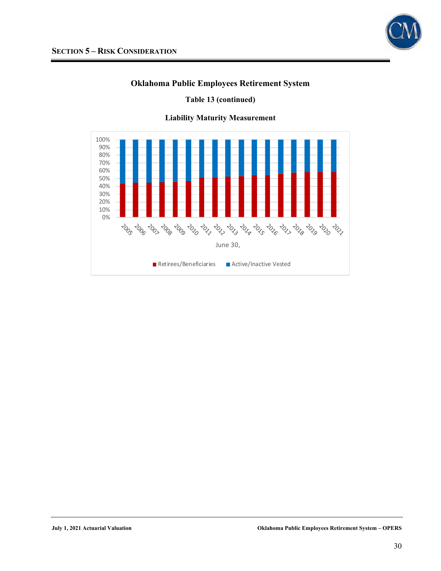

**Table 13 (continued)** 



**Liability Maturity Measurement**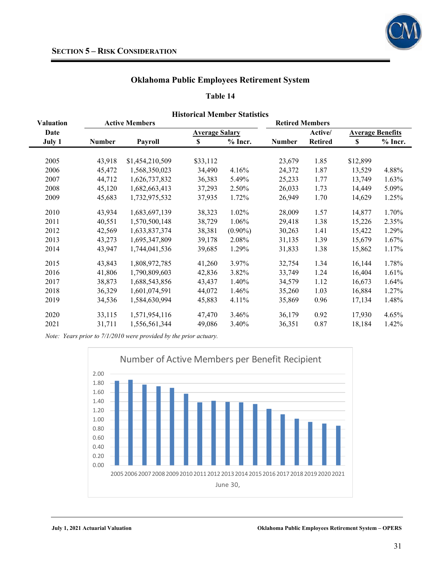

#### **Table 14**

|                  |               |                       | THRUITUAL IVIUNDUL STATISTIUS |            |                        |                |                         |           |  |  |  |
|------------------|---------------|-----------------------|-------------------------------|------------|------------------------|----------------|-------------------------|-----------|--|--|--|
| <b>Valuation</b> |               | <b>Active Members</b> |                               |            | <b>Retired Members</b> |                |                         |           |  |  |  |
| Date             |               |                       | <b>Average Salary</b>         |            |                        | Active/        | <b>Average Benefits</b> |           |  |  |  |
| July 1           | <b>Number</b> | Payroll               | \$                            | $%$ Incr.  | <b>Number</b>          | <b>Retired</b> | <sup>\$</sup>           | $%$ Incr. |  |  |  |
|                  |               |                       |                               |            |                        |                |                         |           |  |  |  |
| 2005             | 43,918        | \$1,454,210,509       | \$33,112                      |            | 23,679                 | 1.85           | \$12,899                |           |  |  |  |
| 2006             | 45,472        | 1,568,350,023         | 34,490                        | 4.16%      | 24,372                 | 1.87           | 13,529                  | 4.88%     |  |  |  |
| 2007             | 44,712        | 1,626,737,832         | 36,383                        | 5.49%      | 25,233                 | 1.77           | 13,749                  | 1.63%     |  |  |  |
| 2008             | 45,120        | 1,682,663,413         | 37,293                        | 2.50%      | 26,033                 | 1.73           | 14,449                  | 5.09%     |  |  |  |
| 2009             | 45,683        | 1,732,975,532         | 37,935                        | 1.72%      | 26,949                 | 1.70           | 14,629                  | 1.25%     |  |  |  |
| 2010             | 43,934        | 1,683,697,139         | 38,323                        | 1.02%      | 28,009                 | 1.57           | 14,877                  | 1.70%     |  |  |  |
| 2011             | 40,551        | 1,570,500,148         | 38,729                        | 1.06%      | 29,418                 | 1.38           | 15,226                  | 2.35%     |  |  |  |
| 2012             | 42,569        | 1,633,837,374         | 38,381                        | $(0.90\%)$ | 30,263                 | 1.41           | 15,422                  | 1.29%     |  |  |  |
| 2013             | 43,273        | 1,695,347,809         | 39,178                        | 2.08%      | 31,135                 | 1.39           | 15,679                  | $1.67\%$  |  |  |  |
| 2014             | 43,947        | 1,744,041,536         | 39,685                        | 1.29%      | 31,833                 | 1.38           | 15,862                  | $1.17\%$  |  |  |  |
| 2015             | 43,843        | 1,808,972,785         | 41,260                        | 3.97%      | 32,754                 | 1.34           | 16,144                  | 1.78%     |  |  |  |
| 2016             | 41,806        | 1,790,809,603         | 42,836                        | 3.82%      | 33,749                 | 1.24           | 16,404                  | 1.61%     |  |  |  |
| 2017             | 38,873        | 1,688,543,856         | 43,437                        | 1.40%      | 34,579                 | 1.12           | 16,673                  | 1.64%     |  |  |  |
| 2018             | 36,329        | 1,601,074,591         | 44,072                        | 1.46%      | 35,260                 | 1.03           | 16,884                  | 1.27%     |  |  |  |
| 2019             | 34,536        | 1,584,630,994         | 45,883                        | 4.11%      | 35,869                 | 0.96           | 17,134                  | 1.48%     |  |  |  |
| 2020             | 33,115        | 1,571,954,116         | 47,470                        | 3.46%      | 36,179                 | 0.92           | 17,930                  | 4.65%     |  |  |  |
| 2021             | 31,711        | 1,556,561,344         | 49,086                        | 3.40%      | 36,351                 | 0.87           | 18,184                  | 1.42%     |  |  |  |

**Historical Member Statistics** 

*Note: Years prior to 7/1/2010 were provided by the prior actuary.* 

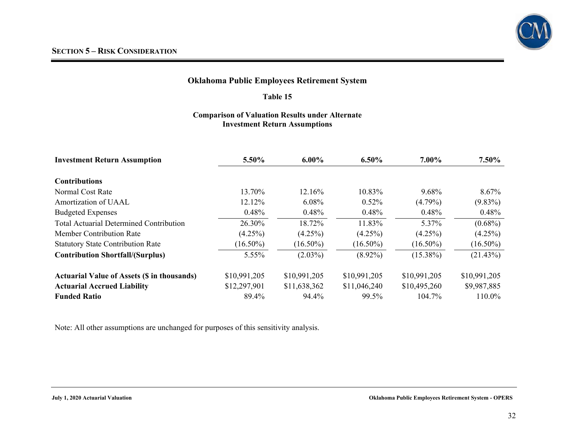#### **Table 15**

### **Comparison of Valuation Results under Alternate Investment Return Assumptions**

| <b>Investment Return Assumption</b>                | 5.50%        | $6.00\%$     | $6.50\%$     | 7.00%        | $7.50\%$     |
|----------------------------------------------------|--------------|--------------|--------------|--------------|--------------|
| <b>Contributions</b>                               |              |              |              |              |              |
| Normal Cost Rate                                   | 13.70%       | 12.16%       | 10.83%       | $9.68\%$     | 8.67%        |
| Amortization of UAAL                               | 12.12%       | 6.08%        | $0.52\%$     | $(4.79\%)$   | $(9.83\%)$   |
| <b>Budgeted Expenses</b>                           | 0.48%        | 0.48%        | 0.48%        | 0.48%        | 0.48%        |
| <b>Total Actuarial Determined Contribution</b>     | 26.30%       | 18.72%       | 11.83%       | 5.37%        | $(0.68\%)$   |
| <b>Member Contribution Rate</b>                    | $(4.25\%)$   | $(4.25\%)$   | $(4.25\%)$   | $(4.25\%)$   | $(4.25\%)$   |
| <b>Statutory State Contribution Rate</b>           | $(16.50\%)$  | $(16.50\%)$  | $(16.50\%)$  | $(16.50\%)$  | $(16.50\%)$  |
| <b>Contribution Shortfall/(Surplus)</b>            | 5.55%        | $(2.03\%)$   | $(8.92\%)$   | $(15.38\%)$  | (21.43%)     |
| <b>Actuarial Value of Assets (\$ in thousands)</b> | \$10,991,205 | \$10,991,205 | \$10,991,205 | \$10,991,205 | \$10,991,205 |
| <b>Actuarial Accrued Liability</b>                 | \$12,297,901 | \$11,638,362 | \$11,046,240 | \$10,495,260 | \$9,987,885  |
| <b>Funded Ratio</b>                                | 89.4%        | 94.4%        | 99.5%        | 104.7%       | 110.0%       |

Note: All other assumptions are unchanged for purposes of this sensitivity analysis.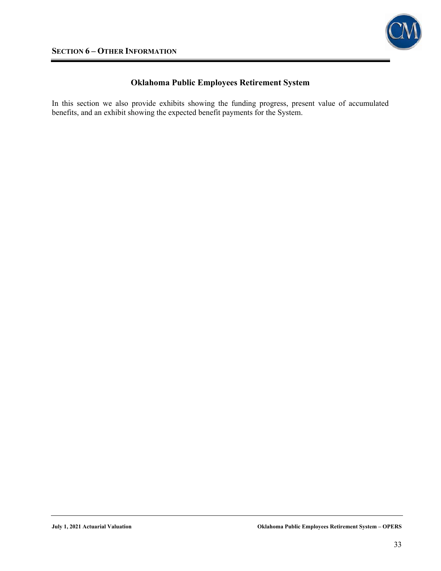

In this section we also provide exhibits showing the funding progress, present value of accumulated benefits, and an exhibit showing the expected benefit payments for the System.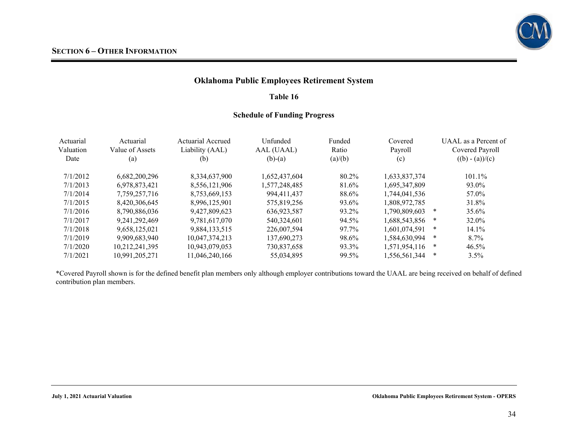

### **Table 16**

### **Schedule of Funding Progress**

| Actuarial<br>Valuation<br>Date | Actuarial<br>Value of Assets<br>$\left( \text{a}\right)$ | Actuarial Accrued<br>Liability (AAL)<br>(b) | Unfunded<br>AAL (UAAL)<br>$(b)-(a)$ | Funded<br>Ratio<br>(a)/(b) | Covered<br>Payroll<br>(c) | UAAL as a Percent of<br>Covered Payroll<br>$((b) - (a))/(c)$ |
|--------------------------------|----------------------------------------------------------|---------------------------------------------|-------------------------------------|----------------------------|---------------------------|--------------------------------------------------------------|
| 7/1/2012                       | 6,682,200,296                                            | 8,334,637,900                               | 1,652,437,604                       | 80.2%                      | 1,633,837,374             | $101.1\%$                                                    |
| 7/1/2013                       | 6,978,873,421                                            | 8,556,121,906                               | 1,577,248,485                       | 81.6%                      | 1,695,347,809             | 93.0%                                                        |
| 7/1/2014                       | 7.759.257.716                                            | 8,753,669,153                               | 994.411.437                         | 88.6%                      | 1.744.041.536             | 57.0%                                                        |
| 7/1/2015                       | 8,420,306,645                                            | 8,996,125,901                               | 575,819,256                         | 93.6%                      | 1,808,972,785             | 31.8%                                                        |
| 7/1/2016                       | 8,790,886,036                                            | 9,427,809,623                               | 636,923,587                         | 93.2%                      | 1.790.809.603             | $\ast$<br>35.6%                                              |
| 7/1/2017                       | 9.241.292.469                                            | 9,781,617,070                               | 540,324,601                         | 94.5%                      | 1,688,543,856             | ∗<br>32.0%                                                   |
| 7/1/2018                       | 9.658.125.021                                            | 9,884,133,515                               | 226,007,594                         | 97.7%                      | 1.601.074.591             | ∗<br>14.1%                                                   |
| 7/1/2019                       | 9.909.683.940                                            | 10,047,374,213                              | 137,690,273                         | 98.6%                      | 1,584,630,994             | ∗<br>8.7%                                                    |
| 7/1/2020                       | 10,212,241,395                                           | 10,943,079,053                              | 730,837,658                         | 93.3%                      | 1,571,954,116             | ∗<br>46.5%                                                   |
| 7/1/2021                       | 10,991,205,271                                           | 11,046,240,166                              | 55,034,895                          | 99.5%                      | 1,556,561,344             | ∗<br>3.5%                                                    |

\*Covered Payroll shown is for the defined benefit plan members only although employer contributions toward the UAAL are being received on behalf of defined contribution plan members.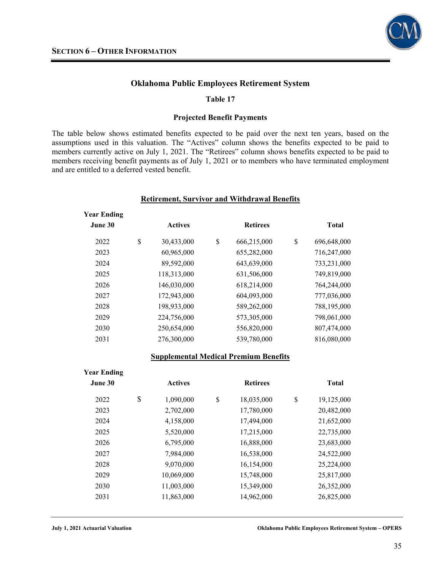

#### **Table 17**

#### **Projected Benefit Payments**

The table below shows estimated benefits expected to be paid over the next ten years, based on the assumptions used in this valuation. The "Actives" column shows the benefits expected to be paid to members currently active on July 1, 2021. The "Retirees" column shows benefits expected to be paid to members receiving benefit payments as of July 1, 2021 or to members who have terminated employment and are entitled to a deferred vested benefit.

| <b>Retirement, Survivor and Withdrawal Benefits</b> |    |                |    |                 |                   |
|-----------------------------------------------------|----|----------------|----|-----------------|-------------------|
| <b>Year Ending</b><br>June 30                       |    | <b>Actives</b> |    | <b>Retirees</b> | <b>Total</b>      |
| 2022                                                | \$ | 30,433,000     | \$ | 666,215,000     | \$<br>696,648,000 |
| 2023                                                |    | 60,965,000     |    | 655,282,000     | 716,247,000       |
| 2024                                                |    | 89,592,000     |    | 643,639,000     | 733,231,000       |
| 2025                                                |    | 118,313,000    |    | 631,506,000     | 749,819,000       |
| 2026                                                |    | 146,030,000    |    | 618,214,000     | 764,244,000       |
| 2027                                                |    | 172,943,000    |    | 604,093,000     | 777,036,000       |
| 2028                                                |    | 198,933,000    |    | 589,262,000     | 788,195,000       |
| 2029                                                |    | 224,756,000    |    | 573,305,000     | 798,061,000       |
| 2030                                                |    | 250,654,000    |    | 556,820,000     | 807,474,000       |
| 2031                                                |    | 276,300,000    |    | 539,780,000     | 816,080,000       |

#### **Supplemental Medical Premium Benefits**

| <b>Year Ending</b> |                 |                  |                  |
|--------------------|-----------------|------------------|------------------|
| June 30            | <b>Actives</b>  | <b>Retirees</b>  | <b>Total</b>     |
| 2022               | \$<br>1,090,000 | \$<br>18,035,000 | \$<br>19,125,000 |
| 2023               | 2,702,000       | 17,780,000       | 20,482,000       |
| 2024               | 4,158,000       | 17,494,000       | 21,652,000       |
| 2025               | 5,520,000       | 17,215,000       | 22,735,000       |
| 2026               | 6,795,000       | 16,888,000       | 23,683,000       |
| 2027               | 7.984,000       | 16,538,000       | 24,522,000       |
| 2028               | 9,070,000       | 16,154,000       | 25,224,000       |
| 2029               | 10,069,000      | 15,748,000       | 25,817,000       |
| 2030               | 11,003,000      | 15,349,000       | 26,352,000       |
| 2031               | 11,863,000      | 14,962,000       | 26,825,000       |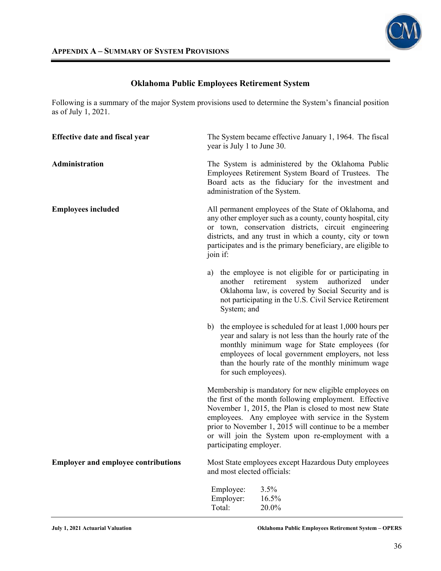

Following is a summary of the major System provisions used to determine the System's financial position as of July 1, 2021.

| <b>Effective date and fiscal year</b>      |    | year is July 1 to June 30.       | The System became effective January 1, 1964. The fiscal                                                                                                                                                                                                                                                                                        |
|--------------------------------------------|----|----------------------------------|------------------------------------------------------------------------------------------------------------------------------------------------------------------------------------------------------------------------------------------------------------------------------------------------------------------------------------------------|
| Administration                             |    |                                  | The System is administered by the Oklahoma Public<br>Employees Retirement System Board of Trustees. The<br>Board acts as the fiduciary for the investment and<br>administration of the System.                                                                                                                                                 |
| <b>Employees included</b>                  |    | join if:                         | All permanent employees of the State of Oklahoma, and<br>any other employer such as a county, county hospital, city<br>or town, conservation districts, circuit engineering<br>districts, and any trust in which a county, city or town<br>participates and is the primary beneficiary, are eligible to                                        |
|                                            | a) | another<br>System; and           | the employee is not eligible for or participating in<br>authorized<br>retirement<br>under<br>system<br>Oklahoma law, is covered by Social Security and is<br>not participating in the U.S. Civil Service Retirement                                                                                                                            |
|                                            |    | for such employees).             | b) the employee is scheduled for at least 1,000 hours per<br>year and salary is not less than the hourly rate of the<br>monthly minimum wage for State employees (for<br>employees of local government employers, not less<br>than the hourly rate of the monthly minimum wage                                                                 |
|                                            |    | participating employer.          | Membership is mandatory for new eligible employees on<br>the first of the month following employment. Effective<br>November 1, 2015, the Plan is closed to most new State<br>employees. Any employee with service in the System<br>prior to November 1, 2015 will continue to be a member<br>or will join the System upon re-employment with a |
| <b>Employer and employee contributions</b> |    | and most elected officials:      | Most State employees except Hazardous Duty employees                                                                                                                                                                                                                                                                                           |
|                                            |    | Employee:<br>Employer:<br>Total: | 3.5%<br>16.5%<br>20.0%                                                                                                                                                                                                                                                                                                                         |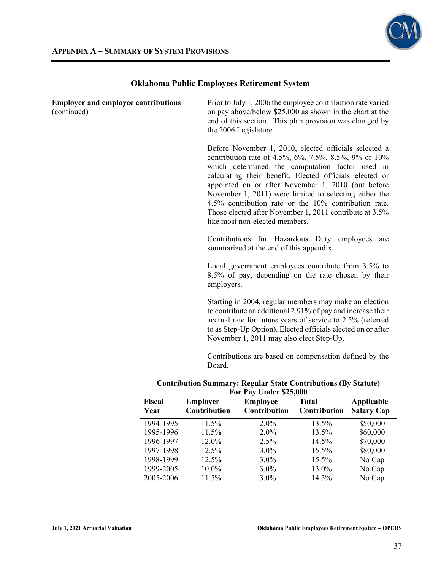

| Fiscal<br>Year                                            | Employer<br>Contribution                                              | <b>Employee</b><br>Contribution                                                                                                                                                                                                                                                                                                                                                                                                                                                                  | <b>Total</b><br>Contribution | Applicable<br><b>Salary Cap</b> |
|-----------------------------------------------------------|-----------------------------------------------------------------------|--------------------------------------------------------------------------------------------------------------------------------------------------------------------------------------------------------------------------------------------------------------------------------------------------------------------------------------------------------------------------------------------------------------------------------------------------------------------------------------------------|------------------------------|---------------------------------|
|                                                           | <b>Contribution Summary: Regular State Contributions (By Statute)</b> | For Pay Under \$25,000                                                                                                                                                                                                                                                                                                                                                                                                                                                                           |                              |                                 |
|                                                           | Board.                                                                | Contributions are based on compensation defined by the                                                                                                                                                                                                                                                                                                                                                                                                                                           |                              |                                 |
|                                                           |                                                                       | Starting in 2004, regular members may make an election<br>to contribute an additional 2.91% of pay and increase their<br>accrual rate for future years of service to 2.5% (referred<br>to as Step-Up Option). Elected officials elected on or after<br>November 1, 2011 may also elect Step-Up.                                                                                                                                                                                                  |                              |                                 |
|                                                           | employers.                                                            | Local government employees contribute from 3.5% to<br>8.5% of pay, depending on the rate chosen by their                                                                                                                                                                                                                                                                                                                                                                                         |                              |                                 |
|                                                           |                                                                       | Contributions for Hazardous Duty employees<br>summarized at the end of this appendix.                                                                                                                                                                                                                                                                                                                                                                                                            |                              | are                             |
|                                                           |                                                                       | Before November 1, 2010, elected officials selected a<br>contribution rate of 4.5%, 6%, 7.5%, 8.5%, 9% or 10%<br>which determined the computation factor used in<br>calculating their benefit. Elected officials elected or<br>appointed on or after November 1, 2010 (but before<br>November 1, 2011) were limited to selecting either the<br>4.5% contribution rate or the 10% contribution rate.<br>Those elected after November 1, 2011 contribute at 3.5%<br>like most non-elected members. |                              |                                 |
| <b>Employer and employee contributions</b><br>(continued) |                                                                       | Prior to July 1, 2006 the employee contribution rate varied<br>on pay above/below \$25,000 as shown in the chart at the<br>end of this section. This plan provision was changed by<br>the 2006 Legislature.                                                                                                                                                                                                                                                                                      |                              |                                 |

| Fiscal<br>Year | <b>Employer</b><br>Contribution | <b>Employee</b><br>Contribution | <b>Total</b><br>Contribution | Applicable<br><b>Salary Cap</b> |
|----------------|---------------------------------|---------------------------------|------------------------------|---------------------------------|
| 1994-1995      | 11.5%                           | $2.0\%$                         | 13.5%                        | \$50,000                        |
| 1995-1996      | 11.5%                           | $2.0\%$                         | 13.5%                        | \$60,000                        |
| 1996-1997      | 12.0%                           | $2.5\%$                         | 14.5%                        | \$70,000                        |
| 1997-1998      | 12.5%                           | $3.0\%$                         | 15.5%                        | \$80,000                        |
| 1998-1999      | 12.5%                           | $3.0\%$                         | 15.5%                        | No Cap                          |
| 1999-2005      | $10.0\%$                        | $3.0\%$                         | 13.0%                        | No Cap                          |
| 2005-2006      | 11.5%                           | $3.0\%$                         | 14.5%                        | No Cap                          |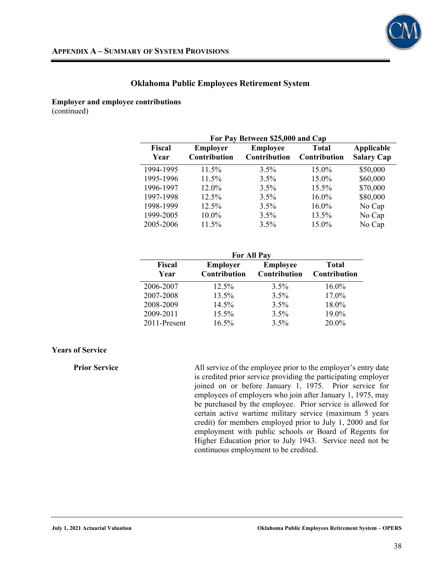

**Employer and employee contributions** 

(continued)

| For Pay Between \$25,000 and Cap |                                 |                                 |                                     |                                 |
|----------------------------------|---------------------------------|---------------------------------|-------------------------------------|---------------------------------|
| Fiscal<br>Year                   | <b>Employer</b><br>Contribution | <b>Employee</b><br>Contribution | <b>Total</b><br><b>Contribution</b> | Applicable<br><b>Salary Cap</b> |
| 1994-1995                        | $11.5\%$                        | $3.5\%$                         | 15.0%                               | \$50,000                        |
| 1995-1996                        | $11.5\%$                        | $3.5\%$                         | $15.0\%$                            | \$60,000                        |
| 1996-1997                        | 12.0%                           | $3.5\%$                         | $15.5\%$                            | \$70,000                        |
| 1997-1998                        | $12.5\%$                        | $3.5\%$                         | $16.0\%$                            | \$80,000                        |
| 1998-1999                        | $12.5\%$                        | $3.5\%$                         | $16.0\%$                            | No Cap                          |
| 1999-2005                        | $10.0\%$                        | $3.5\%$                         | 13.5%                               | No Cap                          |
| 2005-2006                        | $11.5\%$                        | $3.5\%$                         | $15.0\%$                            | No Cap                          |

| <b>For All Pay</b>    |                                        |                                 |                              |  |
|-----------------------|----------------------------------------|---------------------------------|------------------------------|--|
| <b>Fiscal</b><br>Year | <b>Employer</b><br><b>Contribution</b> | <b>Employee</b><br>Contribution | <b>Total</b><br>Contribution |  |
| 2006-2007             | $12.5\%$                               | $3.5\%$                         | 16.0%                        |  |
| 2007-2008             | 13.5%                                  | 3.5%                            | 17.0%                        |  |
| 2008-2009             | 14.5%                                  | 3.5%                            | 18.0%                        |  |
| 2009-2011             | 15.5%                                  | 3.5%                            | 19.0%                        |  |
| 2011-Present          | 16.5%                                  | 3.5%                            | 20.0%                        |  |

#### **Years of Service**

**Prior Service All service of the employee prior to the employer's entry date** is credited prior service providing the participating employer joined on or before January 1, 1975. Prior service for employees of employers who join after January 1, 1975, may be purchased by the employee. Prior service is allowed for certain active wartime military service (maximum 5 years credit) for members employed prior to July 1, 2000 and for employment with public schools or Board of Regents for Higher Education prior to July 1943. Service need not be continuous employment to be credited.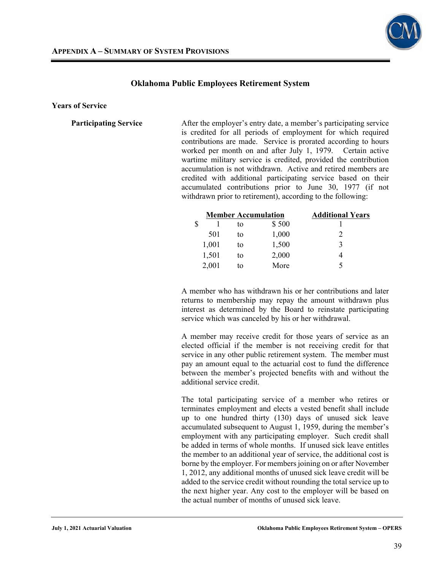

**Years of Service** 

**Participating Service** After the employer's entry date, a member's participating service is credited for all periods of employment for which required contributions are made. Service is prorated according to hours worked per month on and after July 1, 1979. Certain active wartime military service is credited, provided the contribution accumulation is not withdrawn. Active and retired members are credited with additional participating service based on their accumulated contributions prior to June 30, 1977 (if not withdrawn prior to retirement), according to the following:

|               |       | <b>Member Accumulation</b> |       | <b>Additional Years</b> |
|---------------|-------|----------------------------|-------|-------------------------|
| <sup>\$</sup> |       | tο                         | \$500 |                         |
|               | 501   | to                         | 1,000 | $\mathcal{L}$           |
|               | 1,001 | to                         | 1,500 | 3                       |
|               | 1,501 | to                         | 2,000 |                         |
|               | 2,001 | tο                         | More  |                         |

A member who has withdrawn his or her contributions and later returns to membership may repay the amount withdrawn plus interest as determined by the Board to reinstate participating service which was canceled by his or her withdrawal.

 A member may receive credit for those years of service as an elected official if the member is not receiving credit for that service in any other public retirement system. The member must pay an amount equal to the actuarial cost to fund the difference between the member's projected benefits with and without the additional service credit.

The total participating service of a member who retires or terminates employment and elects a vested benefit shall include up to one hundred thirty (130) days of unused sick leave accumulated subsequent to August 1, 1959, during the member's employment with any participating employer. Such credit shall be added in terms of whole months. If unused sick leave entitles the member to an additional year of service, the additional cost is borne by the employer. For members joining on or after November 1, 2012, any additional months of unused sick leave credit will be added to the service credit without rounding the total service up to the next higher year. Any cost to the employer will be based on the actual number of months of unused sick leave.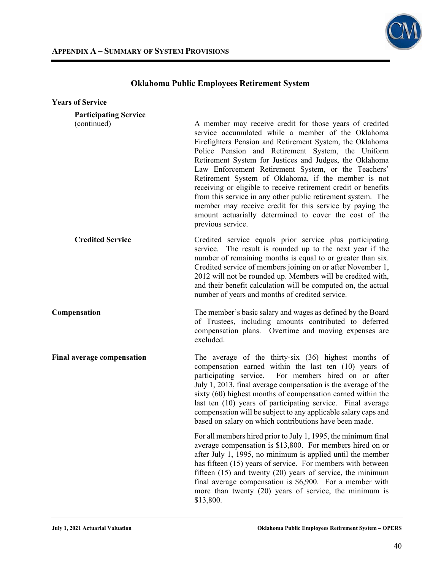

| <b>Years of Service</b>                     |                                                                                                                                                                                                                                                                                                                                                                                                                                                                                                                                                                                                                                                                                      |
|---------------------------------------------|--------------------------------------------------------------------------------------------------------------------------------------------------------------------------------------------------------------------------------------------------------------------------------------------------------------------------------------------------------------------------------------------------------------------------------------------------------------------------------------------------------------------------------------------------------------------------------------------------------------------------------------------------------------------------------------|
| <b>Participating Service</b><br>(continued) | A member may receive credit for those years of credited<br>service accumulated while a member of the Oklahoma<br>Firefighters Pension and Retirement System, the Oklahoma<br>Police Pension and Retirement System, the Uniform<br>Retirement System for Justices and Judges, the Oklahoma<br>Law Enforcement Retirement System, or the Teachers'<br>Retirement System of Oklahoma, if the member is not<br>receiving or eligible to receive retirement credit or benefits<br>from this service in any other public retirement system. The<br>member may receive credit for this service by paying the<br>amount actuarially determined to cover the cost of the<br>previous service. |
| <b>Credited Service</b>                     | Credited service equals prior service plus participating<br>service. The result is rounded up to the next year if the<br>number of remaining months is equal to or greater than six.<br>Credited service of members joining on or after November 1,<br>2012 will not be rounded up. Members will be credited with,<br>and their benefit calculation will be computed on, the actual<br>number of years and months of credited service.                                                                                                                                                                                                                                               |
| Compensation                                | The member's basic salary and wages as defined by the Board<br>of Trustees, including amounts contributed to deferred<br>compensation plans. Overtime and moving expenses are<br>excluded.                                                                                                                                                                                                                                                                                                                                                                                                                                                                                           |
| <b>Final average compensation</b>           | The average of the thirty-six $(36)$ highest months of<br>compensation earned within the last ten (10) years of<br>For members hired on or after<br>participating service.<br>July 1, 2013, final average compensation is the average of the<br>sixty (60) highest months of compensation earned within the<br>last ten (10) years of participating service. Final average<br>compensation will be subject to any applicable salary caps and<br>based on salary on which contributions have been made.                                                                                                                                                                               |
|                                             | For all members hired prior to July 1, 1995, the minimum final<br>average compensation is \$13,800. For members hired on or<br>after July 1, 1995, no minimum is applied until the member<br>has fifteen (15) years of service. For members with between<br>fifteen $(15)$ and twenty $(20)$ years of service, the minimum<br>final average compensation is \$6,900. For a member with<br>more than twenty (20) years of service, the minimum is<br>\$13,800.                                                                                                                                                                                                                        |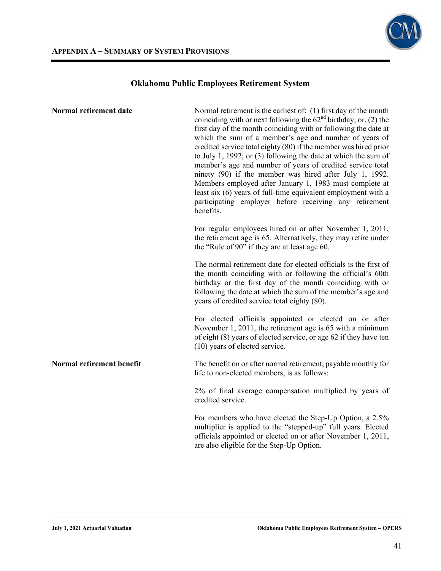

| Normal retirement date    | Normal retirement is the earliest of: (1) first day of the month<br>coinciding with or next following the $62nd$ birthday; or, (2) the<br>first day of the month coinciding with or following the date at<br>which the sum of a member's age and number of years of<br>credited service total eighty (80) if the member was hired prior<br>to July 1, 1992; or $(3)$ following the date at which the sum of<br>member's age and number of years of credited service total<br>ninety (90) if the member was hired after July 1, 1992.<br>Members employed after January 1, 1983 must complete at<br>least six (6) years of full-time equivalent employment with a<br>participating employer before receiving any retirement<br>benefits. |
|---------------------------|-----------------------------------------------------------------------------------------------------------------------------------------------------------------------------------------------------------------------------------------------------------------------------------------------------------------------------------------------------------------------------------------------------------------------------------------------------------------------------------------------------------------------------------------------------------------------------------------------------------------------------------------------------------------------------------------------------------------------------------------|
|                           | For regular employees hired on or after November 1, 2011,<br>the retirement age is 65. Alternatively, they may retire under<br>the "Rule of 90" if they are at least age 60.                                                                                                                                                                                                                                                                                                                                                                                                                                                                                                                                                            |
|                           | The normal retirement date for elected officials is the first of<br>the month coinciding with or following the official's 60th<br>birthday or the first day of the month coinciding with or<br>following the date at which the sum of the member's age and<br>years of credited service total eighty (80).                                                                                                                                                                                                                                                                                                                                                                                                                              |
|                           | For elected officials appointed or elected on or after<br>November 1, 2011, the retirement age is 65 with a minimum<br>of eight (8) years of elected service, or age 62 if they have ten<br>(10) years of elected service.                                                                                                                                                                                                                                                                                                                                                                                                                                                                                                              |
| Normal retirement benefit | The benefit on or after normal retirement, payable monthly for<br>life to non-elected members, is as follows:                                                                                                                                                                                                                                                                                                                                                                                                                                                                                                                                                                                                                           |
|                           | 2% of final average compensation multiplied by years of<br>credited service.                                                                                                                                                                                                                                                                                                                                                                                                                                                                                                                                                                                                                                                            |
|                           | For members who have elected the Step-Up Option, a 2.5%<br>multiplier is applied to the "stepped-up" full years. Elected<br>officials appointed or elected on or after November 1, 2011,<br>are also eligible for the Step-Up Option.                                                                                                                                                                                                                                                                                                                                                                                                                                                                                                   |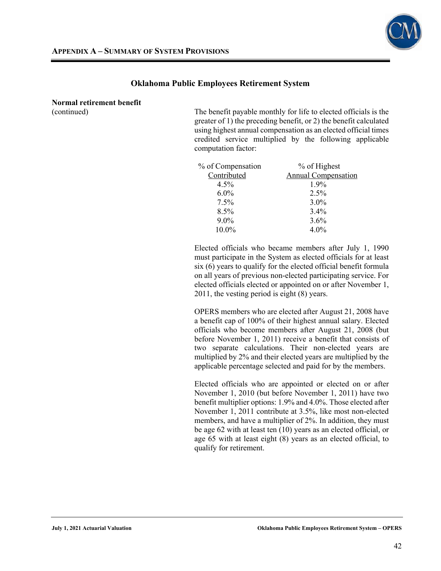

**Normal retirement benefit** 

(continued) The benefit payable monthly for life to elected officials is the greater of 1) the preceding benefit, or 2) the benefit calculated using highest annual compensation as an elected official times credited service multiplied by the following applicable computation factor:

| % of Compensation | % of Highest               |
|-------------------|----------------------------|
| Contributed       | <b>Annual Compensation</b> |
| $4.5\%$           | $1.9\%$                    |
| $6.0\%$           | $2.5\%$                    |
| 7.5%              | 3.0%                       |
| 8.5%              | $3.4\%$                    |
| $9.0\%$           | 3.6%                       |
| 10.0%             | $4.0\%$                    |

Elected officials who became members after July 1, 1990 must participate in the System as elected officials for at least six (6) years to qualify for the elected official benefit formula on all years of previous non-elected participating service. For elected officials elected or appointed on or after November 1, 2011, the vesting period is eight (8) years.

OPERS members who are elected after August 21, 2008 have a benefit cap of 100% of their highest annual salary. Elected officials who become members after August 21, 2008 (but before November 1, 2011) receive a benefit that consists of two separate calculations. Their non-elected years are multiplied by 2% and their elected years are multiplied by the applicable percentage selected and paid for by the members.

Elected officials who are appointed or elected on or after November 1, 2010 (but before November 1, 2011) have two benefit multiplier options: 1.9% and 4.0%. Those elected after November 1, 2011 contribute at 3.5%, like most non-elected members, and have a multiplier of 2%. In addition, they must be age 62 with at least ten (10) years as an elected official, or age 65 with at least eight (8) years as an elected official, to qualify for retirement.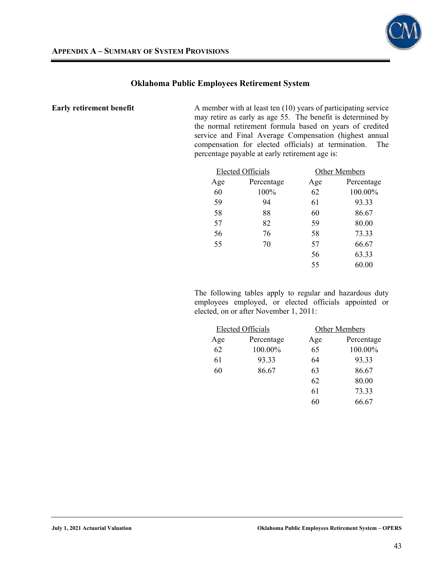

**Early retirement benefit** A member with at least ten (10) years of participating service may retire as early as age 55. The benefit is determined by the normal retirement formula based on years of credited service and Final Average Compensation (highest annual compensation for elected officials) at termination. The percentage payable at early retirement age is:

| <b>Elected Officials</b> |            | Other Members |            |  |
|--------------------------|------------|---------------|------------|--|
| Age                      | Percentage | Age           | Percentage |  |
| 60                       | 100%       | 62            | 100.00%    |  |
| 59                       | 94         | 61            | 93.33      |  |
| 58                       | 88         | 60            | 86.67      |  |
| 57                       | 82         | 59            | 80.00      |  |
| 56                       | 76         | 58            | 73.33      |  |
| 55                       | 70         | 57            | 66.67      |  |
|                          |            | 56            | 63.33      |  |
|                          |            | 55            | 60.00      |  |
|                          |            |               |            |  |

 The following tables apply to regular and hazardous duty employees employed, or elected officials appointed or elected, on or after November 1, 2011:

| <b>Elected Officials</b> |     | Other Members |
|--------------------------|-----|---------------|
| Percentage               | Age | Percentage    |
| 100.00%                  | 65  | 100.00%       |
| 93.33                    | 64  | 93.33         |
| 86.67                    | 63  | 86.67         |
|                          | 62  | 80.00         |
|                          | 61  | 73.33         |
|                          | 60  | 66.67         |
|                          |     |               |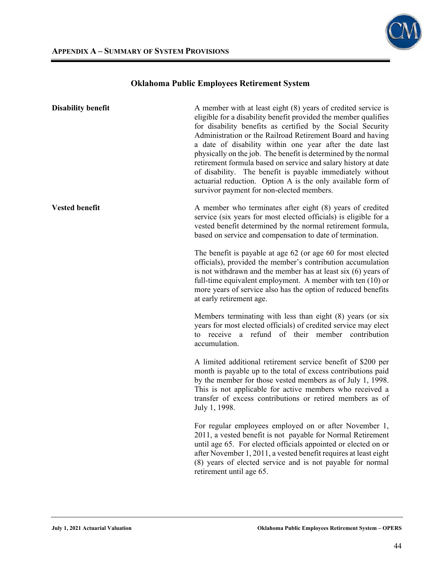

| <b>Disability benefit</b> | A member with at least eight (8) years of credited service is<br>eligible for a disability benefit provided the member qualifies<br>for disability benefits as certified by the Social Security<br>Administration or the Railroad Retirement Board and having<br>a date of disability within one year after the date last<br>physically on the job. The benefit is determined by the normal<br>retirement formula based on service and salary history at date<br>of disability. The benefit is payable immediately without<br>actuarial reduction. Option A is the only available form of<br>survivor payment for non-elected members. |
|---------------------------|----------------------------------------------------------------------------------------------------------------------------------------------------------------------------------------------------------------------------------------------------------------------------------------------------------------------------------------------------------------------------------------------------------------------------------------------------------------------------------------------------------------------------------------------------------------------------------------------------------------------------------------|
| <b>Vested benefit</b>     | A member who terminates after eight (8) years of credited<br>service (six years for most elected officials) is eligible for a<br>vested benefit determined by the normal retirement formula,<br>based on service and compensation to date of termination.                                                                                                                                                                                                                                                                                                                                                                              |
|                           | The benefit is payable at age 62 (or age 60 for most elected<br>officials), provided the member's contribution accumulation<br>is not withdrawn and the member has at least six $(6)$ years of<br>full-time equivalent employment. A member with ten $(10)$ or<br>more years of service also has the option of reduced benefits<br>at early retirement age.                                                                                                                                                                                                                                                                            |
|                           | Members terminating with less than eight (8) years (or six<br>years for most elected officials) of credited service may elect<br>receive a refund of their member contribution<br>to<br>accumulation.                                                                                                                                                                                                                                                                                                                                                                                                                                  |
|                           | A limited additional retirement service benefit of \$200 per<br>month is payable up to the total of excess contributions paid<br>by the member for those vested members as of July 1, 1998.<br>This is not applicable for active members who received a<br>transfer of excess contributions or retired members as of<br>July 1, 1998.                                                                                                                                                                                                                                                                                                  |
|                           | For regular employees employed on or after November 1,<br>2011, a vested benefit is not payable for Normal Retirement<br>until age 65. For elected officials appointed or elected on or<br>after November 1, 2011, a vested benefit requires at least eight<br>(8) years of elected service and is not payable for normal<br>retirement until age 65.                                                                                                                                                                                                                                                                                  |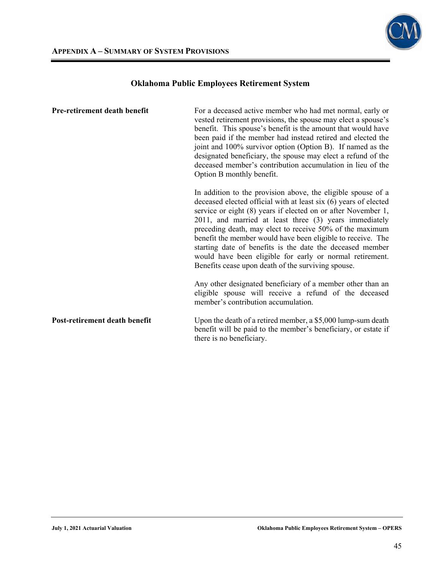

| Pre-retirement death benefit  | For a deceased active member who had met normal, early or<br>vested retirement provisions, the spouse may elect a spouse's<br>benefit. This spouse's benefit is the amount that would have<br>been paid if the member had instead retired and elected the<br>joint and 100% survivor option (Option B). If named as the<br>designated beneficiary, the spouse may elect a refund of the<br>deceased member's contribution accumulation in lieu of the<br>Option B monthly benefit.                                                                                    |
|-------------------------------|-----------------------------------------------------------------------------------------------------------------------------------------------------------------------------------------------------------------------------------------------------------------------------------------------------------------------------------------------------------------------------------------------------------------------------------------------------------------------------------------------------------------------------------------------------------------------|
|                               | In addition to the provision above, the eligible spouse of a<br>deceased elected official with at least six (6) years of elected<br>service or eight (8) years if elected on or after November 1,<br>2011, and married at least three (3) years immediately<br>preceding death, may elect to receive 50% of the maximum<br>benefit the member would have been eligible to receive. The<br>starting date of benefits is the date the deceased member<br>would have been eligible for early or normal retirement.<br>Benefits cease upon death of the surviving spouse. |
|                               | Any other designated beneficiary of a member other than an<br>eligible spouse will receive a refund of the deceased<br>member's contribution accumulation.                                                                                                                                                                                                                                                                                                                                                                                                            |
| Post-retirement death benefit | Upon the death of a retired member, a \$5,000 lump-sum death<br>benefit will be paid to the member's beneficiary, or estate if<br>there is no beneficiary.                                                                                                                                                                                                                                                                                                                                                                                                            |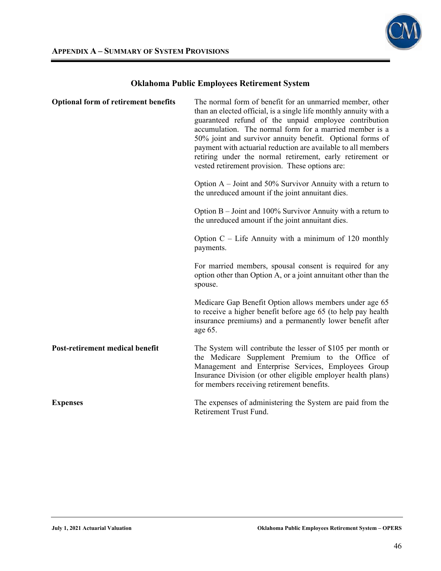

| <b>Optional form of retirement benefits</b> | The normal form of benefit for an unmarried member, other<br>than an elected official, is a single life monthly annuity with a<br>guaranteed refund of the unpaid employee contribution<br>accumulation. The normal form for a married member is a<br>50% joint and survivor annuity benefit. Optional forms of<br>payment with actuarial reduction are available to all members<br>retiring under the normal retirement, early retirement or<br>vested retirement provision. These options are: |
|---------------------------------------------|--------------------------------------------------------------------------------------------------------------------------------------------------------------------------------------------------------------------------------------------------------------------------------------------------------------------------------------------------------------------------------------------------------------------------------------------------------------------------------------------------|
|                                             | Option $A -$ Joint and 50% Survivor Annuity with a return to<br>the unreduced amount if the joint annuitant dies.                                                                                                                                                                                                                                                                                                                                                                                |
|                                             | Option $B -$ Joint and 100% Survivor Annuity with a return to<br>the unreduced amount if the joint annuitant dies.                                                                                                                                                                                                                                                                                                                                                                               |
|                                             | Option $C$ – Life Annuity with a minimum of 120 monthly<br>payments.                                                                                                                                                                                                                                                                                                                                                                                                                             |
|                                             | For married members, spousal consent is required for any<br>option other than Option A, or a joint annuitant other than the<br>spouse.                                                                                                                                                                                                                                                                                                                                                           |
|                                             | Medicare Gap Benefit Option allows members under age 65<br>to receive a higher benefit before age 65 (to help pay health<br>insurance premiums) and a permanently lower benefit after<br>age 65.                                                                                                                                                                                                                                                                                                 |
| Post-retirement medical benefit             | The System will contribute the lesser of \$105 per month or<br>the Medicare Supplement Premium to the Office of<br>Management and Enterprise Services, Employees Group<br>Insurance Division (or other eligible employer health plans)<br>for members receiving retirement benefits.                                                                                                                                                                                                             |
| <b>Expenses</b>                             | The expenses of administering the System are paid from the<br>Retirement Trust Fund.                                                                                                                                                                                                                                                                                                                                                                                                             |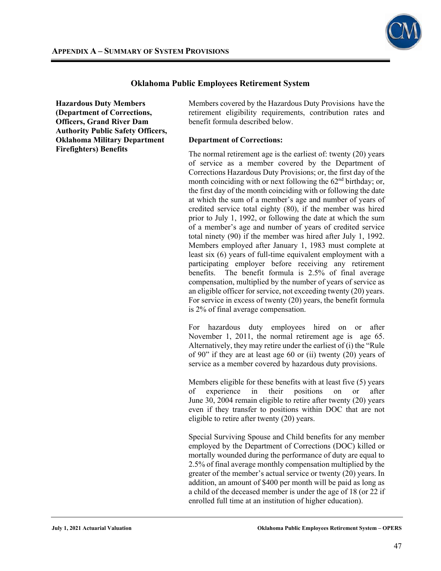

**Hazardous Duty Members (Department of Corrections, Officers, Grand River Dam Authority Public Safety Officers, Oklahoma Military Department Firefighters) Benefits**

Members covered by the Hazardous Duty Provisions have the retirement eligibility requirements, contribution rates and benefit formula described below.

#### **Department of Corrections:**

The normal retirement age is the earliest of: twenty (20) years of service as a member covered by the Department of Corrections Hazardous Duty Provisions; or, the first day of the month coinciding with or next following the  $62<sup>nd</sup>$  birthday; or, the first day of the month coinciding with or following the date at which the sum of a member's age and number of years of credited service total eighty (80), if the member was hired prior to July 1, 1992, or following the date at which the sum of a member's age and number of years of credited service total ninety (90) if the member was hired after July 1, 1992. Members employed after January 1, 1983 must complete at least six (6) years of full-time equivalent employment with a participating employer before receiving any retirement benefits. The benefit formula is 2.5% of final average compensation, multiplied by the number of years of service as an eligible officer for service, not exceeding twenty (20) years. For service in excess of twenty (20) years, the benefit formula is 2% of final average compensation.

For hazardous duty employees hired on or after November 1, 2011, the normal retirement age is age 65. Alternatively, they may retire under the earliest of (i) the "Rule of 90" if they are at least age 60 or (ii) twenty (20) years of service as a member covered by hazardous duty provisions.

Members eligible for these benefits with at least five (5) years of experience in their positions on or after June 30, 2004 remain eligible to retire after twenty (20) years even if they transfer to positions within DOC that are not eligible to retire after twenty (20) years.

Special Surviving Spouse and Child benefits for any member employed by the Department of Corrections (DOC) killed or mortally wounded during the performance of duty are equal to 2.5% of final average monthly compensation multiplied by the greater of the member's actual service or twenty (20) years. In addition, an amount of \$400 per month will be paid as long as a child of the deceased member is under the age of 18 (or 22 if enrolled full time at an institution of higher education).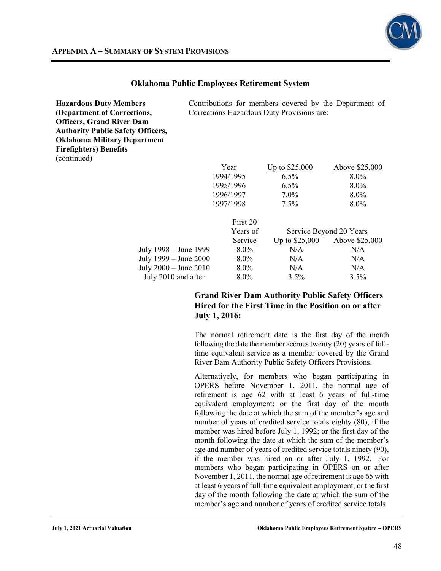

| <b>Hazardous Duty Members</b>            | Contributions for members covered by the Department of |                                            |                         |  |
|------------------------------------------|--------------------------------------------------------|--------------------------------------------|-------------------------|--|
| (Department of Corrections,              |                                                        | Corrections Hazardous Duty Provisions are: |                         |  |
| <b>Officers, Grand River Dam</b>         |                                                        |                                            |                         |  |
| <b>Authority Public Safety Officers,</b> |                                                        |                                            |                         |  |
| <b>Oklahoma Military Department</b>      |                                                        |                                            |                         |  |
| <b>Firefighters</b> ) Benefits           |                                                        |                                            |                         |  |
| (continued)                              |                                                        |                                            |                         |  |
|                                          | Year                                                   | <u>Up to \$25,000</u>                      | Above \$25,000          |  |
|                                          | 1994/1995                                              | $6.5\%$                                    | $8.0\%$                 |  |
|                                          | 1995/1996                                              | $6.5\%$                                    | $8.0\%$                 |  |
|                                          | 1996/1997                                              | $7.0\%$                                    | $8.0\%$                 |  |
|                                          | 1997/1998                                              | $7.5\%$                                    | $8.0\%$                 |  |
|                                          | First 20                                               |                                            |                         |  |
|                                          | Years of                                               |                                            | Service Beyond 20 Years |  |
|                                          | Service                                                | Up to $$25,000$                            | Above \$25,000          |  |
| July 1998 – June 1999                    | $8.0\%$                                                | N/A                                        | N/A                     |  |
| July 1999 – June 2000                    | 8.0%                                                   | N/A                                        | N/A                     |  |

## **Grand River Dam Authority Public Safety Officers Hired for the First Time in the Position on or after July 1, 2016:**

July 2000 – June 2010 8.0% N/A  $N/A$  N/A July 2010 and after 8.0% 3.5% 3.5%

> The normal retirement date is the first day of the month following the date the member accrues twenty (20) years of fulltime equivalent service as a member covered by the Grand River Dam Authority Public Safety Officers Provisions.

> Alternatively, for members who began participating in OPERS before November 1, 2011, the normal age of retirement is age 62 with at least 6 years of full-time equivalent employment; or the first day of the month following the date at which the sum of the member's age and number of years of credited service totals eighty (80), if the member was hired before July 1, 1992; or the first day of the month following the date at which the sum of the member's age and number of years of credited service totals ninety (90), if the member was hired on or after July 1, 1992. For members who began participating in OPERS on or after November 1, 2011, the normal age of retirement is age 65 with at least 6 years of full-time equivalent employment, or the first day of the month following the date at which the sum of the member's age and number of years of credited service totals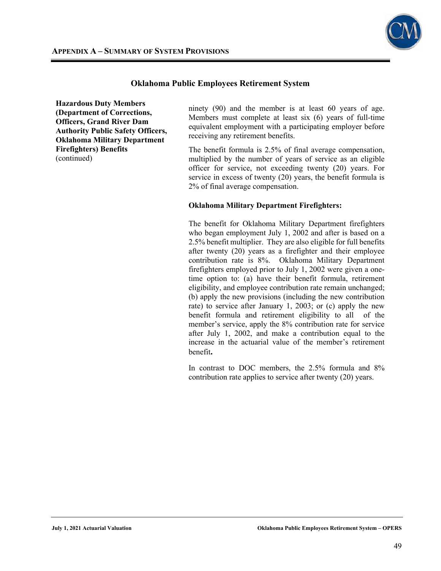

**Hazardous Duty Members (Department of Corrections, Officers, Grand River Dam Authority Public Safety Officers, Oklahoma Military Department Firefighters) Benefits**  (continued)

ninety (90) and the member is at least 60 years of age. Members must complete at least six (6) years of full-time equivalent employment with a participating employer before receiving any retirement benefits.

The benefit formula is 2.5% of final average compensation, multiplied by the number of years of service as an eligible officer for service, not exceeding twenty (20) years. For service in excess of twenty (20) years, the benefit formula is 2% of final average compensation.

#### **Oklahoma Military Department Firefighters:**

The benefit for Oklahoma Military Department firefighters who began employment July 1, 2002 and after is based on a 2.5% benefit multiplier. They are also eligible for full benefits after twenty (20) years as a firefighter and their employee contribution rate is 8%. Oklahoma Military Department firefighters employed prior to July 1, 2002 were given a onetime option to: (a) have their benefit formula, retirement eligibility, and employee contribution rate remain unchanged; (b) apply the new provisions (including the new contribution rate) to service after January 1, 2003; or (c) apply the new benefit formula and retirement eligibility to all of the member's service, apply the 8% contribution rate for service after July 1, 2002, and make a contribution equal to the increase in the actuarial value of the member's retirement benefit**.**

In contrast to DOC members, the 2.5% formula and 8% contribution rate applies to service after twenty (20) years.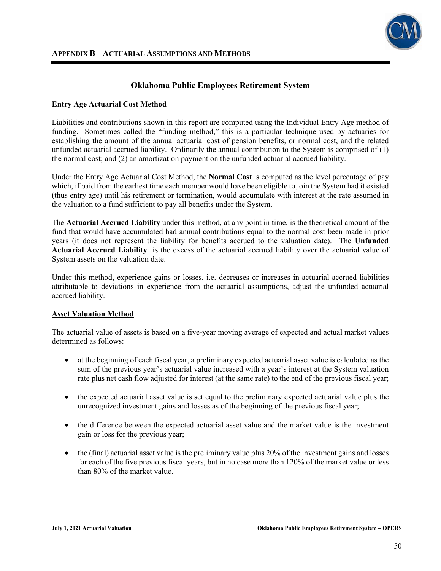

### **Entry Age Actuarial Cost Method**

Liabilities and contributions shown in this report are computed using the Individual Entry Age method of funding. Sometimes called the "funding method," this is a particular technique used by actuaries for establishing the amount of the annual actuarial cost of pension benefits, or normal cost, and the related unfunded actuarial accrued liability. Ordinarily the annual contribution to the System is comprised of (1) the normal cost; and (2) an amortization payment on the unfunded actuarial accrued liability.

Under the Entry Age Actuarial Cost Method, the **Normal Cost** is computed as the level percentage of pay which, if paid from the earliest time each member would have been eligible to join the System had it existed (thus entry age) until his retirement or termination, would accumulate with interest at the rate assumed in the valuation to a fund sufficient to pay all benefits under the System.

The **Actuarial Accrued Liability** under this method, at any point in time, is the theoretical amount of the fund that would have accumulated had annual contributions equal to the normal cost been made in prior years (it does not represent the liability for benefits accrued to the valuation date). The **Unfunded Actuarial Accrued Liability** is the excess of the actuarial accrued liability over the actuarial value of System assets on the valuation date.

Under this method, experience gains or losses, i.e. decreases or increases in actuarial accrued liabilities attributable to deviations in experience from the actuarial assumptions, adjust the unfunded actuarial accrued liability.

#### **Asset Valuation Method**

The actuarial value of assets is based on a five-year moving average of expected and actual market values determined as follows:

- at the beginning of each fiscal year, a preliminary expected actuarial asset value is calculated as the sum of the previous year's actuarial value increased with a year's interest at the System valuation rate plus net cash flow adjusted for interest (at the same rate) to the end of the previous fiscal year;
- the expected actuarial asset value is set equal to the preliminary expected actuarial value plus the unrecognized investment gains and losses as of the beginning of the previous fiscal year;
- the difference between the expected actuarial asset value and the market value is the investment gain or loss for the previous year;
- the (final) actuarial asset value is the preliminary value plus 20% of the investment gains and losses for each of the five previous fiscal years, but in no case more than 120% of the market value or less than 80% of the market value.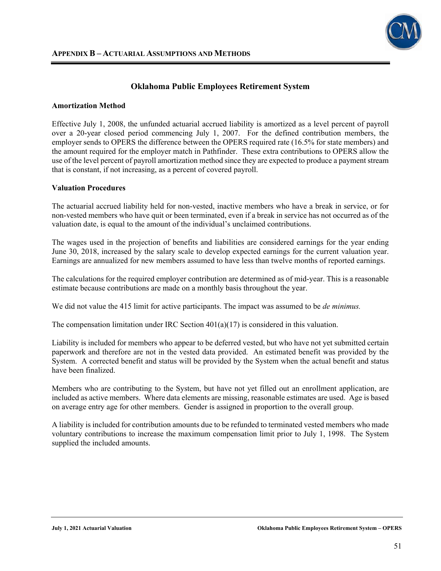#### **Amortization Method**

Effective July 1, 2008, the unfunded actuarial accrued liability is amortized as a level percent of payroll over a 20-year closed period commencing July 1, 2007. For the defined contribution members, the employer sends to OPERS the difference between the OPERS required rate (16.5% for state members) and the amount required for the employer match in Pathfinder. These extra contributions to OPERS allow the use of the level percent of payroll amortization method since they are expected to produce a payment stream that is constant, if not increasing, as a percent of covered payroll.

#### **Valuation Procedures**

The actuarial accrued liability held for non-vested, inactive members who have a break in service, or for non-vested members who have quit or been terminated, even if a break in service has not occurred as of the valuation date, is equal to the amount of the individual's unclaimed contributions.

The wages used in the projection of benefits and liabilities are considered earnings for the year ending June 30, 2018, increased by the salary scale to develop expected earnings for the current valuation year. Earnings are annualized for new members assumed to have less than twelve months of reported earnings.

The calculations for the required employer contribution are determined as of mid-year. This is a reasonable estimate because contributions are made on a monthly basis throughout the year.

We did not value the 415 limit for active participants. The impact was assumed to be *de minimus.*

The compensation limitation under IRC Section  $401(a)(17)$  is considered in this valuation.

Liability is included for members who appear to be deferred vested, but who have not yet submitted certain paperwork and therefore are not in the vested data provided. An estimated benefit was provided by the System. A corrected benefit and status will be provided by the System when the actual benefit and status have been finalized.

Members who are contributing to the System, but have not yet filled out an enrollment application, are included as active members. Where data elements are missing, reasonable estimates are used. Age is based on average entry age for other members. Gender is assigned in proportion to the overall group.

A liability is included for contribution amounts due to be refunded to terminated vested members who made voluntary contributions to increase the maximum compensation limit prior to July 1, 1998. The System supplied the included amounts.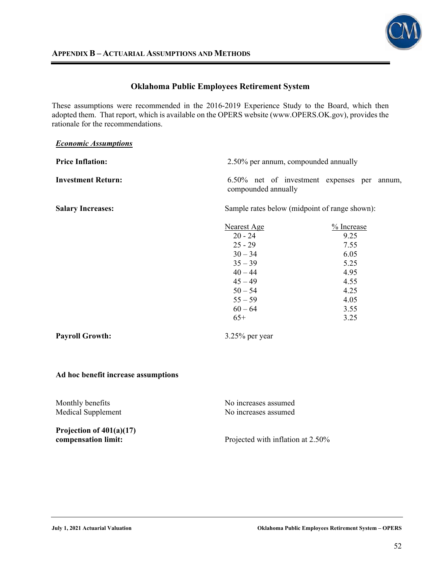

### **APPENDIX B – ACTUARIAL ASSUMPTIONS AND METHODS**

## **Oklahoma Public Employees Retirement System**

These assumptions were recommended in the 2016-2019 Experience Study to the Board, which then adopted them. That report, which is available on the OPERS website (www.OPERS.OK.gov), provides the rationale for the recommendations.

| <b>Economic Assumptions</b> |                                      |                                               |
|-----------------------------|--------------------------------------|-----------------------------------------------|
| <b>Price Inflation:</b>     | 2.50% per annum, compounded annually |                                               |
| <b>Investment Return:</b>   | compounded annually                  | 6.50% net of investment expenses per annum,   |
| <b>Salary Increases:</b>    |                                      | Sample rates below (midpoint of range shown): |
|                             | <b>Nearest Age</b><br>$20 - 24$      | % Increase<br>9.25                            |
|                             | $25 - 29$                            | 7.55                                          |
|                             | $30 - 34$                            | 6.05                                          |
|                             | $35 - 39$                            | 5.25                                          |
|                             | $40 - 44$                            | 4.95                                          |
|                             | $45 - 49$                            | 4.55                                          |
|                             | $50 - 54$                            | 4.25                                          |
|                             | $55 - 59$                            | 4.05                                          |
|                             | $60 - 64$                            | 3.55                                          |
|                             | $65+$                                | 3.25                                          |
| <b>Payroll Growth:</b>      | $3.25\%$ per year                    |                                               |

### **Ad hoc benefit increase assumptions**

Monthly benefits No increases assumed Medical Supplement No increases assumed **Projection of 401(a)(17) compensation limit:** Projected with inflation at 2.50%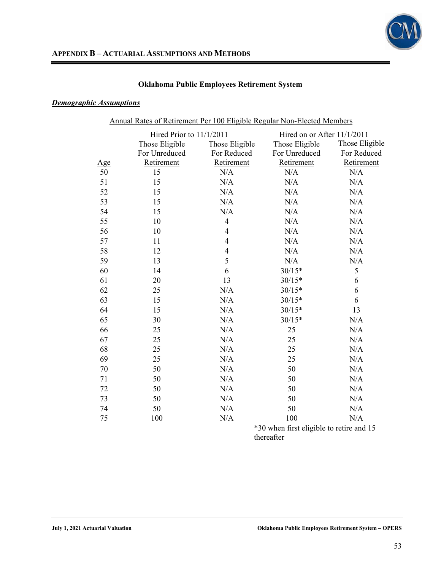

## *Demographic Assumptions*

| Annual Rates of Retirement Per 100 Eligible Regular Non-Elected Members |                |                |                             |                |  |
|-------------------------------------------------------------------------|----------------|----------------|-----------------------------|----------------|--|
| Hired Prior to 11/1/2011                                                |                |                | Hired on or After 11/1/2011 |                |  |
|                                                                         | Those Eligible | Those Eligible | Those Eligible              | Those Eligible |  |
|                                                                         | For Unreduced  | For Reduced    | For Unreduced               | For Reduced    |  |
| <u>Age</u>                                                              | Retirement     | Retirement     | Retirement                  | Retirement     |  |
| 50                                                                      | 15             | N/A            | N/A                         | N/A            |  |
| 51                                                                      | 15             | N/A            | N/A                         | N/A            |  |
| 52                                                                      | 15             | N/A            | N/A                         | N/A            |  |
| 53                                                                      | 15             | N/A            | N/A                         | N/A            |  |
| 54                                                                      | 15             | N/A            | N/A                         | N/A            |  |
| 55                                                                      | 10             | $\overline{4}$ | N/A                         | N/A            |  |
| 56                                                                      | 10             | $\overline{4}$ | N/A                         | N/A            |  |
| 57                                                                      | 11             | 4              | N/A                         | N/A            |  |
| 58                                                                      | 12             | $\overline{4}$ | N/A                         | N/A            |  |
| 59                                                                      | 13             | 5              | N/A                         | N/A            |  |
| 60                                                                      | 14             | 6              | $30/15*$                    | 5              |  |
| 61                                                                      | 20             | 13             | $30/15*$                    | 6              |  |
| 62                                                                      | 25             | N/A            | $30/15*$                    | 6              |  |
| 63                                                                      | 15             | N/A            | $30/15*$                    | 6              |  |
| 64                                                                      | 15             | N/A            | $30/15*$                    | 13             |  |
| 65                                                                      | 30             | N/A            | $30/15*$                    | N/A            |  |
| 66                                                                      | 25             | N/A            | 25                          | N/A            |  |
| 67                                                                      | 25             | N/A            | 25                          | N/A            |  |
| 68                                                                      | 25             | N/A            | 25                          | N/A            |  |
| 69                                                                      | 25             | N/A            | 25                          | N/A            |  |
| 70                                                                      | 50             | N/A            | 50                          | N/A            |  |
| 71                                                                      | 50             | N/A            | 50                          | N/A            |  |
| 72                                                                      | 50             | N/A            | 50                          | N/A            |  |
| 73                                                                      | 50             | N/A            | 50                          | N/A            |  |
| 74                                                                      | 50             | N/A            | 50                          | N/A            |  |
| 75                                                                      | 100            | N/A            | 100                         | N/A            |  |
| *30 when first eligible to retire and 15                                |                |                |                             |                |  |

thereafter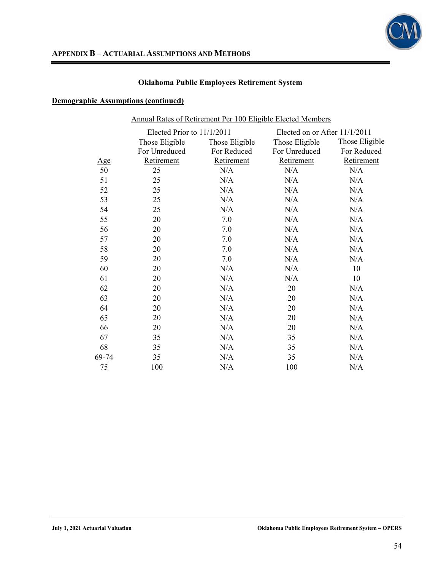

| Annual Rates of Retirement Per 100 Eligible Elected Members |                            |                |                               |                |  |
|-------------------------------------------------------------|----------------------------|----------------|-------------------------------|----------------|--|
|                                                             | Elected Prior to 11/1/2011 |                | Elected on or After 11/1/2011 |                |  |
|                                                             | Those Eligible             | Those Eligible | Those Eligible                | Those Eligible |  |
|                                                             | For Unreduced              | For Reduced    | For Unreduced                 | For Reduced    |  |
| <u>Age</u>                                                  | Retirement                 | Retirement     | Retirement                    | Retirement     |  |
| 50                                                          | 25                         | N/A            | N/A                           | N/A            |  |
| 51                                                          | 25                         | N/A            | N/A                           | N/A            |  |
| 52                                                          | 25                         | N/A            | N/A                           | N/A            |  |
| 53                                                          | 25                         | N/A            | N/A                           | N/A            |  |
| 54                                                          | 25                         | N/A            | N/A                           | N/A            |  |
| 55                                                          | 20                         | 7.0            | N/A                           | N/A            |  |
| 56                                                          | 20                         | 7.0            | N/A                           | N/A            |  |
| 57                                                          | 20                         | 7.0            | N/A                           | N/A            |  |
| 58                                                          | 20                         | 7.0            | N/A                           | N/A            |  |
| 59                                                          | 20                         | 7.0            | N/A                           | N/A            |  |
| 60                                                          | 20                         | N/A            | N/A                           | 10             |  |
| 61                                                          | 20                         | N/A            | N/A                           | 10             |  |
| 62                                                          | 20                         | N/A            | 20                            | N/A            |  |
| 63                                                          | 20                         | N/A            | 20                            | N/A            |  |
| 64                                                          | 20                         | N/A            | 20                            | N/A            |  |
| 65                                                          | 20                         | N/A            | 20                            | N/A            |  |
| 66                                                          | 20                         | N/A            | 20                            | N/A            |  |
| 67                                                          | 35                         | N/A            | 35                            | N/A            |  |
| 68                                                          | 35                         | N/A            | 35                            | N/A            |  |
| 69-74                                                       | 35                         | N/A            | 35                            | N/A            |  |
| 75                                                          | 100                        | N/A            | 100                           | N/A            |  |
|                                                             |                            |                |                               |                |  |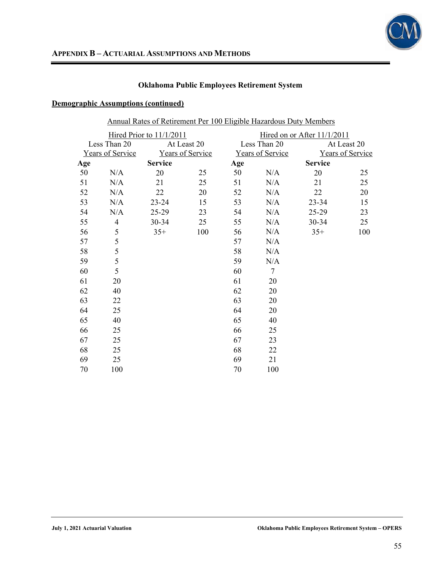

|--|

|     |                  | Hired Prior to 11/1/2011 |                  |     |                         | Hired on or After 11/1/2011 |                  |
|-----|------------------|--------------------------|------------------|-----|-------------------------|-----------------------------|------------------|
|     | Less Than 20     |                          | At Least 20      |     | Less Than 20            |                             | At Least 20      |
|     | Years of Service |                          | Years of Service |     | <b>Years of Service</b> |                             | Years of Service |
| Age |                  | <b>Service</b>           |                  | Age |                         | <b>Service</b>              |                  |
| 50  | N/A              | 20                       | 25               | 50  | N/A                     | 20                          | 25               |
| 51  | N/A              | 21                       | 25               | 51  | N/A                     | 21                          | 25               |
| 52  | N/A              | 22                       | 20               | 52  | N/A                     | 22                          | 20               |
| 53  | N/A              | $23 - 24$                | 15               | 53  | N/A                     | 23-34                       | 15               |
| 54  | N/A              | 25-29                    | 23               | 54  | N/A                     | 25-29                       | 23               |
| 55  | 4                | $30 - 34$                | 25               | 55  | N/A                     | 30-34                       | 25               |
| 56  | 5                | $35+$                    | 100              | 56  | N/A                     | $35+$                       | 100              |
| 57  | 5                |                          |                  | 57  | N/A                     |                             |                  |
| 58  | 5                |                          |                  | 58  | N/A                     |                             |                  |
| 59  | 5                |                          |                  | 59  | N/A                     |                             |                  |
| 60  | 5                |                          |                  | 60  | $\tau$                  |                             |                  |
| 61  | 20               |                          |                  | 61  | 20                      |                             |                  |
| 62  | 40               |                          |                  | 62  | 20                      |                             |                  |
| 63  | 22               |                          |                  | 63  | 20                      |                             |                  |
| 64  | 25               |                          |                  | 64  | 20                      |                             |                  |
| 65  | 40               |                          |                  | 65  | 40                      |                             |                  |
| 66  | 25               |                          |                  | 66  | 25                      |                             |                  |
| 67  | 25               |                          |                  | 67  | 23                      |                             |                  |
| 68  | 25               |                          |                  | 68  | 22                      |                             |                  |
| 69  | 25               |                          |                  | 69  | 21                      |                             |                  |
| 70  | 100              |                          |                  | 70  | 100                     |                             |                  |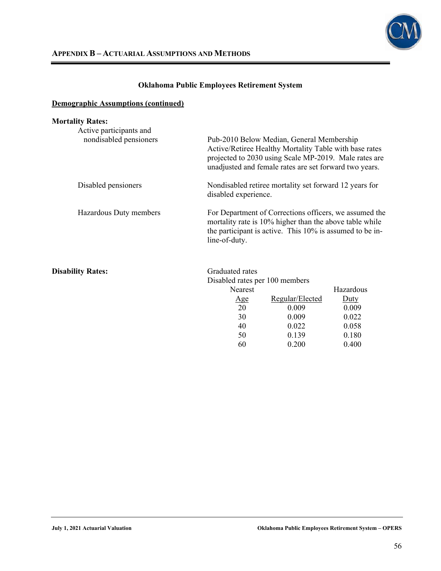

| <b>Mortality Rates:</b>                           |                                                                                                                                                                                                |                                                                                                                                                                                                                        |                  |  |  |
|---------------------------------------------------|------------------------------------------------------------------------------------------------------------------------------------------------------------------------------------------------|------------------------------------------------------------------------------------------------------------------------------------------------------------------------------------------------------------------------|------------------|--|--|
| Active participants and<br>nondisabled pensioners |                                                                                                                                                                                                | Pub-2010 Below Median, General Membership<br>Active/Retiree Healthy Mortality Table with base rates<br>projected to 2030 using Scale MP-2019. Male rates are<br>unadjusted and female rates are set forward two years. |                  |  |  |
| Disabled pensioners                               | disabled experience.                                                                                                                                                                           | Nondisabled retiree mortality set forward 12 years for                                                                                                                                                                 |                  |  |  |
| Hazardous Duty members                            | For Department of Corrections officers, we assumed the<br>mortality rate is 10% higher than the above table while<br>the participant is active. This 10% is assumed to be in-<br>line-of-duty. |                                                                                                                                                                                                                        |                  |  |  |
| <b>Disability Rates:</b>                          | Graduated rates<br>Disabled rates per 100 members                                                                                                                                              |                                                                                                                                                                                                                        |                  |  |  |
|                                                   | <b>Nearest</b>                                                                                                                                                                                 |                                                                                                                                                                                                                        | Hazardous        |  |  |
|                                                   | <u>Age</u>                                                                                                                                                                                     | Regular/Elected                                                                                                                                                                                                        | $_{\text{Duty}}$ |  |  |
|                                                   | 20                                                                                                                                                                                             | 0.009                                                                                                                                                                                                                  | 0.009            |  |  |
|                                                   | 30                                                                                                                                                                                             | 0.009                                                                                                                                                                                                                  | 0.022            |  |  |
|                                                   | 40                                                                                                                                                                                             | 0.022                                                                                                                                                                                                                  | 0.058            |  |  |
|                                                   | 50                                                                                                                                                                                             | 0.139                                                                                                                                                                                                                  | 0.180            |  |  |
|                                                   | 60                                                                                                                                                                                             | 0.200                                                                                                                                                                                                                  | 0.400            |  |  |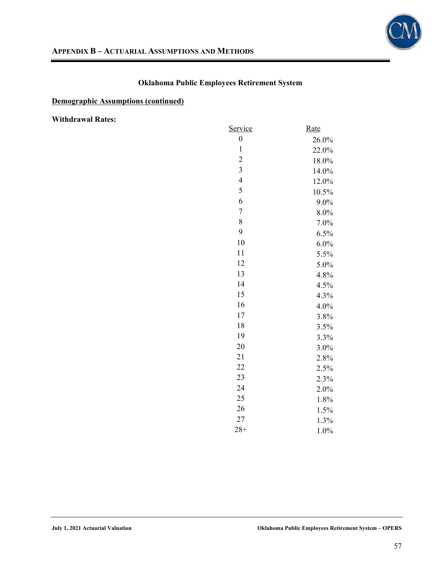

## **Demographic Assumptions (continued)**

**Withdrawal Rates:** 

| Service                 | Rate  |
|-------------------------|-------|
| $\boldsymbol{0}$        | 26.0% |
| $\mathbf{1}$            | 22.0% |
| $\overline{c}$          | 18.0% |
| $\overline{\mathbf{3}}$ | 14.0% |
| $\overline{4}$          | 12.0% |
| 5                       | 10.5% |
| 6                       | 9.0%  |
| $\boldsymbol{7}$        | 8.0%  |
| 8                       | 7.0%  |
| 9                       | 6.5%  |
| 10                      | 6.0%  |
| 11                      | 5.5%  |
| 12                      | 5.0%  |
| 13                      | 4.8%  |
| 14                      | 4.5%  |
| 15                      | 4.3%  |
| 16                      | 4.0%  |
| 17                      | 3.8%  |
| 18                      | 3.5%  |
| 19                      | 3.3%  |
| 20                      | 3.0%  |
| 21                      | 2.8%  |
| 22                      | 2.5%  |
| 23                      | 2.3%  |
| 24                      | 2.0%  |
| 25                      | 1.8%  |
| 26                      | 1.5%  |
| 27                      | 1.3%  |
| $28+$                   | 1.0%  |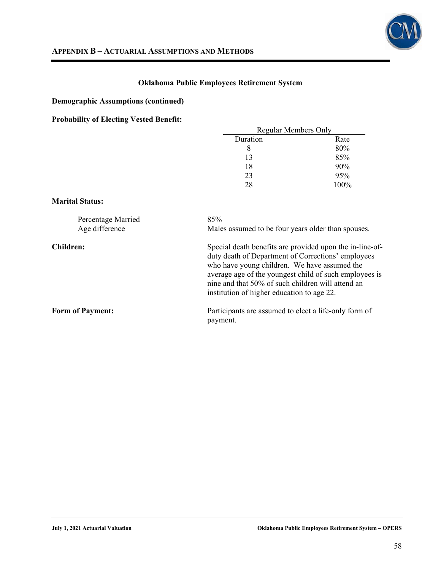

## **Demographic Assumptions (continued)**

**Probability of Electing Vested Benefit:** 

| Regular Members Only |         |
|----------------------|---------|
| Duration             | Rate    |
|                      | 80%     |
| 13                   | 85%     |
| 18                   | 90%     |
| 23                   | 95%     |
| 28                   | $100\%$ |

#### **Marital Status:**

| Percentage Married<br>Age difference | 85%<br>Males assumed to be four years older than spouses.                                                                                                                                                                                                                                                                   |
|--------------------------------------|-----------------------------------------------------------------------------------------------------------------------------------------------------------------------------------------------------------------------------------------------------------------------------------------------------------------------------|
| Children:                            | Special death benefits are provided upon the in-line-of-<br>duty death of Department of Corrections' employees<br>who have young children. We have assumed the<br>average age of the youngest child of such employees is<br>nine and that 50% of such children will attend an<br>institution of higher education to age 22. |
| <b>Form of Payment:</b>              | Participants are assumed to elect a life-only form of<br>payment.                                                                                                                                                                                                                                                           |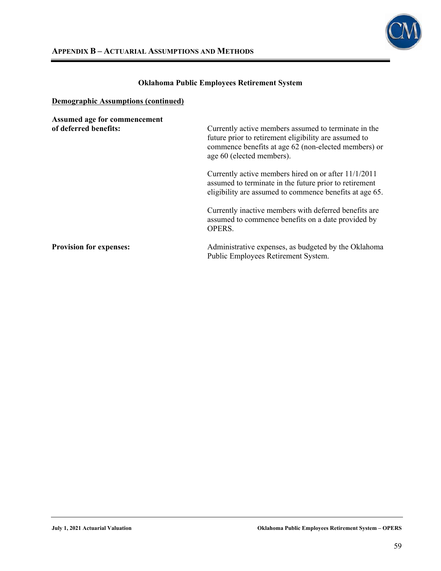

| Assumed age for commencement<br>of deferred benefits: | Currently active members assumed to terminate in the<br>future prior to retirement eligibility are assumed to                                                             |
|-------------------------------------------------------|---------------------------------------------------------------------------------------------------------------------------------------------------------------------------|
|                                                       | commence benefits at age 62 (non-elected members) or<br>age 60 (elected members).                                                                                         |
|                                                       | Currently active members hired on or after 11/1/2011<br>assumed to terminate in the future prior to retirement<br>eligibility are assumed to commence benefits at age 65. |
|                                                       | Currently inactive members with deferred benefits are<br>assumed to commence benefits on a date provided by<br>OPERS.                                                     |
| <b>Provision for expenses:</b>                        | Administrative expenses, as budgeted by the Oklahoma<br>Public Employees Retirement System.                                                                               |

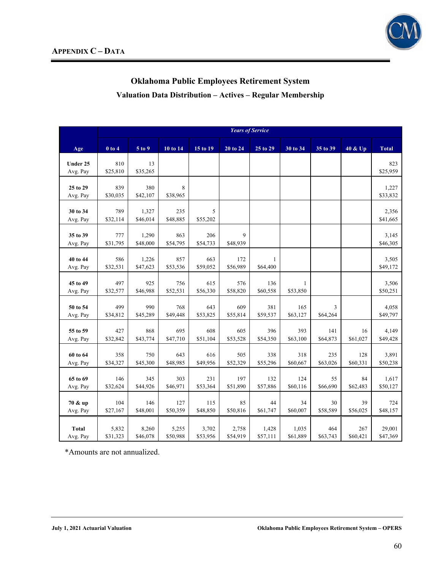

**Valuation Data Distribution – Actives – Regular Membership** 

|                      | <b>Years of Service</b> |                   |                 |                 |                 |                 |                 |               |          |                   |
|----------------------|-------------------------|-------------------|-----------------|-----------------|-----------------|-----------------|-----------------|---------------|----------|-------------------|
| Age                  | $0$ to $4$              | 5 to 9            | 10 to 14        | 15 to 19        | 20 to 24        | 25 to 29        | 30 to 34        | 35 to 39      | 40 & Up  | <b>Total</b>      |
| Under 25             | 810                     | 13                |                 |                 |                 |                 |                 |               |          | 823               |
| Avg. Pay             | \$25,810                | \$35,265          |                 |                 |                 |                 |                 |               |          | \$25,959          |
| 25 to 29             | 839                     | 380               | 8               |                 |                 |                 |                 |               |          | 1,227             |
| Avg. Pay             | \$30,035                | \$42,107          | \$38,965        |                 |                 |                 |                 |               |          | \$33,832          |
|                      |                         |                   |                 |                 |                 |                 |                 |               |          |                   |
| 30 to 34<br>Avg. Pay | 789<br>\$32,114         | 1,327<br>\$46,014 | 235<br>\$48,885 | 5<br>\$55,202   |                 |                 |                 |               |          | 2,356<br>\$41,665 |
|                      |                         |                   |                 |                 |                 |                 |                 |               |          |                   |
| 35 to 39             | 777                     | 1,290             | 863             | 206             | 9               |                 |                 |               |          | 3,145             |
| Avg. Pay             | \$31,795                | \$48,000          | \$54,795        | \$54,733        | \$48,939        |                 |                 |               |          | \$46,305          |
| 40 to 44             | 586                     | 1,226             | 857             | 663             | 172             | $\mathbf{1}$    |                 |               |          | 3,505             |
| Avg. Pay             | \$32,531                | \$47,623          | \$53,536        | \$59,052        | \$56,989        | \$64,400        |                 |               |          | \$49,172          |
| 45 to 49             | 497                     | 925               | 756             | 615             | 576             | 136             | 1               |               |          | 3,506             |
| Avg. Pay             | \$32,577                | \$46,988          | \$52,531        | \$56,330        | \$58,820        | \$60,558        | \$53,850        |               |          | \$50,251          |
|                      |                         |                   |                 |                 |                 |                 |                 |               |          |                   |
| 50 to 54<br>Avg. Pay | 499<br>\$34,812         | 990<br>\$45,289   | 768<br>\$49,448 | 643<br>\$53,825 | 609<br>\$55,814 | 381<br>\$59,537 | 165<br>\$63,127 | 3<br>\$64,264 |          | 4,058<br>\$49,797 |
|                      |                         |                   |                 |                 |                 |                 |                 |               |          |                   |
| 55 to 59             | 427                     | 868               | 695             | 608             | 605             | 396             | 393             | 141           | 16       | 4,149             |
| Avg. Pay             | \$32,842                | \$43,774          | \$47,710        | \$51,104        | \$53,528        | \$54,350        | \$63,100        | \$64,873      | \$61,027 | \$49,428          |
| 60 to 64             | 358                     | 750               | 643             | 616             | 505             | 338             | 318             | 235           | 128      | 3,891             |
| Avg. Pay             | \$34,327                | \$45,300          | \$48,985        | \$49,956        | \$52,329        | \$55,296        | \$60,667        | \$63,026      | \$60,331 | \$50,238          |
| 65 to 69             | 146                     | 345               | 303             | 231             | 197             | 132             | 124             | 55            | 84       | 1,617             |
| Avg. Pay             | \$32,624                | \$44,926          | \$46,971        | \$53,364        | \$51,890        | \$57,886        | \$60,116        | \$66,690      | \$62,483 | \$50,127          |
|                      |                         |                   |                 |                 |                 |                 |                 |               |          |                   |
| 70 & up              | 104                     | 146               | 127             | 115             | 85              | 44              | 34              | 30            | 39       | 724               |
| Avg. Pay             | \$27,167                | \$48,001          | \$50,359        | \$48,850        | \$50,816        | \$61,747        | \$60,007        | \$58,589      | \$56,025 | \$48,157          |
| <b>Total</b>         | 5,832                   | 8,260             | 5,255           | 3,702           | 2,758           | 1,428           | 1,035           | 464           | 267      | 29,001            |
| Avg. Pay             | \$31,323                | \$46,078          | \$50,988        | \$53,956        | \$54,919        | \$57,111        | \$61,889        | \$63,743      | \$60,421 | \$47,369          |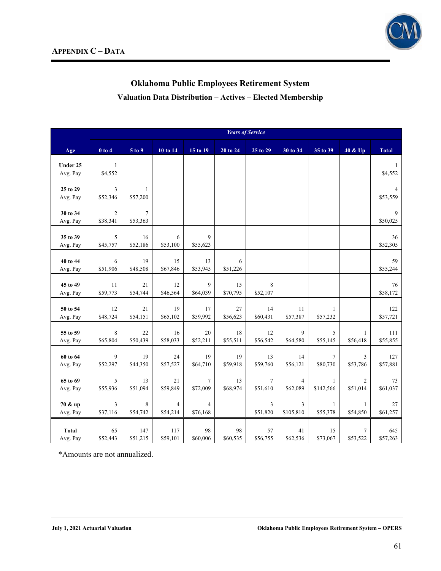

# **Oklahoma Public Employees Retirement System Valuation Data Distribution – Actives – Elected Membership**

|                      |                            |                             |               |                            |          | <b>Years of Service</b> |                |                          |                |                |
|----------------------|----------------------------|-----------------------------|---------------|----------------------------|----------|-------------------------|----------------|--------------------------|----------------|----------------|
| Age                  | $0$ to $4$                 | 5 to 9                      | 10 to 14      | 15 to 19                   | 20 to 24 | 25 to 29                | 30 to 34       | 35 to 39                 | 40 & Up        | <b>Total</b>   |
| Under 25             | $\mathbf{1}$               |                             |               |                            |          |                         |                |                          |                | $\mathbf{1}$   |
| Avg. Pay             | \$4,552                    |                             |               |                            |          |                         |                |                          |                | \$4,552        |
| 25 to 29             | 3                          | $\mathbf{1}$                |               |                            |          |                         |                |                          |                | 4              |
| Avg. Pay             | \$52,346                   | \$57,200                    |               |                            |          |                         |                |                          |                | \$53,559       |
|                      |                            |                             |               |                            |          |                         |                |                          |                |                |
| 30 to 34<br>Avg. Pay | $\overline{c}$<br>\$38,341 | $7\phantom{.0}$<br>\$53,363 |               |                            |          |                         |                |                          |                | 9<br>\$50,025  |
|                      |                            |                             |               |                            |          |                         |                |                          |                |                |
| 35 to 39<br>Avg. Pay | 5<br>\$45,757              | 16<br>\$52,186              | 6<br>\$53,100 | 9<br>\$55,623              |          |                         |                |                          |                | 36<br>\$52,305 |
|                      |                            |                             |               |                            |          |                         |                |                          |                |                |
| 40 to 44             | 6                          | 19                          | 15            | 13                         | 6        |                         |                |                          |                | 59             |
| Avg. Pay             | \$51,906                   | \$48,508                    | \$67,846      | \$53,945                   | \$51,226 |                         |                |                          |                | \$55,244       |
| 45 to 49             | 11                         | 21                          | 12            | 9                          | 15       | 8                       |                |                          |                | 76             |
| Avg. Pay             | \$59,773                   | \$54,744                    | \$46,564      | \$64,039                   | \$70,795 | \$52,107                |                |                          |                | \$58,172       |
| 50 to 54             | 12                         | 21                          | 19            | 17                         | 27       | 14                      | 11             | $\mathbf{1}$             |                | 122            |
| Avg. Pay             | \$48,724                   | \$54,151                    | \$65,102      | \$59,992                   | \$56,623 | \$60,431                | \$57,387       | \$57,232                 |                | \$57,721       |
| 55 to 59             | 8                          | 22                          | 16            | 20                         | 18       | 12                      | 9              | 5                        | $\mathbf{1}$   | 111            |
| Avg. Pay             | \$65,804                   | \$50,439                    | \$58,033      | \$52,211                   | \$55,511 | \$56,542                | \$64,580       | \$55,145                 | \$56,418       | \$55,855       |
| 60 to 64             | 9                          | 19                          | 24            | 19                         | 19       | 13                      | 14             | $\tau$                   | 3              | 127            |
| Avg. Pay             | \$52,297                   | \$44,350                    | \$57,527      | \$64,710                   | \$59,918 | \$59,760                | \$56,121       | \$80,730                 | \$53,786       | \$57,881       |
| 65 to 69             | 5                          | 13                          | 21            | $\overline{7}$             | 13       | $\overline{7}$          | $\overline{4}$ | $\mathbf{1}$             | $\overline{2}$ | 73             |
| Avg. Pay             | \$55,936                   | \$51,094                    | \$59,849      | \$72,009                   | \$68,974 | \$51,610                | \$62,089       | \$142,566                | \$51,014       | \$61,037       |
|                      |                            |                             |               |                            |          |                         |                |                          |                |                |
| 70 & up<br>Avg. Pay  | 3<br>\$37,116              | 8<br>\$54,742               | 4<br>\$54,214 | $\overline{4}$<br>\$76,168 |          | 3<br>\$51,820           | 3<br>\$105,810 | $\mathbf{1}$<br>\$55,378 | 1<br>\$54,850  | 27<br>\$61,257 |
|                      |                            |                             |               |                            |          |                         |                |                          |                |                |
| <b>Total</b>         | 65                         | 147                         | 117           | 98                         | 98       | 57                      | 41             | 15                       | 7              | 645            |
| Avg. Pay             | \$52,443                   | \$51,215                    | \$59,101      | \$60,006                   | \$60,535 | \$56,755                | \$62,536       | \$73,067                 | \$53,522       | \$57,263       |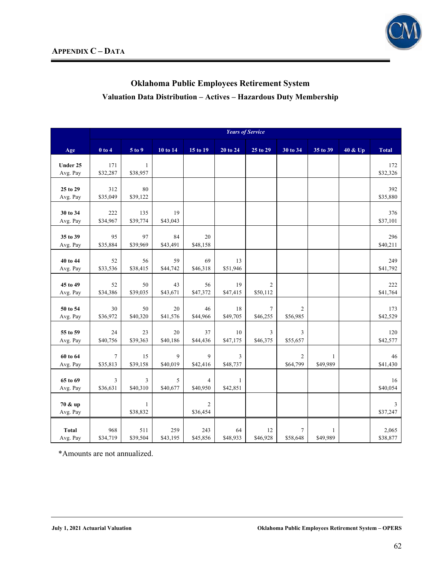

# **Oklahoma Public Employees Retirement System Valuation Data Distribution – Actives – Hazardous Duty Membership**

|                          |                            |                          |                 |                            |                          | <b>Years of Service</b>    |                            |                          |         |                   |
|--------------------------|----------------------------|--------------------------|-----------------|----------------------------|--------------------------|----------------------------|----------------------------|--------------------------|---------|-------------------|
| Age                      | $0$ to $4$                 | 5 to 9                   | 10 to 14        | 15 to 19                   | $20$ to $24$             | 25 to 29                   | 30 to 34                   | 35 to 39                 | 40 & Up | <b>Total</b>      |
| Under 25<br>Avg. Pay     | 171<br>\$32,287            | $\mathbf{1}$<br>\$38,957 |                 |                            |                          |                            |                            |                          |         | 172<br>\$32,326   |
| 25 to 29<br>Avg. Pay     | 312<br>\$35,049            | 80<br>\$39,122           |                 |                            |                          |                            |                            |                          |         | 392<br>\$35,880   |
| 30 to 34<br>Avg. Pay     | 222<br>\$34,967            | 135<br>\$39,774          | 19<br>\$43,043  |                            |                          |                            |                            |                          |         | 376<br>\$37,101   |
| 35 to 39<br>Avg. Pay     | 95<br>\$35,884             | 97<br>\$39,969           | 84<br>\$43,491  | 20<br>\$48,158             |                          |                            |                            |                          |         | 296<br>\$40,211   |
| 40 to 44<br>Avg. Pay     | 52<br>\$33,536             | 56<br>\$38,415           | 59<br>\$44,742  | 69<br>\$46,318             | 13<br>\$51,946           |                            |                            |                          |         | 249<br>\$41,792   |
| 45 to 49<br>Avg. Pay     | 52<br>\$34,386             | 50<br>\$39,035           | 43<br>\$43,671  | 56<br>\$47,372             | 19<br>\$47,415           | $\overline{c}$<br>\$50,112 |                            |                          |         | 222<br>\$41,764   |
| 50 to 54<br>Avg. Pay     | 30<br>\$36,972             | 50<br>\$40,320           | 20<br>\$41,576  | 46<br>\$44,966             | 18<br>\$49,705           | $\overline{7}$<br>\$46,255 | $\overline{c}$<br>\$56,985 |                          |         | 173<br>\$42,529   |
| 55 to 59<br>Avg. Pay     | 24<br>\$40,756             | 23<br>\$39,363           | 20<br>\$40,186  | 37<br>\$44,436             | 10<br>\$47,175           | 3<br>\$46,375              | 3<br>\$55,657              |                          |         | 120<br>\$42,577   |
| 60 to 64<br>Avg. Pay     | $\overline{7}$<br>\$35,813 | 15<br>\$39,158           | 9<br>\$40,019   | 9<br>\$42,416              | 3<br>\$48,737            |                            | $\overline{c}$<br>\$64,799 | $\mathbf{1}$<br>\$49,989 |         | 46<br>\$41,430    |
| 65 to 69<br>Avg. Pay     | 3<br>\$36,631              | 3<br>\$40,310            | 5<br>\$40,677   | $\overline{4}$<br>\$40,950 | $\mathbf{1}$<br>\$42,851 |                            |                            |                          |         | 16<br>\$40,054    |
| 70 & up<br>Avg. Pay      |                            | 1<br>\$38,832            |                 | 2<br>\$36,454              |                          |                            |                            |                          |         | 3<br>\$37,247     |
| <b>Total</b><br>Avg. Pay | 968<br>\$34,719            | 511<br>\$39,504          | 259<br>\$43,195 | 243<br>\$45,856            | 64<br>\$48,933           | 12<br>\$46,928             | $\tau$<br>\$58,648         | $\mathbf{1}$<br>\$49,989 |         | 2,065<br>\$38,877 |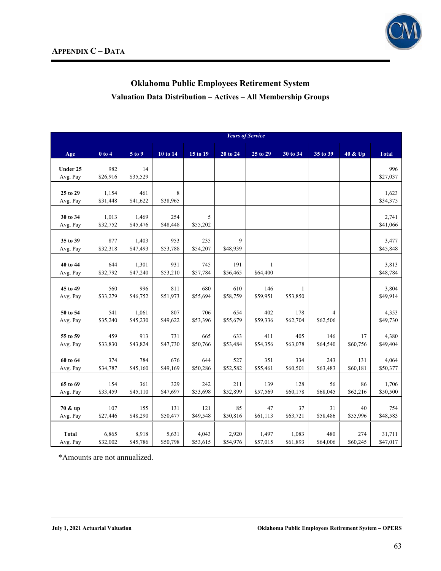

# **Oklahoma Public Employees Retirement System Valuation Data Distribution – Actives – All Membership Groups**

|                      |                   |                 |                 |                 |                 | <b>Years of Service</b> |                 |                |                |                   |
|----------------------|-------------------|-----------------|-----------------|-----------------|-----------------|-------------------------|-----------------|----------------|----------------|-------------------|
| Age                  | $0$ to $4$        | 5 to 9          | 10 to 14        | 15 to 19        | 20 to 24        | 25 to 29                | 30 to 34        | 35 to 39       | 40 & Up        | <b>Total</b>      |
| Under 25             | 982               | 14              |                 |                 |                 |                         |                 |                |                | 996               |
| Avg. Pay             | \$26,916          | \$35,529        |                 |                 |                 |                         |                 |                |                | \$27,037          |
|                      |                   |                 |                 |                 |                 |                         |                 |                |                |                   |
| 25 to 29<br>Avg. Pay | 1,154<br>\$31,448 | 461<br>\$41,622 | 8<br>\$38,965   |                 |                 |                         |                 |                |                | 1,623<br>\$34,375 |
|                      |                   |                 |                 |                 |                 |                         |                 |                |                |                   |
| 30 to 34             | 1,013             | 1,469           | 254             | 5               |                 |                         |                 |                |                | 2,741             |
| Avg. Pay             | \$32,752          | \$45,476        | \$48,448        | \$55,202        |                 |                         |                 |                |                | \$41,066          |
| 35 to 39             | 877               | 1,403           | 953             | 235             | 9               |                         |                 |                |                | 3,477             |
| Avg. Pay             | \$32,318          | \$47,493        | \$53,788        | \$54,207        | \$48,939        |                         |                 |                |                | \$45,848          |
| 40 to 44             | 644               | 1,301           | 931             | 745             | 191             | $\mathbf{1}$            |                 |                |                | 3,813             |
| Avg. Pay             | \$32,792          | \$47,240        | \$53,210        | \$57,784        | \$56,465        | \$64,400                |                 |                |                | \$48,784          |
|                      |                   |                 |                 |                 |                 |                         |                 |                |                |                   |
| 45 to 49<br>Avg. Pay | 560<br>\$33,279   | 996<br>\$46,752 | 811<br>\$51,973 | 680<br>\$55,694 | 610<br>\$58,759 | 146<br>\$59,951         | 1<br>\$53,850   |                |                | 3,804<br>\$49,914 |
|                      |                   |                 |                 |                 |                 |                         |                 |                |                |                   |
| 50 to 54             | 541               | 1,061           | 807             | 706             | 654             | 402                     | 178             | 4              |                | 4,353             |
| Avg. Pay             | \$35,240          | \$45,230        | \$49,622        | \$53,396        | \$55,679        | \$59,336                | \$62,704        | \$62,506       |                | \$49,730          |
| 55 to 59             | 459               | 913             | 731             | 665             | 633             | 411                     | 405             | 146            | 17             | 4,380             |
| Avg. Pay             | \$33,830          | \$43,824        | \$47,730        | \$50,766        | \$53,484        | \$54,356                | \$63,078        | \$64,540       | \$60,756       | \$49,404          |
| 60 to 64             | 374               | 784             | 676             | 644             | 527             | 351                     | 334             | 243            | 131            | 4,064             |
| Avg. Pay             | \$34,787          | \$45,160        | \$49,169        | \$50,286        | \$52,582        | \$55,461                | \$60,501        | \$63,483       | \$60,181       | \$50,377          |
|                      |                   |                 |                 |                 |                 |                         |                 |                |                |                   |
| 65 to 69<br>Avg. Pay | 154<br>\$33,459   | 361<br>\$45,110 | 329<br>\$47,697 | 242<br>\$53,698 | 211<br>\$52,899 | 139<br>\$57,569         | 128<br>\$60,178 | 56<br>\$68,045 | 86<br>\$62,216 | 1,706<br>\$50,500 |
|                      |                   |                 |                 |                 |                 |                         |                 |                |                |                   |
| 70 & up              | 107               | 155             | 131             | 121             | 85              | 47                      | 37              | 31             | 40             | 754               |
| Avg. Pay             | \$27,446          | \$48,290        | \$50,477        | \$49,548        | \$50,816        | \$61,113                | \$63,721        | \$58,486       | \$55,996       | \$48,583          |
| <b>Total</b>         | 6,865             | 8,918           | 5,631           | 4,043           | 2,920           | 1,497                   | 1,083           | 480            | 274            | 31,711            |
| Avg. Pay             | \$32,002          | \$45,786        | \$50,798        | \$53,615        | \$54,976        | \$57,015                | \$61,893        | \$64,006       | \$60,245       | \$47,017          |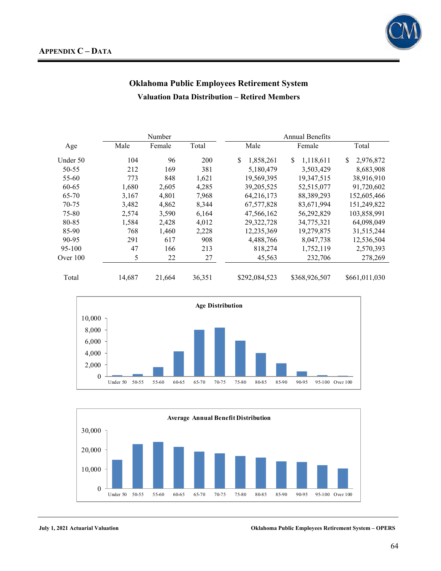

# **Oklahoma Public Employees Retirement System Valuation Data Distribution – Retired Members**

|            |        | Number |        | Annual Benefits |                |                 |  |  |
|------------|--------|--------|--------|-----------------|----------------|-----------------|--|--|
| Age        | Male   | Female | Total  | Male            | Female         | Total           |  |  |
| Under 50   | 104    | 96     | 200    | S<br>1,858,261  | S<br>1,118,611 | \$<br>2,976,872 |  |  |
| 50-55      | 212    | 169    | 381    | 5,180,479       | 3,503,429      | 8,683,908       |  |  |
| 55-60      | 773    | 848    | 1,621  | 19,569,395      | 19,347,515     | 38,916,910      |  |  |
| 60-65      | 1,680  | 2,605  | 4,285  | 39, 205, 525    | 52,515,077     | 91,720,602      |  |  |
| 65-70      | 3,167  | 4,801  | 7,968  | 64,216,173      | 88, 389, 293   | 152,605,466     |  |  |
| 70-75      | 3,482  | 4,862  | 8,344  | 67, 577, 828    | 83,671,994     | 151,249,822     |  |  |
| 75-80      | 2,574  | 3,590  | 6,164  | 47,566,162      | 56,292,829     | 103,858,991     |  |  |
| 80-85      | 1,584  | 2,428  | 4,012  | 29,322,728      | 34,775,321     | 64,098,049      |  |  |
| 85-90      | 768    | 1,460  | 2,228  | 12,235,369      | 19,279,875     | 31,515,244      |  |  |
| 90-95      | 291    | 617    | 908    | 4,488,766       | 8,047,738      | 12,536,504      |  |  |
| $95-100$   | 47     | 166    | 213    | 818,274         | 1,752,119      | 2,570,393       |  |  |
| Over $100$ | 5      | 22     | 27     | 45,563          | 232,706        | 278,269         |  |  |
| Total      | 14,687 | 21,664 | 36,351 | \$292,084,523   | \$368,926,507  | \$661,011,030   |  |  |



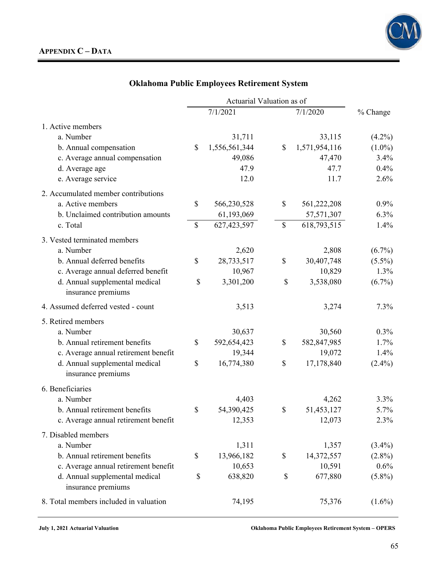

|                                                      |               | Actuarial Valuation as of |              |               |           |
|------------------------------------------------------|---------------|---------------------------|--------------|---------------|-----------|
|                                                      |               | 7/1/2021                  |              | 7/1/2020      | % Change  |
| 1. Active members                                    |               |                           |              |               |           |
| a. Number                                            |               | 31,711                    |              | 33,115        | $(4.2\%)$ |
| b. Annual compensation                               | $\mathcal{S}$ | 1,556,561,344             | $\mathbb{S}$ | 1,571,954,116 | $(1.0\%)$ |
| c. Average annual compensation                       |               | 49,086                    |              | 47,470        | 3.4%      |
| d. Average age                                       |               | 47.9                      |              | 47.7          | 0.4%      |
| e. Average service                                   |               | 12.0                      |              | 11.7          | 2.6%      |
| 2. Accumulated member contributions                  |               |                           |              |               |           |
| a. Active members                                    | \$            | 566,230,528               | \$           | 561,222,208   | $0.9\%$   |
| b. Unclaimed contribution amounts                    |               | 61,193,069                |              | 57,571,307    | 6.3%      |
| c. Total                                             | \$            | 627,423,597               | $\mathbb{S}$ | 618,793,515   | 1.4%      |
| 3. Vested terminated members                         |               |                           |              |               |           |
| a. Number                                            |               | 2,620                     |              | 2,808         | $(6.7\%)$ |
| b. Annual deferred benefits                          | \$            | 28,733,517                | \$           | 30,407,748    | $(5.5\%)$ |
| c. Average annual deferred benefit                   |               | 10,967                    |              | 10,829        | 1.3%      |
| d. Annual supplemental medical<br>insurance premiums | \$            | 3,301,200                 | \$           | 3,538,080     | $(6.7\%)$ |
| 4. Assumed deferred vested - count                   |               | 3,513                     |              | 3,274         | 7.3%      |
| 5. Retired members                                   |               |                           |              |               |           |
| a. Number                                            |               | 30,637                    |              | 30,560        | $0.3\%$   |
| b. Annual retirement benefits                        | \$            | 592,654,423               | \$           | 582,847,985   | 1.7%      |
| c. Average annual retirement benefit                 |               | 19,344                    |              | 19,072        | 1.4%      |
| d. Annual supplemental medical<br>insurance premiums | \$            | 16,774,380                | \$           | 17,178,840    | $(2.4\%)$ |
| 6. Beneficiaries                                     |               |                           |              |               |           |
| a. Number                                            |               | 4,403                     |              | 4,262         | 3.3%      |
| b. Annual retirement benefits                        | \$            | 54,390,425                | \$           | 51,453,127    | 5.7%      |
| c. Average annual retirement benefit                 |               | 12,353                    |              | 12,073        | 2.3%      |
| 7. Disabled members                                  |               |                           |              |               |           |
| a. Number                                            |               | 1,311                     |              | 1,357         | $(3.4\%)$ |
| b. Annual retirement benefits                        | \$            | 13,966,182                | \$           | 14,372,557    | $(2.8\%)$ |
| c. Average annual retirement benefit                 |               | 10,653                    |              | 10,591        | $0.6\%$   |
| d. Annual supplemental medical<br>insurance premiums | \$            | 638,820                   | \$           | 677,880       | $(5.8\%)$ |
| 8. Total members included in valuation               |               | 74,195                    |              | 75,376        | $(1.6\%)$ |

**July 1, 2021 Actuarial Valuation Oklahoma Public Employees Retirement System – OPERS**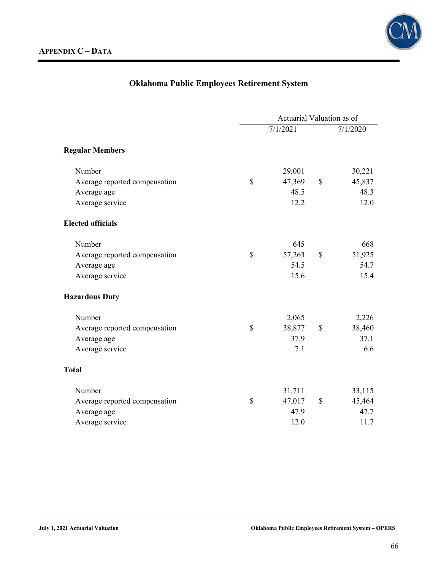

|                               | Actuarial Valuation as of |          |               |          |  |
|-------------------------------|---------------------------|----------|---------------|----------|--|
|                               |                           | 7/1/2021 |               | 7/1/2020 |  |
| <b>Regular Members</b>        |                           |          |               |          |  |
| Number                        |                           | 29,001   |               | 30,221   |  |
| Average reported compensation | \$                        | 47,369   | $\mathcal{S}$ | 45,837   |  |
| Average age                   |                           | 48.5     |               | 48.3     |  |
| Average service               |                           | 12.2     |               | 12.0     |  |
| <b>Elected officials</b>      |                           |          |               |          |  |
| Number                        |                           | 645      |               | 668      |  |
| Average reported compensation | \$                        | 57,263   | \$            | 51,925   |  |
| Average age                   |                           | 54.5     |               | 54.7     |  |
| Average service               |                           | 15.6     |               | 15.4     |  |
| <b>Hazardous Duty</b>         |                           |          |               |          |  |
| Number                        |                           | 2,065    |               | 2,226    |  |
| Average reported compensation | \$                        | 38,877   | $\mathcal{S}$ | 38,460   |  |
| Average age                   |                           | 37.9     |               | 37.1     |  |
| Average service               |                           | 7.1      |               | 6.6      |  |
| <b>Total</b>                  |                           |          |               |          |  |
| Number                        |                           | 31,711   |               | 33,115   |  |
| Average reported compensation | \$                        | 47,017   | \$            | 45,464   |  |
| Average age                   |                           | 47.9     |               | 47.7     |  |
| Average service               |                           | 12.0     |               | 11.7     |  |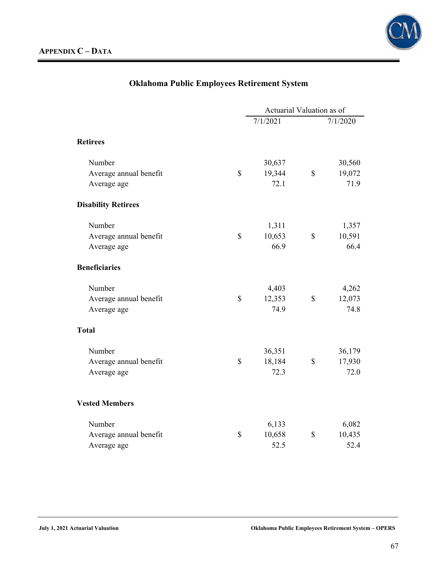

|                            | Actuarial Valuation as of |              |          |
|----------------------------|---------------------------|--------------|----------|
|                            | 7/1/2021                  |              | 7/1/2020 |
| <b>Retirees</b>            |                           |              |          |
| Number                     | 30,637                    |              | 30,560   |
| Average annual benefit     | \$<br>19,344              | $\mathbb{S}$ | 19,072   |
| Average age                | 72.1                      |              | 71.9     |
| <b>Disability Retirees</b> |                           |              |          |
| Number                     | 1,311                     |              | 1,357    |
| Average annual benefit     | \$<br>10,653              | \$           | 10,591   |
| Average age                | 66.9                      |              | 66.4     |
| <b>Beneficiaries</b>       |                           |              |          |
| Number                     | 4,403                     |              | 4,262    |
| Average annual benefit     | \$<br>12,353              | \$           | 12,073   |
| Average age                | 74.9                      |              | 74.8     |
| <b>Total</b>               |                           |              |          |
| Number                     | 36,351                    |              | 36,179   |
| Average annual benefit     | \$<br>18,184              | $\mathbb{S}$ | 17,930   |
| Average age                | 72.3                      |              | 72.0     |
| <b>Vested Members</b>      |                           |              |          |
| Number                     | 6,133                     |              | 6,082    |
| Average annual benefit     | \$<br>10,658              | \$           | 10,435   |
| Average age                | 52.5                      |              | 52.4     |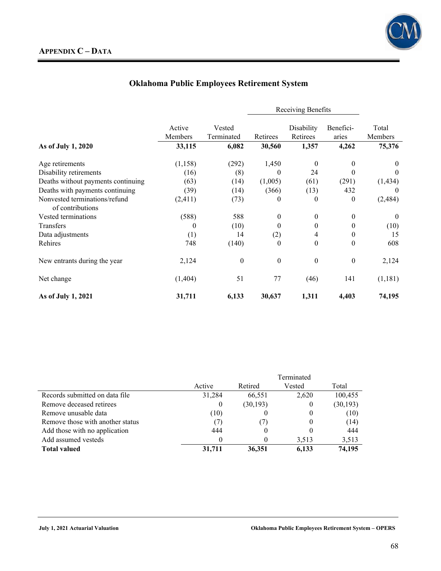

|                                                   |                   |                      | Receiving Benefits |                        |                    |                  |
|---------------------------------------------------|-------------------|----------------------|--------------------|------------------------|--------------------|------------------|
|                                                   | Active<br>Members | Vested<br>Terminated | Retirees           | Disability<br>Retirees | Benefici-<br>aries | Total<br>Members |
| As of July 1, 2020                                | 33,115            | 6,082                | 30,560             | 1,357                  | 4,262              | 75,376           |
| Age retirements                                   | (1,158)           | (292)                | 1,450              | $\theta$               | $\theta$           | $\mathbf{0}$     |
| Disability retirements                            | (16)              | (8)                  | $\Omega$           | 24                     | 0                  | $\theta$         |
| Deaths without payments continuing                | (63)              | (14)                 | (1,005)            | (61)                   | (291)              | (1, 434)         |
| Deaths with payments continuing                   | (39)              | (14)                 | (366)              | (13)                   | 432                | $\Omega$         |
| Nonvested terminations/refund<br>of contributions | (2, 411)          | (73)                 | 0                  | $\theta$               | $\mathbf{0}$       | (2,484)          |
| Vested terminations                               | (588)             | 588                  | $\theta$           | $\theta$               | $\theta$           | $\theta$         |
| Transfers                                         | $\theta$          | (10)                 | 0                  | $\theta$               | 0                  | (10)             |
| Data adjustments                                  | (1)               | 14                   | (2)                | 4                      | 0                  | 15               |
| Rehires                                           | 748               | (140)                | $\theta$           | $\theta$               | $\theta$           | 608              |
| New entrants during the year                      | 2,124             | $\theta$             | $\mathbf{0}$       | $\theta$               | $\theta$           | 2,124            |
| Net change                                        | (1,404)           | 51                   | 77                 | (46)                   | 141                | (1,181)          |
| As of July 1, 2021                                | 31,711            | 6,133                | 30,637             | 1,311                  | 4,403              | 74,195           |

|                                  |          | Terminated |        |           |  |  |
|----------------------------------|----------|------------|--------|-----------|--|--|
|                                  | Active   | Retired    | Vested | Total     |  |  |
| Records submitted on data file   | 31,284   | 66,551     | 2,620  | 100,455   |  |  |
| Remove deceased retirees         | $\theta$ | (30, 193)  |        | (30, 193) |  |  |
| Remove unusable data             | (10)     |            |        | (10)      |  |  |
| Remove those with another status |          |            |        | (14)      |  |  |
| Add those with no application    | 444      | $\theta$   |        | 444       |  |  |
| Add assumed vesteds              |          | 0          | 3.513  | 3,513     |  |  |
| <b>Total valued</b>              | 31,711   | 36.351     | 6.133  | 74,195    |  |  |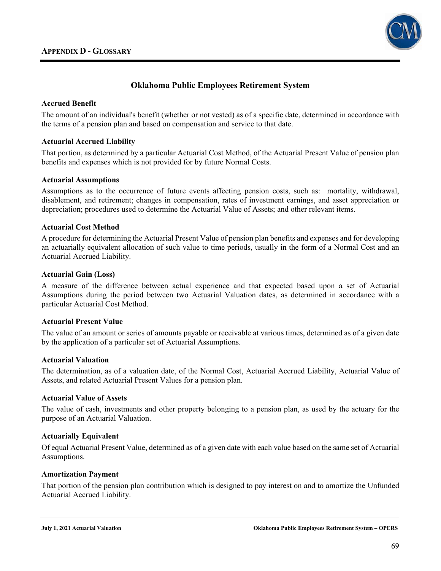

# **Oklahoma Public Employees Retirement System**

# **Accrued Benefit**

The amount of an individual's benefit (whether or not vested) as of a specific date, determined in accordance with the terms of a pension plan and based on compensation and service to that date.

## **Actuarial Accrued Liability**

That portion, as determined by a particular Actuarial Cost Method, of the Actuarial Present Value of pension plan benefits and expenses which is not provided for by future Normal Costs.

## **Actuarial Assumptions**

Assumptions as to the occurrence of future events affecting pension costs, such as: mortality, withdrawal, disablement, and retirement; changes in compensation, rates of investment earnings, and asset appreciation or depreciation; procedures used to determine the Actuarial Value of Assets; and other relevant items.

## **Actuarial Cost Method**

A procedure for determining the Actuarial Present Value of pension plan benefits and expenses and for developing an actuarially equivalent allocation of such value to time periods, usually in the form of a Normal Cost and an Actuarial Accrued Liability.

## **Actuarial Gain (Loss)**

A measure of the difference between actual experience and that expected based upon a set of Actuarial Assumptions during the period between two Actuarial Valuation dates, as determined in accordance with a particular Actuarial Cost Method.

#### **Actuarial Present Value**

The value of an amount or series of amounts payable or receivable at various times, determined as of a given date by the application of a particular set of Actuarial Assumptions.

#### **Actuarial Valuation**

The determination, as of a valuation date, of the Normal Cost, Actuarial Accrued Liability, Actuarial Value of Assets, and related Actuarial Present Values for a pension plan.

# **Actuarial Value of Assets**

The value of cash, investments and other property belonging to a pension plan, as used by the actuary for the purpose of an Actuarial Valuation.

# **Actuarially Equivalent**

Of equal Actuarial Present Value, determined as of a given date with each value based on the same set of Actuarial Assumptions.

#### **Amortization Payment**

That portion of the pension plan contribution which is designed to pay interest on and to amortize the Unfunded Actuarial Accrued Liability.